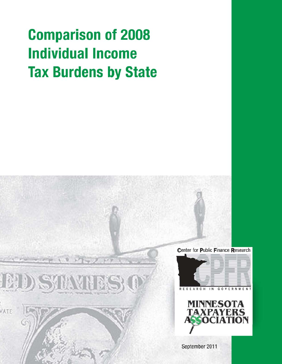# **Comparison of 2008 Individual Income Tax Burdens by State**

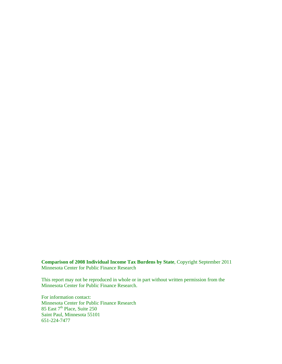**Comparison of 2008 Individual Income Tax Burdens by State**, Copyright September 2011 Minnesota Center for Public Finance Research

This report may not be reproduced in whole or in part without written permission from the Minnesota Center for Public Finance Research.

For information contact: Minnesota Center for Public Finance Research 85 East 7<sup>th</sup> Place, Suite 250 Saint Paul, Minnesota 55101 651-224-7477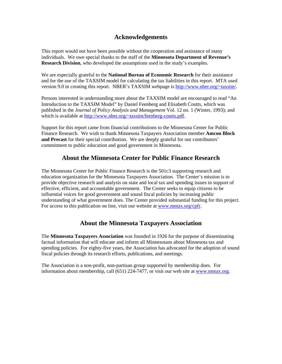## **Acknowledgements**

This report would not have been possible without the cooperation and assistance of many individuals. We owe special thanks to the staff of the **Minnesota Department of Revenue's Research Division**, who developed the assumptions used in the study's examples.

We are especially grateful to the **National Bureau of Economic Research** for their assistance and for the use of the TAXSIM model for calculating the tax liabilities in this report. MTA used version 9.0 in creating this report. NBER's TAXSIM webpage is http://www.nber.org/~taxsim/.

Persons interested in understanding more about the TAXSIM model are encouraged to read "An Introduction to the TAXSIM Model" by Daniel Feenberg and Elisabeth Coutts, which was published in the *Journal of Policy Analysis and Management* Vol. 12 no. 1 (Winter, 1993); and which is available at http://www.nber.org/~taxsim/feenberg-coutts.pdf.

Support for this report came from financial contributions to the Minnesota Center for Public Finance Research. We wish to thank Minnesota Taxpayers Association member **Amcon Block and Precast** for their special contribution. We are deeply grateful for our contributors' commitment to public education and good government in Minnesota.

## **About the Minnesota Center for Public Finance Research**

The Minnesota Center for Public Finance Research is the 501c3 supporting research and education organization for the Minnesota Taxpayers Association. The Center's mission is to provide objective research and analysis on state and local tax and spending issues in support of effective, efficient, and accountable government. The Center seeks to equip citizens to be influential voices for good government and sound fiscal policies by increasing public understanding of what government does. The Center provided substantial funding for this project. For access to this publication on line, visit our website at www.mntax.org/cpfr.

## **About the Minnesota Taxpayers Association**

The **Minnesota Taxpayers Association** was founded in 1926 for the purpose of disseminating factual information that will educate and inform all Minnesotans about Minnesota tax and spending policies. For eighty-five years, the Association has advocated for the adoption of sound fiscal policies through its research efforts, publications, and meetings.

The Association is a non-profit, non-partisan group supported by membership dues. For information about membership, call (651) 224-7477, or visit our web site at www.mntax.org.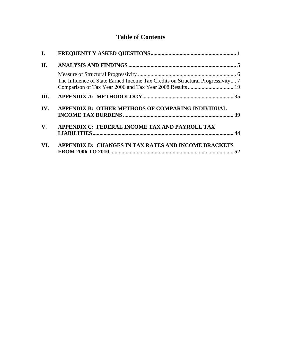# **Table of Contents**

| I.                     |                                                                                                                                             |    |
|------------------------|---------------------------------------------------------------------------------------------------------------------------------------------|----|
| II.                    |                                                                                                                                             |    |
|                        | The Influence of State Earned Income Tax Credits on Structural Progressivity 7<br>Comparison of Tax Year 2006 and Tax Year 2008 Results  19 |    |
| Ш.                     |                                                                                                                                             |    |
| IV.                    | APPENDIX B: OTHER METHODS OF COMPARING INDIVIDUAL                                                                                           |    |
| $\mathbf{V}_{\bullet}$ | APPENDIX C: FEDERAL INCOME TAX AND PAYROLL TAX                                                                                              |    |
| VI.                    | APPENDIX D: CHANGES IN TAX RATES AND INCOME BRACKETS                                                                                        | 52 |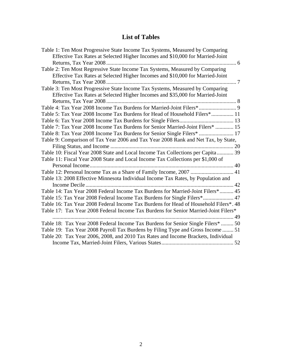# **List of Tables**

| Table 1: Ten Most Progressive State Income Tax Systems, Measured by Comparing        |
|--------------------------------------------------------------------------------------|
| Effective Tax Rates at Selected Higher Incomes and \$10,000 for Married-Joint        |
|                                                                                      |
| Table 2: Ten Most Regressive State Income Tax Systems, Measured by Comparing         |
| Effective Tax Rates at Selected Higher Incomes and \$10,000 for Married-Joint        |
|                                                                                      |
| Table 3: Ten Most Progressive State Income Tax Systems, Measured by Comparing        |
| Effective Tax Rates at Selected Higher Incomes and \$35,000 for Married-Joint        |
|                                                                                      |
| Table 4: Tax Year 2008 Income Tax Burdens for Married-Joint Filers* 9                |
| Table 5: Tax Year 2008 Income Tax Burdens for Head of Household Filers* 11           |
|                                                                                      |
| Table 7: Tax Year 2008 Income Tax Burdens for Senior Married-Joint Filers*  15       |
| Table 8: Tax Year 2008 Income Tax Burdens for Senior Single Filers*  17              |
| Table 9: Comparison of Tax Year 2006 and Tax Year 2008 Rank and Net Tax, by State,   |
|                                                                                      |
| Table 10: Fiscal Year 2008 State and Local Income Tax Collections per Capita 39      |
| Table 11: Fiscal Year 2008 State and Local Income Tax Collections per \$1,000 of     |
|                                                                                      |
| Table 12: Personal Income Tax as a Share of Family Income, 2007  41                  |
| Table 13: 2008 Effective Minnesota Individual Income Tax Rates, by Population and    |
|                                                                                      |
| Table 14: Tax Year 2008 Federal Income Tax Burdens for Married-Joint Filers* 45      |
| Table 15: Tax Year 2008 Federal Income Tax Burdens for Single Filers* 47             |
| Table 16: Tax Year 2008 Federal Income Tax Burdens for Head of Household Filers*. 48 |
| Table 17: Tax Year 2008 Federal Income Tax Burdens for Senior Married-Joint Filers*  |
|                                                                                      |
| Table 18: Tax Year 2008 Federal Income Tax Burdens for Senior Single Filers*  50     |
| Table 19: Tax Year 2008 Payroll Tax Burdens by Filing Type and Gross Income  51      |
| Table 20: Tax Year 2006, 2008, and 2010 Tax Rates and Income Brackets, Individual    |
|                                                                                      |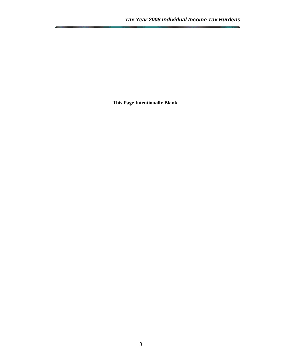**This Page Intentionally Blank**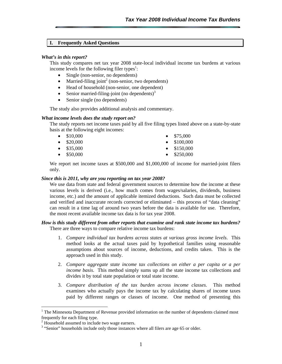## **I. Frequently Asked Questions**

## *What's in this report?*

This study compares net tax year 2008 state-local individual income tax burdens at various income levels for the following filer types<sup>1</sup>:

- Single (non-senior, no dependents)
- Married-filing joint<sup>2</sup> (non-senior, two dependents)
- Head of household (non-senior, one dependent)
- Senior married-filing-joint (no dependents) $3$
- Senior single (no dependents)

The study also provides additional analysis and commentary.

### *What income levels does the study report on?*

The study reports net income taxes paid by all five filing types listed above on a state-by-state basis at the following eight incomes:

- $\bullet$  \$10,000  $\bullet$  \$20,000  $\bullet$  \$35,000 \$75,000 \$100,000 \$150,000
- $\bullet$  \$50,000 \$250,000

We report net income taxes at \$500,000 and \$1,000,000 of income for married-joint filers only.

### *Since this is 2011, why are you reporting on tax year 2008?*

We use data from state and federal government sources to determine how the income at these various levels is derived (i.e., how much comes from wages/salaries, dividends, business income, etc.) and the amount of applicable itemized deductions. Such data must be collected and verified and inaccurate records corrected or eliminated – this process of "data cleaning" can result in a time lag of around two years before the data is available for use. Therefore, the most recent available income tax data is for tax year 2008.

## *How is this study different from other reports that examine and rank state income tax burdens?*

There are three ways to compare relative income tax burdens:

- 1. *Compare individual tax burdens across states at various gross income levels*. This method looks at the actual taxes paid by hypothetical families using reasonable assumptions about sources of income, deductions, and credits taken. This is the approach used in this study.
- 2. *Compare aggregate state income tax collections on either a per capita or a per income basis*. This method simply sums up all the state income tax collections and divides it by total state population or total state income.
- 3. *Compare distribution of the tax burden across income classes.* This method examines who actually pays the income tax by calculating shares of income taxes paid by different ranges or classes of income. One method of presenting this

 $\overline{a}$ 

<sup>&</sup>lt;sup>1</sup> The Minnesota Department of Revenue provided information on the number of dependents claimed most frequently for each filing type.

<sup>&</sup>lt;sup>2</sup> Household assumed to include two wage earners.

 $3$  "Senior" households include only those instances where all filers are age 65 or older.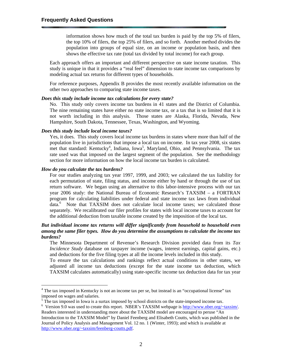information shows how much of the total tax burden is paid by the top 5% of filers, the top 10% of filers, the top 25% of filers, and so forth. Another method divides the population into groups of equal size, on an income or population basis, and then shows the effective tax rate (total tax divided by total income) for each group.

Each approach offers an important and different perspective on state income taxation. This study is unique in that it provides a "real feel" dimension to state income tax comparisons by modeling actual tax returns for different types of households.

For reference purposes, Appendix B provides the most recently available information on the other two approaches to comparing state income taxes.

#### *Does this study include income tax calculations for every state?*

No. This study only covers income tax burdens in 41 states and the District of Columbia. The nine remaining states have either no state income tax, or a tax that is so limited that it is not worth including in this analysis. Those states are Alaska, Florida, Nevada, New Hampshire, South Dakota, Tennessee, Texas, Washington, and Wyoming.

#### *Does this study include local income taxes?*

Yes, it does. This study covers local income tax burdens in states where more than half of the population live in jurisdictions that impose a local tax on income. In tax year 2008, six states met that standard: Kentucky<sup>4</sup>, Indiana, Iowa<sup>5</sup>, Maryland, Ohio, and Pennsylvania. The tax rate used was that imposed on the largest segment of the population. See the methodology section for more information on how the local income tax burden is calculated.

#### *How do you calculate the tax burdens?*

For our studies analyzing tax year 1997, 1999, and 2003; we calculated the tax liability for each permutation of state, filing status, and income either by hand or through the use of tax return software. We began using an alternative to this labor-intensive process with our tax year 2006 study: the National Bureau of Economic Research's TAXSIM – a FORTRAN program for calculating liabilities under federal and state income tax laws from individual data.<sup>6</sup> Note that TAXSIM does not calculate local income taxes; we calculated those separately. We recalibrated our filer profiles for states with local income taxes to account for the additional deduction from taxable income created by the imposition of the local tax.

## *But individual income tax returns will differ significantly from household to household even among the same filer types. How do you determine the assumptions to calculate the income tax burdens?*

The Minnesota Department of Revenue's Research Division provided data from its *Tax Incidence Study* database on taxpayer income (wages, interest earnings, capital gains, etc.) and deductions for the five filing types at all the income levels included in this study.

To ensure the tax calculations and rankings reflect actual conditions in other states, we adjusted all income tax deductions (except for the state income tax deduction, which TAXSIM calculates automatically) using state-specific income tax deduction data for tax year

 $\overline{a}$ 

<sup>&</sup>lt;sup>4</sup> The tax imposed in Kentucky is not an income tax per se, but instead is an "occupational license" tax imposed on wages and salaries.

 $<sup>5</sup>$  The tax imposed in Iowa is a surtax imposed by school districts on the state-imposed income tax.</sup>

 $6$  Version 9.0 was used to create this report. NBER's TAXSIM webpage is  $\frac{http://www.nber.org/~taxsim/}{http://www.nber.org/~taxsim/}{$ Readers interested in understanding more about the TAXSIM model are encouraged to peruse "An Introduction to the TAXSIM Model" by Daniel Feenberg and Elisabeth Coutts, which was published in the Journal of Policy Analysis and Management Vol. 12 no. 1 (Winter, 1993); and which is available at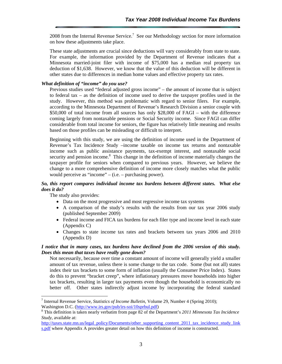2008 from the Internal Revenue Service.<sup>7</sup> See our Methodology section for more information on how these adjustments take place.

These state adjustments are crucial since deductions will vary considerably from state to state. For example, the information provided by the Department of Revenue indicates that a Minnesota married-joint filer with income of \$75,000 has a median real property tax deduction of \$1,638. However, we know that the value of this deduction will be different in other states due to differences in median home values and effective property tax rates.

### *What definition of "income" do you use?*

Previous studies used "federal adjusted gross income" – the amount of income that is subject to federal tax – as the definition of income used to derive the taxpayer profiles used in the study. However, this method was problematic with regard to senior filers. For example, according to the Minnesota Department of Revenue's Research Division a senior couple with \$50,000 of total income from all sources has only \$28,000 of FAGI – with the difference coming largely from nontaxable pensions or Social Security income. Since FAGI can differ considerable from total income for seniors, the figure has relatively little meaning and results based on those profiles can be misleading or difficult to interpret.

Beginning with this study, we are using the definition of income used in the Department of Revenue's Tax Incidence Study –income taxable on income tax returns and nontaxable income such as public assistance payments, tax-exempt interest, and nontaxable social security and pension income.<sup>8</sup> This change in the definition of income materially changes the taxpayer profile for seniors when compared to previous years. However, we believe the change to a more comprehensive definition of income more closely matches what the public would perceive as "income" – (i.e. – purchasing power).

## *So, this report compares individual income tax burdens between different states. What else does it do?*

The study also provides:

 $\overline{a}$ 

- Data on the most progressive and most regressive income tax systems
- A comparison of the study's results with the results from our tax year 2006 study (published September 2009)
- Federal income and FICA tax burdens for each filer type and income level in each state (Appendix C)
- Changes to state income tax rates and brackets between tax years 2006 and 2010 (Appendix D)

## *I notice that in many cases, tax burdens have declined from the 2006 version of this study. Does this mean that taxes have really gone down?*

Not necessarily, because over time a constant amount of income will generally yield a smaller amount of tax revenue, unless there is some change to the tax code. Some (but not all) states index their tax brackets to some form of inflation (usually the Consumer Price Index). States do this to prevent "bracket creep", where inflationary pressures move households into higher tax brackets, resulting in larger tax payments even though the household is economically no better off. Other states indirectly adjust income by incorporating the federal standard

http://taxes.state.mn.us/legal\_policy/Documents/other\_supporting\_content\_2011\_tax\_incidence\_study\_link s.pdf where Appendix A provides greater detail on how this definition of income is constructed.

<sup>7</sup> Internal Revenue Service, *Statistics of Income Bulletin*, Volume 29, Number 4 (Spring 2010);

Washington D.C. (http://www.irs.gov/pub/irs-soi/10sprbul.pdf) 8 This definition is taken nearly verbatim from page 82 of the Department's *2011 Minnesota Tax Incidence Study*, available at: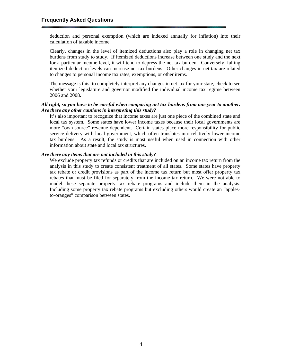deduction and personal exemption (which are indexed annually for inflation) into their calculation of taxable income.

Clearly, changes in the level of itemized deductions also play a role in changing net tax burdens from study to study. If itemized deductions increase between one study and the next for a particular income level, it will tend to depress the net tax burden. Conversely, falling itemized deduction levels can increase net tax burdens. Other changes in net tax are related to changes to personal income tax rates, exemptions, or other items.

The message is this: to completely interpret any changes in net tax for your state, check to see whether your legislature and governor modified the individual income tax regime between 2006 and 2008.

#### *All right, so you have to be careful when comparing net tax burdens from one year to another. Are there any other cautions in interpreting this study?*

It's also important to recognize that income taxes are just one piece of the combined state and local tax system. Some states have lower income taxes because their local governments are more "own-source" revenue dependent. Certain states place more responsibility for public service delivery with local government, which often translates into relatively lower income tax burdens. As a result, the study is most useful when used in connection with other information about state and local tax structures.

## *Are there any items that are not included in this study?*

We exclude property tax refunds or credits that are included on an income tax return from the analysis in this study to create consistent treatment of all states. Some states have property tax rebate or credit provisions as part of the income tax return but most offer property tax rebates that must be filed for separately from the income tax return. We were not able to model these separate property tax rebate programs and include them in the analysis. Including some property tax rebate programs but excluding others would create an "applesto-oranges" comparison between states.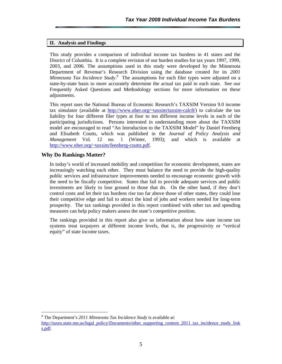## **II. Analysis and Findings**

This study provides a comparison of individual income tax burdens in 41 states and the District of Columbia. It is a complete revision of our burden studies for tax years 1997, 1999, 2003, and 2006. The assumptions used in this study were developed by the Minnesota Department of Revenue's Research Division using the database created for its *2001 Minnesota Tax Incidence Study*. 9 The assumptions for each filer types were adjusted on a state-by-state basis to more accurately determine the actual tax paid in each state. See our Frequently Asked Questions and Methodology sections for more information on these adjustments.

This report uses the National Bureau of Economic Research's TAXSIM Version 9.0 income tax simulator (available at http://www.nber.org/~taxsim/taxsim-calc8/) to calculate the tax liability for four different filer types at four to ten different income levels in each of the participating jurisdictions. Persons interested in understanding more about the TAXSIM model are encouraged to read "An Introduction to the TAXSIM Model" by Daniel Feenberg and Elisabeth Coutts, which was published in the *Journal of Policy Analysis and Management* Vol. 12 no. 1 (Winter, 1993); and which is available at http://www.nber.org/~taxsim/feenberg-coutts.pdf.

## **Why Do Rankings Matter?**

 $\overline{a}$ 

In today's world of increased mobility and competition for economic development, states are increasingly watching each other. They must balance the need to provide the high-quality public services and infrastructure improvements needed to encourage economic growth with the need to be fiscally competitive. States that fail to provide adequate services and public investments are likely to lose ground to those that do. On the other hand, if they don't control costs and let their tax burdens rise too far above those of other states, they could lose their competitive edge and fail to attract the kind of jobs and workers needed for long-term prosperity. The tax rankings provided in this report combined with other tax and spending measures can help policy makers assess the state's competitive position.

The rankings provided in this report also give us information about how state income tax systems treat taxpayers at different income levels, that is, the progressivity or "vertical equity" of state income taxes.

<sup>9</sup> The Department's *2011 Minnesota Tax Incidence Study* is available at:

http://taxes.state.mn.us/legal\_policy/Documents/other\_supporting\_content\_2011\_tax\_incidence\_study\_link s.pdf.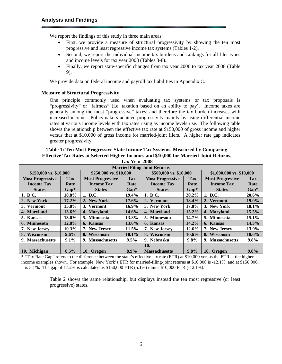We report the findings of this study in three main areas:

- First, we provide a measure of structural progressivity by showing the ten most progressive and least regressive income tax systems (Tables 1-2).
- Second, we report the individual income tax burdens and rankings for all filer types and income levels for tax year 2008 (Tables 3-8).
- Finally, we report state-specific changes from tax year 2006 to tax year 2008 (Table 9).

We provide data on federal income and payroll tax liabilities in Appendix C.

## **Measure of Structural Progressivity**

One principle commonly used when evaluating tax systems or tax proposals is "progressivity" or "fairness" (i.e. taxation based on an ability to pay). Income taxes are generally among the most "progressive" taxes; and therefore the tax burden increases with increased income. Policymakers achieve progressivity mainly by using differential income rates at various income levels with tax rates rising as income levels rise. The following table shows the relationship between the effective tax rate at \$150,000 of gross income and higher versus that at \$10,000 of gross income for married-joint filers. A higher rate gap indicates greater progressivity.

| Table 1: Ten Most Progressive State Income Tax Systems, Measured by Comparing          |
|----------------------------------------------------------------------------------------|
| Effective Tax Rates at Selected Higher Incomes and \$10,000 for Married-Joint Returns, |

|                         | Tax Year 2008 |                                                                                                                                 |            |                                     |            |                          |            |  |  |  |  |  |
|-------------------------|---------------|---------------------------------------------------------------------------------------------------------------------------------|------------|-------------------------------------|------------|--------------------------|------------|--|--|--|--|--|
|                         |               |                                                                                                                                 |            | <b>Married Filing Joint Returns</b> |            |                          |            |  |  |  |  |  |
| \$150,000 vs. \$10,000  |               | $$250,000 \text{ vs. } $10,000$                                                                                                 |            | \$500,000 vs. \$10,000              |            | \$1,000,000 vs. \$10,000 |            |  |  |  |  |  |
| <b>Most Progressive</b> | <b>Tax</b>    | <b>Most Progressive</b>                                                                                                         | <b>Tax</b> | <b>Most Progressive</b>             | <b>Tax</b> | <b>Most Progressive</b>  | <b>Tax</b> |  |  |  |  |  |
| <b>Income Tax</b>       | Rate          | <b>Income Tax</b>                                                                                                               | Rate       | <b>Income Tax</b>                   | Rate       | <b>Income Tax</b>        | Rate       |  |  |  |  |  |
| <b>States</b>           | Gap*          | <b>States</b>                                                                                                                   | $Gap*$     | <b>States</b>                       | $Gap*$     | <b>States</b>            | Gap*       |  |  |  |  |  |
| 1. D.C.                 | 18.8%         | 1. D.C.                                                                                                                         | 19.4%      | 1. D.C.                             | 20.2%      | 1. D.C.                  | 20.6%      |  |  |  |  |  |
| 2. New York             | 17.2%         | 2. New York                                                                                                                     | $17.6\%$   | 2. Vermont                          | 18.4%      | 2. Vermont               | 19.0%      |  |  |  |  |  |
| 3. Vermont              | 15.8%         | 3. Vermont                                                                                                                      | 16.9%      | 3. New York                         | 17.8%      | 3. New York              | 18.1%      |  |  |  |  |  |
| 4. Maryland             | 13.6%         | 4. Maryland                                                                                                                     | 14.6%      | 4. Maryland                         | 15.2%      | 4. Maryland              | 15.5%      |  |  |  |  |  |
| 5. Kansas               | 13.0%         | 5. Minnesota                                                                                                                    | 13.8%      | 5. Minnesota                        | 14.7%      | 5. Minnesota             | 15.1%      |  |  |  |  |  |
| 6. Minnesota            | 12.8%         | 6. Kansas                                                                                                                       | $13.6\%$   | 6. Kansas                           | 14.2%      | 6. Kansas                | 14.3%      |  |  |  |  |  |
| 7. New Jersey           | 10.3%         | 7. New Jersey                                                                                                                   | 11.5%      | 7. New Jersey                       | 12.6%      | 7. New Jersey            | 13.9%      |  |  |  |  |  |
| 8. Wisconsin            | $9.6\%$       | 8. Wisconsin                                                                                                                    | $10.1\%$   | 8. Wisconsin                        | 10.6%      | 8. Wisconsin             | $10.6\%$   |  |  |  |  |  |
| 9. Massachusetts        | $9.1\%$       | 9. Massachusetts                                                                                                                | $9.5\%$    | 9. Nebraska                         | $9.8\%$    | 9. Massachusetts         | $9.8\%$    |  |  |  |  |  |
|                         |               |                                                                                                                                 |            | 10.                                 |            |                          |            |  |  |  |  |  |
| 10. Michigan            | 8.5%          | 10. Oregon                                                                                                                      | $8.9\%$    | <b>Massachusetts</b>                | $9.8\%$    | 10. Oregon               | $9.8\%$    |  |  |  |  |  |
|                         |               | * "Tax Rate Gap" refers to the difference between the state's effective tax rate (ETR) at \$10,000 versus the ETR at the higher |            |                                     |            |                          |            |  |  |  |  |  |
|                         |               | income examples shown. For example, New York's ETR for married-filing-joint returns at \$10,000 is -12.1%, and at \$150,000,    |            |                                     |            |                          |            |  |  |  |  |  |
|                         |               | it is 5.1%. The gap of 17.2% is calculated as \$150,000 ETR $(5.1\%)$ minus \$10,000 ETR $(-12.1\%)$ .                          |            |                                     |            |                          |            |  |  |  |  |  |

Table 2 shows the same relationship, but displays instead the ten most regressive (or least progressive) states.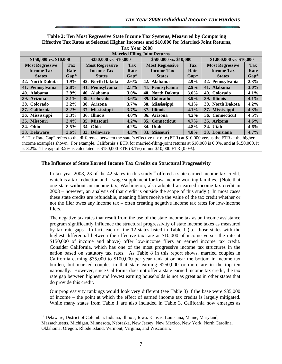|                        |            |                                                                                                                                   |                                      | <b>Married Filing Joint Returns</b> |            |                            |            |  |
|------------------------|------------|-----------------------------------------------------------------------------------------------------------------------------------|--------------------------------------|-------------------------------------|------------|----------------------------|------------|--|
| \$150,000 vs. \$10,000 |            | $$250,000 \text{ vs. } $10,000$                                                                                                   |                                      | \$500,000 vs. \$10,000              |            | $$1,000,000$ vs. $$10,000$ |            |  |
| <b>Most Regressive</b> | <b>Tax</b> | <b>Most Regressive</b>                                                                                                            | <b>Most Regressive</b><br><b>Tax</b> |                                     | <b>Tax</b> | <b>Most Regressive</b>     | <b>Tax</b> |  |
| <b>Income Tax</b>      | Rate       | <b>Income Tax</b>                                                                                                                 | Rate                                 | <b>Income Tax</b>                   | Rate       | <b>Income Tax</b>          | Rate       |  |
| <b>States</b>          | $Gap*$     | <b>States</b>                                                                                                                     | $Gap*$                               | <b>States</b>                       | $Gap*$     | <b>States</b>              | $Gap*$     |  |
| 42. North Dakota       | $1.9\%$    | 42. North Dakota                                                                                                                  | $2.6\%$                              | 42. Alabama                         | $2.9\%$    | 42. Pennsylvania           | 2.8%       |  |
| 41. Pennsylvania       | 2.8%       | 41. Pennsylvania                                                                                                                  | 2.8%                                 | 41. Pennsylvania                    | $2.9\%$    | 41. Alabama                | $3.0\%$    |  |
| 40. Alabama            | $2.9\%$    | 40. Alabama                                                                                                                       | $3.0\%$                              | 40. North Dakota                    | $3.6\%$    | 40. Colorado               | $4.1\%$    |  |
| 39. Arizona            | $3.1\%$    | 39. Colorado                                                                                                                      | $3.6\%$                              | 39. Colorado                        | $3.9\%$    | 39. Illinois               | $4.1\%$    |  |
| 38. Colorado           | $3.2\%$    | 38. Arizona                                                                                                                       | $3.7\%$                              | 38. Mississippi                     | 4.1%       | 38. North Dakota           | $4.2\%$    |  |
| 37. California         | $3.2\%$    | 37. Mississippi                                                                                                                   | 3.7%                                 | 37. Illinois                        | 4.1%       | 37. Mississippi            | 4.3%       |  |
| 36. Mississippi        | $3.3\%$    | 36. Illinois                                                                                                                      | $4.0\%$                              | 36. Arizona                         | $4.2\%$    | 36. Connecticut            | 4.5%       |  |
| 35. Missouri           | $3.4\%$    | 35. Missouri                                                                                                                      | $4.2\%$                              | 35. Connecticut                     | $4.7\%$    | 35. Arizona                | $4.6\%$    |  |
| <b>34. Ohio</b>        | $3.5\%$    | <b>34. Ohio</b>                                                                                                                   | $4.2\%$                              | <b>34.</b> Utah                     | $4.8\%$    | <b>34.</b> Utah            | $4.6\%$    |  |
| 33. Delaware           | $3.6\%$    | 33. Delaware                                                                                                                      | 4.3%                                 | 33. Missouri                        | $4.8\%$    | 33. Louisiana              | $4.7\%$    |  |
|                        |            | * "The Date Can" urban to the difference hatercare the state) officialize top uses (ETD) at 010.000 common the ETD at the highest |                                      |                                     |            |                            |            |  |

#### **Table 2: Ten Most Regressive State Income Tax Systems, Measured by Comparing Effective Tax Rates at Selected Higher Incomes and \$10,000 for Married-Joint Returns, Tax Year 2008**

Tax Rate Gap" refers to the difference between the state's effective tax rate (ETR) at \$10,000 versus the ETR at the higher income examples shown. For example, California's ETR for married-filing-joint returns at \$10,000 is 0.0%, and at \$150,000, it is 3.2%. The gap of 3.2% is calculated as \$150,000 ETR (3.1%) minus \$10,000 ETR (0.0%).

## **The Influence of State Earned Income Tax Credits on Structural Progressivity**

In tax year 2008, 23 of the 42 states in this study<sup>10</sup> offered a state earned income tax credit, which is a tax reduction and a wage supplement for low-income working families. (Note that one state without an income tax, Washington, also adopted an earned income tax credit in 2008 – however, an analysis of that credit is outside the scope of this study.) In most cases these state credits are refundable, meaning filers receive the value of the tax credit whether or not the filer owes any income tax – often creating negative income tax rates for low-income filers.

The negative tax rates that result from the use of the state income tax as an income assistance program significantly influence the structural progressivity of state income taxes as measured by tax rate gaps. In fact, each of the 12 states listed in Table 1 (i.e. those states with the highest differential between the effective tax rate at \$10,000 of income versus the rate at \$150,000 of income and above) offer low-income filers an earned income tax credit. Consider California, which has one of the most progressive income tax structures in the nation based on statutory tax rates. As Table 8 in this report shows, married couples in California earning \$35,000 to \$100,000 per year rank at or near the bottom in income tax burden, but married couples in that state earning \$250,000 or more are in the top ten nationally. However, since California does not offer a state earned income tax credit, the tax rate gap between highest and lowest earning households is not as great as in other states that do provide this credit.

Our progressivity rankings would look very different (see Table 3) if the base were \$35,000 of income – the point at which the effect of earned income tax credits is largely mitigated. While many states from Table 1 are also included in Table 3, California now emerges as

 $\overline{a}$ 

<sup>&</sup>lt;sup>10</sup> Delaware, District of Columbia, Indiana, Illinois, Iowa, Kansas, Louisiana, Maine, Maryland, Massachusetts, Michigan, Minnesota, Nebraska, New Jersey, New Mexico, New York, North Carolina, Oklahoma, Oregon, Rhode Island, Vermont, Virginia, and Wisconsin.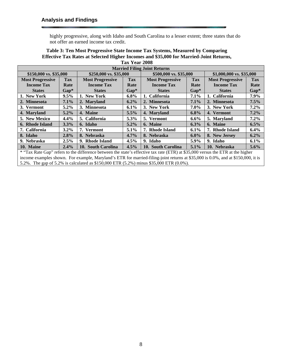highly progressive, along with Idaho and South Carolina to a lesser extent; three states that do not offer an earned income tax credit.

## **Table 3: Ten Most Progressive State Income Tax Systems, Measured by Comparing Effective Tax Rates at Selected Higher Incomes and \$35,000 for Married-Joint Returns, Tax Year 2008**

|                         |            |                                 |            | <b>Married Filing Joint Returns</b>   |         |                          |            |  |
|-------------------------|------------|---------------------------------|------------|---------------------------------------|---------|--------------------------|------------|--|
| \$150,000 vs. \$35,000  |            | $$250,000 \text{ vs. } $35,000$ |            | \$500,000 vs. \$35,000                |         | \$1,000,000 vs. \$35,000 |            |  |
| <b>Most Progressive</b> | <b>Tax</b> | <b>Most Progressive</b>         | <b>Tax</b> | <b>Most Progressive</b><br><b>Tax</b> |         | <b>Most Progressive</b>  | <b>Tax</b> |  |
| <b>Income Tax</b>       | Rate       | <b>Income Tax</b>               | Rate       | <b>Income Tax</b>                     | Rate    | <b>Income Tax</b>        | Rate       |  |
| <b>States</b>           | $Gap*$     | <b>States</b>                   | $Gap*$     | <b>States</b>                         | $Gap*$  | <b>States</b>            | $Gap*$     |  |
| 1. New York             | $9.5\%$    | 1. New York                     | $6.8\%$    | 1. California                         | $7.1\%$ | 1. California            | 7.9%       |  |
| 2. Minnesota            | $7.1\%$    | 2. Maryland                     | $6.2\%$    | 2. Minnesota                          | $7.1\%$ | 2. Minnesota             | 7.5%       |  |
| 3. Vermont              | $5.2\%$    | 3. Minnesota                    | $6.1\%$    | 3. New York                           | $7.0\%$ | 3. New York              | $7.2\%$    |  |
| 4. Maryland             | $5.2\%$    | 4. Maine                        | $5.5\%$    | 4. Maryland                           | $6.8\%$ | 4. Vermont               | $7.2\%$    |  |
| 5. New Mexico           | $4.4\%$    | 5. California                   | $5.3\%$    | 5. Vermont                            | $6.6\%$ | 5. Maryland              | $7.2\%$    |  |
| 6. Rhode Island         | 3.3%       | 6. Idaho                        | $5.2\%$    | 6. Maine                              | 6.3%    | 6. Maine                 | $6.5\%$    |  |
| 7. California           | $3.2\%$    | 7. Vermont                      | $5.1\%$    | 7. Rhode Island                       | $6.1\%$ | 7. Rhode Island          | $6.4\%$    |  |
| 8. Idaho                | 2.8%       | 8. Nebraska                     | $4.7\%$    | 8. Nebraska                           | $6.0\%$ | 8. New Jersey            | $6.2\%$    |  |
| 9. Nebraska             | 2.5%       | 9. Rhode Island                 | $4.5\%$    | 9. Idaho                              | 5.9%    | 9. Idaho                 | $6.1\%$    |  |
| 10. Maine               | 2.4%       | 10. South Carolina              | 4.5%       | 10. South Carolina                    | $5.1\%$ | 10. Nebraska             | $5.6\%$    |  |

\* "Tax Rate Gap" refers to the difference between the state's effective tax rate (ETR) at \$35,000 versus the ETR at the higher income examples shown. For example, Maryland's ETR for married-filing-joint returns at \$35,000 is 0.0%, and at \$150,000, it is 5.2%. The gap of 5.2% is calculated as \$150,000 ETR (5.2%) minus \$35,000 ETR (0.0%).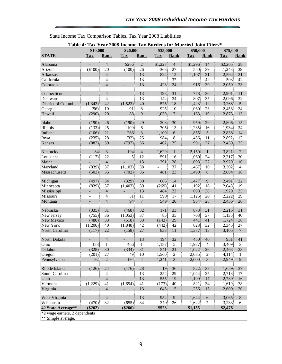|                               | \$10,000                     |                          |                          | Table 4: Tax Year 2008 Income Tax Burdens for Married-Joint Filers*<br>\$20,000 |                          |                | \$50,000 |                |                        |                |  |
|-------------------------------|------------------------------|--------------------------|--------------------------|---------------------------------------------------------------------------------|--------------------------|----------------|----------|----------------|------------------------|----------------|--|
| <b>STATE</b>                  | <b>Tax</b>                   | Rank                     | Tax                      | <b>Rank</b>                                                                     | \$35,000<br><b>Tax</b>   | Rank           | Tax      | Rank           | \$75,000<br><b>Tax</b> | Rank           |  |
|                               |                              |                          |                          |                                                                                 |                          |                |          |                |                        |                |  |
| Alabama                       | $\frac{1}{2}$                | $\overline{4}$           | \$266                    | $\overline{2}$                                                                  | \$1,227                  | $\overline{4}$ | \$1,296  | 14             | \$2,265                | 28             |  |
| Arizona                       | (\$100)                      | 20                       | (100)                    | 26                                                                              | 368                      | 27             | 550      | 39             | 1,243                  | 39             |  |
| <b>Arkansas</b>               | $\overline{\phantom{a}}$     | $\overline{4}$           | $\frac{1}{2}$            | 13                                                                              | 824                      | 12             | 1,107    | 21             | 2,594                  | 21             |  |
| California                    | $\qquad \qquad \blacksquare$ | 4                        | $\overline{\phantom{a}}$ | 13                                                                              |                          | 37             |          | 42             | 593                    | 42             |  |
| Colorado                      |                              | $\overline{4}$           | $\overline{a}$           | 13                                                                              | 428                      | 24             | 916      | 30             | 2,059                  | 33             |  |
| Connecticut                   |                              | $\overline{4}$           |                          | 13                                                                              | 198                      | 31             | 778      | 36             | 2,901                  | 11             |  |
| Delaware                      |                              | $\overline{4}$           |                          | 13                                                                              | 142                      | 34             | 807      | 35             | 2,096                  | 32             |  |
| District of Columbia          | (1, 342)                     | 42                       | (1,523)                  | 40                                                                              | 575                      | 18             | 1,423    | 12             | 3,268                  | 5              |  |
| Georgia                       | (56)                         | 19                       | 91                       | $\,8\,$                                                                         | 925                      | 10             | 1,060    | 23             | 2,456                  | 24             |  |
| Hawaii                        | (290)                        | 29                       | 88                       | 9                                                                               | 1,039                    | $\overline{7}$ | 1,163    | 19             | 2,873                  | 13             |  |
| Idaho                         | (190)                        | 26                       | (190)                    | 29                                                                              | 208                      | 30             | 959      | 29             | 2,806                  | 15             |  |
| Illinois                      | (133)                        | 25                       | 109                      | 6                                                                               | 705                      | 13             | 1,235    | 16             | 1,934                  | 34             |  |
| Indiana                       | (106)                        | 21                       | 266                      | $\overline{3}$                                                                  | 1,100                    | 6              | 1,855    | $\mathfrak{S}$ | 2,838                  | 14             |  |
| Iowa                          | (235)                        | 28                       | (32)                     | 25                                                                              | 984                      | $\,8\,$        | 1,456    | 11             | 2,892                  | 12             |  |
| Kansas                        | (882)                        | 39                       | (797)                    | 36                                                                              | 402                      | 25             | 991      | 27             | 2,439                  | 25             |  |
| Kentucky                      | 84                           | 3                        | 194                      | $\overline{4}$                                                                  | 1,629                    | $\mathbf{1}$   | 2,150    | $\mathbf{1}$   | 3,821                  | $\overline{2}$ |  |
| Louisiana                     | (117)                        | 22                       | 5                        | 12                                                                              | 591                      | 16             | 1,060    | 24             | 2,217                  | 30             |  |
| Maine                         | $\overline{\phantom{a}}$     | $\overline{4}$           | $\overline{\phantom{a}}$ | 13                                                                              | 291                      | 28             | 1,098    | 22             | 2,929                  | 10             |  |
| Maryland                      | (839)                        | 37                       | (1,103)                  | 38                                                                              | $\overline{\phantom{a}}$ | 37             | 1,467    | 10             | 3,302                  | $\overline{4}$ |  |
| Massachusetts                 | (503)                        | 35                       | (702)                    | 35                                                                              | 481                      | 23             | 1,490    | 8              | 2,684                  | 18             |  |
| Michigan                      | (497)                        | 34                       | (329)                    | 30                                                                              | 666                      | 14             | 1,477    | $\overline{9}$ | 2,491                  | 22             |  |
| Minnesota                     | (839)                        | 37                       | (1,403)                  | 39                                                                              | (269)                    | 41             | 1,192    | 18             | 2,648                  | 19             |  |
| Mississippi                   | $\overline{\phantom{a}}$     | $\overline{\mathcal{L}}$ | $\frac{1}{2}$            | 13                                                                              | 484                      | 22             | 698      | 38             | 1,929                  | 35             |  |
| Missouri                      | $\overline{\phantom{0}}$     | 4                        | 31                       | 11                                                                              | 590                      | 17             | 1,125    | 20             | 2,222                  | 29             |  |
| Montana                       |                              | $\overline{4}$           | 94                       | $\overline{7}$                                                                  | 549                      | 20             | 984      | 28             | 2,436                  | 26             |  |
| Nebraska                      | (335)                        | 31                       | (468)                    | 32                                                                              | 171                      | 33             | 873      | 31             | 2,215                  | 31             |  |
| New Jersey                    | (755)                        | 36                       | (1,053)                  | 37                                                                              | 85                       | 35             | 703      | 37             | 1,135                  | 40             |  |
| New Mexico                    | (480)                        | 33                       | (518)                    | 33                                                                              | (143)                    | 39             | 441      | 41             | 1,724                  | 36             |  |
| New York                      | (1,206)                      | 40                       | (1, 848)                 | 42                                                                              | (442)                    | 42             | 823      | 32             | 2,345                  | 27             |  |
| North Carolina                | (117)                        | 22                       | (158)                    | 27                                                                              | 833                      | 11             | 1,377    | 13             | 3,105                  | $\overline{7}$ |  |
| North Dakota                  | $\overline{\phantom{a}}$     | $\overline{4}$           | $\overline{\phantom{a}}$ | 13                                                                              | 194                      | 32             | 450      | 40             | 951                    | 41             |  |
| Ohio                          | 183                          | 1                        | 466                      | 1                                                                               | 1,187                    | 5              | 1,977    | $\overline{4}$ | 3,409                  | 3              |  |
| Oklahoma                      | (328)                        | 30                       | (334)                    | 31                                                                              | 541                      | 21             | 1,022    | 26             | 2,463                  | 23             |  |
| Oregon                        | (201)                        | 27                       | 49                       | 10                                                                              | 1,560                    | $\sqrt{2}$     | 2,085    | $\sqrt{2}$     | 4,114                  | 1              |  |
| Pennsylvania                  | 92                           | $\overline{2}$           | 194                      | $\overline{4}$                                                                  | 1,241                    | $\overline{3}$ | 2,000    | $\overline{3}$ | 2,949                  | 9              |  |
| Rhode Island                  | (126)                        | 24                       | (176)                    | 28                                                                              | 19                       | 36             | 822      | 33             | 1,659                  | 37             |  |
| South Carolina                | $\blacksquare$               | $\overline{4}$           | $\overline{\phantom{a}}$ | 13                                                                              | 254                      | 29             | 1,044    | 25             | 2,718                  | 17             |  |
| Utah                          |                              | $\overline{4}$           |                          | 13                                                                              | 555                      | 19             | 1,199    | 17             | 2,739                  | 16             |  |
| Vermont                       | (1,229)                      | 41                       | (1,654)                  | 41                                                                              | (173)                    | 40             | 821      | 34             | 1,619                  | 38             |  |
| Virginia                      | L,                           | $\overline{4}$           | L,                       | 13                                                                              | 645                      | 15             | 1,256    | 15             | 2,609                  | 20             |  |
| West Virginia                 | $\overline{\phantom{0}}$     | $\overline{4}$           | $\qquad \qquad -$        | 13                                                                              | 952                      | 9              | 1,644    | 6              | 3,065                  | $8\,$          |  |
| Wisconsin                     | (470)                        | 32                       | (655)                    | 34                                                                              | 370                      | 26             | 1,622    | 7              | 3,233                  | 6              |  |
| 42 State Average**            | $(\$262)$                    |                          | $(\$266)$                |                                                                                 | \$523                    |                | \$1,155  |                | \$2,476                |                |  |
| *2 wage earners, 2 dependents |                              |                          |                          |                                                                                 |                          |                |          |                |                        |                |  |

## State Income Tax Comparison Tables, Tax Year 2008 Liabilities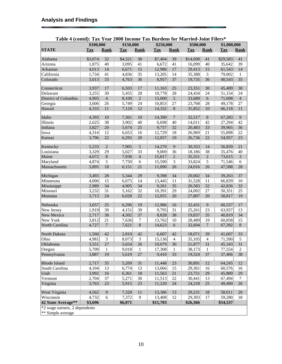| Table + (conta). Tax Teal 2000 meonic Tax Durachs for married goint Filers | \$100,000  |                  | \$150,000  |                | \$250,000 |                  | \$500,000 |                  | \$1,000,000 |                |
|----------------------------------------------------------------------------|------------|------------------|------------|----------------|-----------|------------------|-----------|------------------|-------------|----------------|
| <b>STATE</b>                                                               | <b>Tax</b> | Rank             | <b>Tax</b> | <b>Rank</b>    | Tax       | Rank             | Tax       | <b>Rank</b>      | Tax         | Rank           |
|                                                                            |            |                  |            |                |           |                  |           |                  |             |                |
| Alabama                                                                    | \$3,074    | 32               | \$4,321    | 38             | \$7,404   | 39               | \$14,698  | 41               | \$29,583    | 41             |
| Arizona                                                                    | 1,875      | 40               | 3,095      | 41             | 6,672     | 41               | 16,099    | 40               | 35,642      | 39             |
| Arkansas                                                                   | 4,013      | 14               | 6,671      | 15             | 12,986    | 17               | 29,413    | 15               | 61,543      | 14             |
| California                                                                 | 1,734      | 41               | 4,836      | 35             | 13,205    | 14               | 35,388    | $\mathfrak{Z}$   | 79,002      | $\mathbf{1}$   |
| Colorado                                                                   | 3,013      | 33               | 4,763      | 36             | 8,957     | 37               | 19,735    | 36               | 40,543      | 35             |
|                                                                            |            |                  |            |                |           |                  |           |                  |             |                |
| Connecticut                                                                | 3,937      | 17               | 6,503      | $17\,$         | 11,163    | 25               | 23,351    | 30               | 45,489      | 30             |
| Delaware                                                                   | 3,255      | 30               | 5,455      | 28             | 10,778    | 28               | 24,434    | 24               | 51,154      | 24             |
| District of Columbia                                                       | 4,905      | $\overline{4}$   | 8,100      | $\overline{c}$ | 15,000    | $\sqrt{5}$       | 33,689    | $\sqrt{6}$       | 71,698      | $\overline{4}$ |
| Georgia                                                                    | 3,606      | 26               | 5,749      | 24             | 10,853    | 27               | 23,768    | $28\,$           | 49,178      | 27             |
| Hawaii                                                                     | 4,333      | 11               | 7,129      | 12             | 14,332    | $\,8\,$          | 31,852    | 10               | 66,118      | 11             |
|                                                                            |            |                  |            |                |           |                  |           |                  |             |                |
| Idaho                                                                      | 4,393      | $10\,$           | 7,361      | 10             | 14,390    | $7\phantom{.0}$  | 32,517    | $\,8\,$          | 67,283      | $\overline{9}$ |
| Illinois                                                                   | 2,625      | 38               | 3,902      | 40             | 6,698     | 40               | 14,011    | 42               | 27,294      | 42             |
| Indiana                                                                    | 3,827      | $20\,$           | 5,674      | 25             | 9,757     | 32               | 20,483    | 33               | 39,965      | 36             |
| Iowa                                                                       | 4,314      | 12               | 6,653      | 16             | 12,729    | 18               | 26,969    | 21               | 55,898      | 22             |
| Kansas                                                                     | 3,796      | 22               | 6,292      | 20             | 12,057    | 19               | 26,736    | 22               | 54,957      | 23             |
| Kentucky                                                                   | 5,233      | $\overline{2}$   | 7,905      | 5              | 14,270    | $\boldsymbol{9}$ | 30,353    | 14               | 56,839      | 21             |
| Louisiana                                                                  | 3,329      | 29               | 5,027      | 33             | 9,069     | 36               | 18,186    | 38               | 35,476      | 40             |
| Maine                                                                      | 4,672      | $\,8\,$          | 7,938      | $\overline{4}$ | 15,817    | $\sqrt{2}$       | 35,551    | $\sqrt{2}$       | 73,615      | $\mathfrak{Z}$ |
| Maryland                                                                   | 4,874      | 5                | 7,750      | $\epsilon$     | 15,590    | $\mathfrak{Z}$   | 33,824    | $\overline{5}$   | 71,546      | $\sqrt{6}$     |
| Massachusetts                                                              | 3,895      | 18               | 6,151      | 21             | 11,090    | 26               | 24,016    | 26               | 47,588      | 28             |
|                                                                            |            |                  |            |                |           |                  |           |                  |             |                |
| Michigan                                                                   | 3,493      | 28               | 5,344      | 29             | 9,398     | 34               | 20,002    | 34               | 39,263      | 37             |
| Minnesota                                                                  | 4,006      | 15               | 6,675      | 14             | 13,445    | 11               | 31,528    | 11               | 66,839      | 10             |
| Mississippi                                                                | 2,989      | 34               | 4,905      | 34             | 9,261     | 35               | 20,583    | 32               | 42,836      | 32             |
| Missouri                                                                   | 3,232      | 31               | 5,162      | 32             | 10,391    | 29               | 24,002    | 27               | 50,351      | 25             |
| Montana                                                                    | 3,713      | 24               | 6,028      | 22             | 12,055    | $20\,$           | 27,807    | 20               | 58,817      | 19             |
| Nebraska                                                                   | 3,657      | 25               | 6,296      | 19             | 12,986    | 16               | 32,431    | $\boldsymbol{9}$ | 60,557      | $17\,$         |
| New Jersey                                                                 | 1,919      | 39               | 4,151      | 39             | 9,795     | 31               | 25,261    | 23               | 63,937      | 13             |
| New Mexico                                                                 | 2,717      | 36               | 4,502      | 37             | 8,828     | 38               | 19,837    | 35               | 40,819      | 34             |
| New York                                                                   | 3,812      | 21               | 7,636      | $\tau$         | 13,762    | 10               | 28,489    | 19               | 60,858      | 15             |
| North Carolina                                                             | 4,727      | $\boldsymbol{7}$ | 7,621      | $\,8\,$        | 14,623    | $6\,$            | 32,604    | $\boldsymbol{7}$ | 67,392      | $8\,$          |
|                                                                            |            |                  |            |                |           |                  |           |                  |             |                |
| North Dakota                                                               | 1,560      | 42               | 2,810      | 42             | 6,607     | 42               | 18,071    | 39               | 41,607      | 33             |
| Ohio                                                                       | 4,981      | $\mathfrak{Z}$   | 8,073      | 3              | 15,136    | $\overline{4}$   | 35,105    | $\overline{4}$   | 71,590      | 5              |
| Oklahoma                                                                   | 3,551      | 27               | 5,654      | 26             | 10,079    | 30               | 21,877    | 31               | 45,343      | 31             |
| Oregon                                                                     | 5,709      | $\mathbf{1}$     | 9,018      | $\mathbf{1}$   | 17,308    | $\mathbf{1}$     | 38,173    | $\mathbf{1}$     | 77,554      | $\sqrt{2}$     |
| Pennsylvania                                                               | 3,887      | 19               | 5,619      | 27             | 9,410     | 33               | 19,324    | 37               | 37,406      | 38             |
| Rhode Island                                                               | 2,717      | 35               | 5,209      | 31             | 11,448    | 23               | 30,891    | 12               | 64,245      | 12             |
| South Carolina                                                             | 4,104      | 13               | 6,774      | 13             | 13,066    | 15               | 29,361    | 16               | 60,576      | 16             |
| Utah                                                                       | 3,992      | 16               | 6,361      | $18\,$         | 11,563    | 21               | 23,751    | 29               | 45,889      | $29\,$         |
| Vermont                                                                    | 2,704      | 37               | 5,271      | 30             | 11,513    | $22\,$           | 30,441    | 13               | 67,494      | 7              |
| Virginia                                                                   | 3,763      | 23               | 5,915      | 23             | 11,220    | 24               | 24,218    | 25               | 49,490      | $26\,$         |
|                                                                            |            |                  |            |                |           |                  |           |                  |             |                |
| West Virginia                                                              | 4,562      | 9                | 7,328      | $11\,$         | 13,386    | 13               | 29,231    | 18               | 58,011      | $20\,$         |
| Wisconsin                                                                  | 4,732      | 6                | 7,372      | 9              | 13,408    | 12               | 29,303    | 17               | 59,280      | 18             |
| 42 State Average**                                                         | \$3,696    |                  | \$6,071    |                | \$11,703  |                  | \$26,366  |                  | \$54,537    |                |
| *2 wage earners, 2 dependents                                              |            |                  |            |                |           |                  |           |                  |             |                |
| ** Simple average                                                          |            |                  |            |                |           |                  |           |                  |             |                |

## **Table 4 (contd): Tax Year 2008 Income Tax Burdens for Married-Joint Filers\***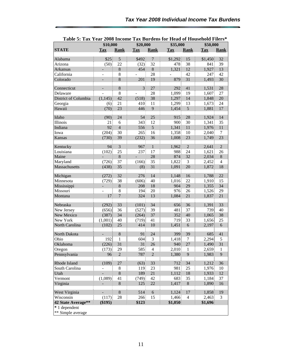| <b>STATE</b>               | \$10,000<br><b>Tax</b><br>\$25 | <b>Rank</b>    | \$20,000<br>Tax | Rank           | \$35,000<br><b>Tax</b> | Rank                           | \$50,000<br><b>Tax</b> | Rank           |
|----------------------------|--------------------------------|----------------|-----------------|----------------|------------------------|--------------------------------|------------------------|----------------|
|                            |                                |                |                 |                |                        |                                |                        |                |
|                            |                                |                |                 |                |                        |                                |                        |                |
| Alabama                    |                                | 5              | \$492           | $\overline{7}$ | \$1,292                | 15                             | \$1,450                | 32             |
| Arizona                    | (50)                           | 22             | (32)            | 32             | 478                    | 38                             | 841                    | 39             |
| <b>Arkansas</b>            |                                | 8              | 454             | $8\,$          | 1,321                  | 12                             | 1,927                  | 13             |
| California                 |                                | 8              |                 | 28             |                        | 42                             | 247                    | 42             |
| Colorado                   |                                | 8              | 201             | 19             | 879                    | 31                             | 1,493                  | 30             |
| Connecticut                |                                | 8              | 3               | 27             | 292                    | 41                             | 1,531                  | 28             |
| Delaware                   |                                | 8              |                 | 28             | 1,099                  | 19                             | 1,607                  | 27             |
| District of Columbia       | (1, 145)                       | 42             | (518)           | 38             | 1,297                  | 14                             | 1,848                  | $20\,$         |
| Georgia                    | (6)                            | 21             | 410             | 11             | 1,299                  | 13                             | 1,673                  | 24             |
| Hawaii                     | (70)                           | 23             | 446             | 9              | 1,454                  | 5                              | 1,881                  | 17             |
| Idaho                      | (90)                           | 24             | 54              | 25             | 915                    | 28                             | 1,924                  | 14             |
| Illinois                   | 21                             | 6              | 343             | 12             | 900                    | 30                             | 1,341                  | 35             |
| Indiana                    | 92                             | $\overline{4}$ | 556             | 5              | 1,341                  | 11                             | 1,976                  | 11             |
| Iowa                       | (204)                          | 30             | 265             | 16             | 1,358                  | 10                             | 2,040                  | $\overline{7}$ |
| Kansas                     | (730)                          | 39             | (232)           | 36             | 1,008                  | 23                             | 1,749                  | 23             |
| Kentucky                   | 94                             | 3              | 967             | $\mathbf{1}$   | 1,962                  | $\overline{2}$                 | 2,641                  | $\overline{2}$ |
| Louisiana                  | (102)                          | 25             | 237             | 17             | 988                    | 24                             | 1,621                  | 26             |
| Maine                      | L,                             | 8              |                 | 28             | 874                    | 32                             | 2,034                  | $\,8\,$        |
| Maryland                   | (726)                          | 37             | (166)           | 35             | 1,822                  | 3                              | 2,452                  | $\overline{4}$ |
| Massachusetts              | (438)                          | 35             | (8)             | 31             | 1,091                  | 20                             | 1,872                  | 18             |
|                            |                                |                |                 |                |                        |                                |                        |                |
| Michigan                   | (272)                          | 32             | 276             | 14             | 1,148                  | 16                             | 1,788                  | 22             |
| Minnesota                  | (729)                          | 38             | (606)           | 40             | 1,016                  | 22                             | 1,910                  | 15             |
| Mississippi                | ÷,                             | 8              | 208             | 18             | 904                    | 29                             | 1,355                  | 34             |
| Missouri                   |                                | 8              | 194             | 20             | 976                    | 26                             | 1,526                  | 29             |
| Montana                    | 17                             | $\overline{7}$ | 324             | 13             | 1,084                  | 21                             | 1,837                  | 21             |
| Nebraska                   | (292)                          | 33             | (101)           | 34             | 656                    | 36                             | 1,391                  | 33             |
| New Jersey                 | (656)                          | 36             | (527)           | 39             | 481                    | 37                             | 739                    | 40             |
| New Mexico                 | (387)                          | 34             | (264)           | 37             | 352                    | 40                             | 1,065                  | 38             |
| New York                   | (1,001)                        | 40             | (719)           | 41             | 719                    | 33                             | 1,656                  | 25             |
| North Carolina             | (102)                          | 25             | 414             | 10             | 1,451                  | 6                              | 2,197                  | 6              |
| North Dakota               | $\overline{a}$                 | 8              | 91              | 24             | 399                    | 39                             | 685                    | 41             |
| Ohio                       | 192                            | $\mathbf{1}$   | 604             | 3              | 1,418                  | 7                              | 2,294                  | 5              |
| Oklahoma                   | (226)                          | 31             | 31              | 26             | 940                    | 27                             | 1,490                  | 31             |
| Oregon                     | (173)                          | 29             | 585             | $\overline{4}$ | 2,010                  | $\mathbf 1$                    | 2,659                  | $\mathbf{1}$   |
| Pennsylvania               | 96                             | $\overline{2}$ | 787             | $\overline{2}$ | 1,380                  | 9                              | 1,983                  | 9              |
| Rhode Island               | (109)                          | 27             | (63)            | 33             | 712                    | 34                             | 1,212                  | 36             |
| South Carolina             | $\overline{a}$                 | $\,8\,$        | 119             | 23             | 981                    | 25                             | 1,976                  | 10             |
| Utah                       | -                              | $8\,$          | 189             | 21             | 1,112                  | 18                             | 1,933                  | 12             |
| Vermont                    | (1,089)                        | 41             | (749)           | 42             | 683                    | 35                             | 1,184                  | 37             |
| Virginia                   |                                | $8\,$          | 125             | 22             | 1,417                  | 8                              | 1,890                  | 16             |
|                            |                                | $8\,$          |                 | 6              |                        |                                |                        |                |
| West Virginia<br>Wisconsin | 4                              | 28             | 514<br>266      | 15             | 1,124<br>1,466         | 17<br>$\overline{\mathcal{L}}$ | 1,858<br>2,463         | 19             |
| 42 State Average**         | (117)<br>(\$195)               |                | \$123           |                | \$1,050                |                                | \$1,696                | 3              |
| * 1 dependent              |                                |                |                 |                |                        |                                |                        |                |
| ** Simple average          |                                |                |                 |                |                        |                                |                        |                |

| Table 5: Tax Year 2008 Income Tax Burdens for Head of Household Filers* |  |  |  |  |  |  |  |  |  |  |  |  |
|-------------------------------------------------------------------------|--|--|--|--|--|--|--|--|--|--|--|--|
|-------------------------------------------------------------------------|--|--|--|--|--|--|--|--|--|--|--|--|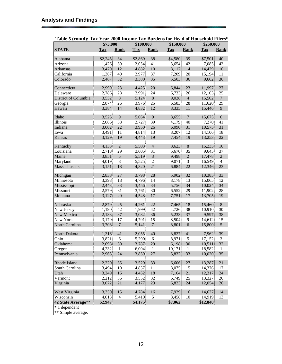e.<br>Geboortes

| Table 5 (contd): Tax Year 2008 Income Tax Burdens for Head of Household Filers* | \$75,000 |                          | \$100,000  |                | \$150,000  |                  | \$250,000  |                |  |
|---------------------------------------------------------------------------------|----------|--------------------------|------------|----------------|------------|------------------|------------|----------------|--|
| <b>STATE</b>                                                                    | Tax      | <b>Rank</b>              | <b>Tax</b> | Rank           | <b>Tax</b> | <b>Rank</b>      | <b>Tax</b> | <b>Rank</b>    |  |
| Alabama                                                                         | \$2,245  | 34                       | \$2,869    | 38             | \$4,580    | 39               | \$7,501    | 40             |  |
| Arizona                                                                         | 1,426    | 39                       | 2,054      | 41             | 3,654      | 42               | 7,085      | 42             |  |
| <b>Arkansas</b>                                                                 | 3,470    | 12                       | 4,882      | 10             | 8,117      | 14               | 14,429     | 16             |  |
| California                                                                      | 1,367    | 40                       | 2,977      | 37             | 7,209      | 20               | 15,194     | 11             |  |
| Colorado                                                                        | 2,467    | 32                       | 3,380      | 35             | 5,503      | 36               | 9,662      | 36             |  |
| Connecticut                                                                     | 2,990    | 23                       | 4,425      | 20             | 6,844      | 23               | 11,997     | 27             |  |
| Delaware                                                                        | 2,786    | 28                       | 3,991      | 24             | 6,733      | 26               | 12,103     | 25             |  |
| District of Columbia                                                            | 3,552    | $8\,$                    | 5,124      | $8\,$          | 9,028      | $\overline{4}$   | 15,502     | $\overline{7}$ |  |
| Georgia                                                                         | 2,874    | 26                       | 3,976      | 25             | 6,583      | $28\,$           | 11,620     | 29             |  |
| Hawaii                                                                          | 3,384    | 14                       | 4,832      | 12             | 8,335      | 11               | 15,446     | 9              |  |
| Idaho                                                                           | 3,525    | $\mathbf{9}$             | 5,064      | 9              | 8,655      | $\boldsymbol{7}$ | 15,675     | $6\,$          |  |
| Illinois                                                                        | 2,066    | 38                       | 2,727      | 39             | 4,179      | 40               | 7,270      | 41             |  |
| Indiana                                                                         | 3,002    | 22                       | 3,950      | 26             | 6,090      | 31               | 10,575     | 31             |  |
| Iowa                                                                            | 3,491    | 11                       | 4,814      | 13             | 8,207      | 12               | 14,106     | 18             |  |
| Kansas                                                                          | 3,129    | 19                       | 4,443      | 19             | 7,454      | 19               | 13,253     | 22             |  |
| Kentucky                                                                        | 4,133    | $\overline{2}$           | 5,503      | $\overline{4}$ | 8,623      | $8\,$            | 15,235     | 10             |  |
| Louisiana                                                                       | 2,718    | 29                       | 3,605      | 31             | 5,670      | 35               | 9,645      | 37             |  |
| Maine                                                                           | 3,851    | 5                        | 5,519      | $\mathfrak{Z}$ | 9,498      | $\overline{2}$   | 17,478     | $\overline{2}$ |  |
| Maryland                                                                        | 4,019    | 3                        | 5,525      | $\sqrt{2}$     | 9,071      | 3                | 16,549     | $\overline{4}$ |  |
| Massachusetts                                                                   | 3,151    | 18                       | 4,320      | 21             | 6,884      | 22               | 12,346     | 23             |  |
| Michigan                                                                        | 2,838    | 27                       | 3,798      | 28             | 5,902      | 32               | 10,385     | 33             |  |
| Minnesota                                                                       | 3,398    | 13                       | 4,796      | 14             | 8,178      | 13               | 15,065     | 12             |  |
| Mississippi                                                                     | 2,443    | 33                       | 3,456      | 34             | 5,756      | 34               | 10,024     | 34             |  |
| Missouri                                                                        | 2,579    | 31                       | 3,761      | 30             | 6,552      | 29               | 11,902     | $28\,$         |  |
| Montana                                                                         | 3,127    | 20                       | 4,548      | 17             | 7,751      | 17               | 13,705     | 19             |  |
| Nebraska                                                                        | 2,879    | 25                       | 4,261      | 22             | 7,465      | 18               | 15,460     | $8\,$          |  |
| New Jersey                                                                      | 1,190    | 42                       | 1,999      | 42             | 4,726      | 38               | 10,910     | 30             |  |
| New Mexico                                                                      | 2,133    | 37                       | 3,082      | 36             | 5,233      | 37               | 9,597      | 38             |  |
| New York                                                                        | 3,179    | 17                       | 4,791      | 15             | 8,504      | 9                | 14,612     | 15             |  |
| North Carolina                                                                  | 3,708    | $\boldsymbol{7}$         | 5,141      | $\overline{7}$ | 8,801      | 6                | 15,800     | 5              |  |
| North Dakota                                                                    | 1,316    | 41                       | 2,055      | 40             | 3,827      | 41               | 7,962      | 39             |  |
| Ohio                                                                            | 3,821    | 6                        | 5,290      | 6              | 8,971      | $\mathfrak s$    | 17,152     | 3              |  |
| Oklahoma                                                                        | 2,698    | 30                       | 3,787      | $29\,$         | 6,198      | 30               | 10,511     | 32             |  |
| Oregon                                                                          | 4,232    | $\mathbf{1}$             | 6,004      | 1              | 10,171     | 1                | 18,582     | 1              |  |
| Pennsylvania                                                                    | 2,965    | 24                       | 3,859      | 27             | 5,832      | 33               | 10,020     | 35             |  |
| Rhode Island                                                                    | 2,220    | 35                       | 3,529      | 33             | 6,606      | $27\,$           | 13,287     | 21             |  |
| South Carolina                                                                  | 3,494    | 10                       | 4,857      | 11             | 8,075      | 15               | 14,376     | 17             |  |
| Utah                                                                            | 3,249    | 16                       | 4,452      | 18             | 7,164      | 21               | 12,317     | 24             |  |
| Vermont                                                                         | 2,212    | 36                       | 3,552      | 32             | 6,749      | 25               | 13,327     | $20\,$         |  |
| Virginia                                                                        | 3,072    | 21                       | 4,177      | 23             | 6,823      | 24               | 12,054     | 26             |  |
| West Virginia                                                                   | 3,350    | 15                       | 4,784      | 16             | 7,929      | 16               | 14,627     | 14             |  |
| Wisconsin                                                                       | 4,013    | $\overline{\mathcal{L}}$ | 5,410      | 5              | 8,458      | 10               | 14,919     | 13             |  |
| 42 State Average**<br>* 1 dependent                                             | \$2,947  |                          | \$4,175    |                | \$7,062    |                  | \$12,840   |                |  |
| ** Simple average.                                                              |          |                          |            |                |            |                  |            |                |  |

ż,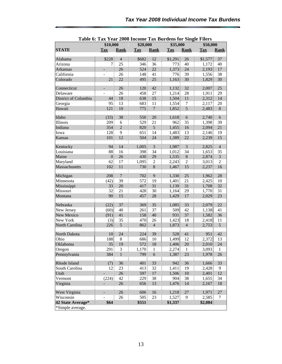|                      | \$10,000                 |                | \$20,000   |                | \$35,000     |                  | \$50,000       |                |  |
|----------------------|--------------------------|----------------|------------|----------------|--------------|------------------|----------------|----------------|--|
| <b>STATE</b>         | <b>Tax</b>               | <b>Rank</b>    | Tax        | Rank           | <b>Tax</b>   | <b>Rank</b>      | Tax            | Rank           |  |
|                      |                          |                |            |                |              |                  |                |                |  |
| Alabama              | \$228                    | $\overline{4}$ | \$682      | 12             | \$1,291      | 26               | \$1,577        | 37             |  |
| Arizona              | 7                        | 25             | 346        | 36             | 773          | 40               | 1,172          | 40             |  |
| Arkansas             | $\overline{a}$           | 26             | 524        | 22             | 1,373        | 24               | 2,193          | $17\,$         |  |
| California           | $\overline{a}$           | 26             | 148        | 41             | 776          | 39               | 1,556          | 38             |  |
| Colorado             | 21                       | 22             | 495        | 25             | 1,163        | 30               | 1,829          | 30             |  |
| Connecticut          |                          | 26             | 120        | 42             | 1,132        | 32               | 2,007          | 25             |  |
| Delaware             |                          | 26             | 458        | 27             | 1,214        | 28               | 1,911          | 29             |  |
| District of Columbia | 44                       | 18             | 638        | 15             | 1,504        | 11               | 2,312          | 14             |  |
| Georgia              | 95                       | 13             | 683        | 11             | 1,554        | $\boldsymbol{7}$ | 2,117          | 20             |  |
| Hawaii               | 121                      | 10             | 775        | $\overline{7}$ | 1,852        | 5                | 2,483          | $\,8\,$        |  |
|                      |                          |                |            |                |              |                  |                |                |  |
| Idaho<br>Illinois    | (33)<br>209              | 38<br>6        | 550<br>529 | 20<br>21       | 1,618<br>962 | 6<br>35          | 2,740<br>1,398 | 6<br>39        |  |
|                      | 354                      | $\overline{2}$ |            | 5              | 1,455        | 16               | 2,094          | 21             |  |
| Indiana              |                          | 9              | 820        |                |              | 13               |                |                |  |
| Iowa                 | 128<br>101               | 12             | 651<br>504 | 14<br>24       | 1,483        | 22               | 2,146          | 19<br>15       |  |
| Kansas               |                          |                |            |                | 1,389        |                  | 2,239          |                |  |
| Kentucky             | 94                       | 14             | 1,005      | 3              | 1,987        | 3                | 2,825          | $\overline{4}$ |  |
| Louisiana            | 88                       | 16             | 398        | 34             | 1,012        | 34               | 1,653          | 35             |  |
| Maine                | $\boldsymbol{0}$         | 26             | 430        | 29             | 1,535        | $\,8\,$          | 2,874          | $\overline{3}$ |  |
| Maryland             | 62                       | 17             | 1,095      | $\overline{2}$ | 2,243        | $\overline{2}$   | 3,013          | $\overline{2}$ |  |
| Massachusetts        | 102                      | 11             | 730        | $\,8$          | 1,467        | 15               | 2,237          | 16             |  |
| Michigan             | 208                      | $\overline{7}$ | 702        | 9              | 1,330        | 25               | 1,962          | 28             |  |
| Minnesota            | (42)                     | 39             | 572        | 19             | 1,401        | 21               | 2,425          | $10\,$         |  |
| Mississippi          | 33                       | 20             | 417        | 31             | 1,139        | 31               | 1,708          | 32             |  |
| Missouri             | 32                       | 21             | 428        | 30             | 1,164        | 29               | 1,770          | 31             |  |
| Montana              | 90                       | 15             | 457        | 28             | 1,429        | 17               | 2,029          | 23             |  |
|                      |                          |                |            |                |              |                  |                |                |  |
| Nebraska             | (22)                     | 37             | 369        | 35             | 1,085        | 33               | 2,079          | 22             |  |
| New Jersey           | (60)                     | 40             | 261        | 37             | 509          | 42               | 1,138          | 41             |  |
| New Mexico           | (91)                     | 41             | 158        | 40             | 931          | 37               | 1,582          | 36             |  |
| New York             | (3)                      | 35             | 470        | 26             | 1,423        | 18               | 2,418          | 11             |  |
| North Carolina       | 226                      | 5              | 862        | $\overline{4}$ | 1,873        | $\overline{4}$   | 2,753          | 5              |  |
| North Dakota         | 10                       | 24             | 224        | 39             | 528          | 41               | 951            | 42             |  |
| Ohio                 | 188                      | $\,8\,$        | 686        | 10             | 1,499        | 12               | 2,372          | 13             |  |
| Oklahoma             | 35                       | 19             | 572        | 18             | 1,406        | 20               | 2,010          | 24             |  |
| Oregon               | 291                      | $\mathfrak{Z}$ | 1,170      | $\mathbf 1$    | 2,274        | $\mathbf{1}$     | 3,093          | $\mathbf{1}$   |  |
| Pennsylvania         | 384                      | $\mathbf{1}$   | 799        | 6              | 1,387        | 23               | 1,978          | 26             |  |
|                      |                          |                |            |                |              |                  |                |                |  |
| Rhode Island         | (7)                      | 36             | 401        | 33             | 942          | 36               | 1,666          | 33             |  |
| South Carolina       | 12                       | 23             | 413        | 32             | 1,411        | 19               | 2,428          | 9              |  |
| Utah                 | $\overline{\phantom{0}}$ | 26             | 597        | 17             | 1,506        | $10\,$           | 2,401          | 12             |  |
| Vermont<br>Virginia  | (224)                    | 42<br>26       | 229<br>656 | 38<br>13       | 904<br>1,476 | 38<br>14         | 1,655<br>2,167 | 34<br>18       |  |
|                      |                          |                |            |                |              |                  |                |                |  |
| West Virginia        |                          | 26             | 606        | 16             | 1,218        | 27               | 1,971          | 27             |  |
| Wisconsin            |                          | 26             | 505        | 23             | 1,527        | 9                | 2,585          | 7              |  |
| 42 State Average*    | \$64                     |                | \$551      |                | \$1,337      |                  | \$2,084        |                |  |
| *Simple average.     |                          |                |            |                |              |                  |                |                |  |

| Table 6: Tax Year 2008 Income Tax Burdens for Single Filers |  |  |  |  |  |  |
|-------------------------------------------------------------|--|--|--|--|--|--|
|-------------------------------------------------------------|--|--|--|--|--|--|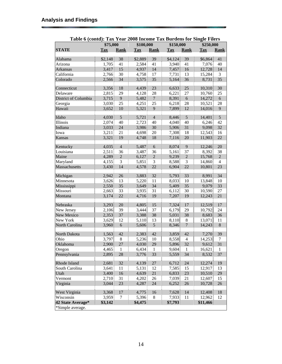i.

|                      | \$75,000   |                | \$100,000      |                | \$150,000  |                         | \$250,000        |                |  |
|----------------------|------------|----------------|----------------|----------------|------------|-------------------------|------------------|----------------|--|
| <b>STATE</b>         | <b>Tax</b> | <b>Rank</b>    | <b>Tax</b>     | <b>Rank</b>    | <b>Tax</b> | <b>Rank</b>             | Tax              | Rank           |  |
|                      |            |                |                |                |            |                         |                  |                |  |
| Alabama              | \$2,148    | 38             | \$2,889        | 39             | \$4,124    | 39                      | \$6,864          | 41             |  |
| Arizona              | 1,705      | 41             | 2,584          | 41             | 3,940      | 41                      | 7,076            | 40             |  |
| <b>Arkansas</b>      | 3,417      | 15             | 4,937          | 14             | 7,457      | 16                      | 12,728           | 14             |  |
| California           | 2,766      | 30             | 4,758          | 17             | 7,731      | 13                      | 15,284           | 3              |  |
| Colorado             | 2,566      | 34             | 3,575          | 35             | 5,164      | 36                      | 8,731            | 35             |  |
| Connecticut          | 3,356      | 18             | 4,439          | 23             | 6,633      | 25                      | 10,310           | 30             |  |
| Delaware             | 2,815      | 29             | 4,128          | 28             | 6,221      | $27\,$                  | 10,760           | 25             |  |
| District of Columbia | 3,715      | 9              | 5,482          | $\overline{7}$ | 8,391      | $\sqrt{6}$              | 14,272           | $\sqrt{6}$     |  |
| Georgia              | 3,030      | 25             | 4,251          | 25             | 6,218      | 28                      | 10,521           | 28             |  |
| Hawaii               | 3,652      | 10             | 5,321          | 9              | 7,899      | 12                      | 14,016           | 9              |  |
|                      |            |                |                |                |            |                         |                  |                |  |
| Idaho                | 4,030      | 5              | 5,721          | $\overline{4}$ | 8,446      | 5                       | 14,401           | 5              |  |
| Illinois             | 2,074      | 40             | 2,723          | 40             | 4,040      | 40                      | 6,246            | 42             |  |
| Indiana              | 3,033      | 24             | 3,986          | 30             | 5,906      | 31                      | 9,098            | 32             |  |
| Iowa                 | 3,211      | 21             | 4,698          | 20             | 7,308      | 18                      | 12,543           | 16             |  |
| Kansas               | 3,321      | 19             | 4,748          | 18             | 7,116      | 20                      | 11,903           | $22\,$         |  |
| Kentucky             | 4,035      | $\overline{4}$ | 5,487          | 6              | 8,074      | 9                       | 12,246           | 20             |  |
| Louisiana            | 2,511      | 36             | 3,487          | 36             | 5,161      | 37                      | 8,392            | 38             |  |
| Maine                | 4,289      | $\overline{2}$ | 6,127          | $\overline{2}$ | 9,239      | $\overline{c}$          | 15,768           | $\overline{2}$ |  |
| Maryland             | 4,155      | $\mathfrak{Z}$ | 5,851          | $\mathfrak{Z}$ | 8,588      | $\overline{\mathbf{3}}$ | 14,860           | $\overline{4}$ |  |
|                      | 3,430      | 14             | 4,578          | 22             | 6,904      | 22                      |                  | 23             |  |
| Massachusetts        |            |                |                |                |            |                         | 10,801           |                |  |
| Michigan             | 2,942      | 26             | 3,883          | 32             | 5,793      | 33                      | 8,991            | 34             |  |
| Minnesota            | 3,626      | 13             | 5,220          | 11             | 8,033      | 10                      | 13,848           | 10             |  |
| Mississippi          | 2,550      | 35             | 3,649          | 34             | 5,409      | 35                      | 9,079            | 33             |  |
| Missouri             | 2,663      | 33             | 3,935          | 31             | 6,112      | 30                      | 10,590           | 27             |  |
| Montana              | 3,174      | 22             | 4,716          | 19             | 7,207      | 19                      | 12,243           | 21             |  |
| Nebraska             | 3,293      | 20             | 4,805          | 15             | 7,324      | 17                      | 12,519           | 17             |  |
| New Jersey           | 2,106      | 39             | 3,444          | 37             | 6,179      | 29                      | 10,792           | 24             |  |
| New Mexico           | 2,353      | 37             | 3,388          | 38             | 5,031      | 38                      | 8,683            | 36             |  |
| New York             | 3,629      | 12             |                |                | 8,110      | $\,$ 8 $\,$             |                  |                |  |
| North Carolina       | 3,960      | 6              | 5,110<br>5,606 | 13<br>5        | 8,346      | $\overline{7}$          | 13,071<br>14,243 | 11<br>$\,8\,$  |  |
|                      |            |                |                |                |            |                         |                  |                |  |
| North Dakota         | 1,563      | 42             | 2,383          | 42             | 3,859      | 42                      | 7,270            | 39             |  |
| Ohio                 | 3,797      | $\,$ 8 $\,$    | 5,236          | $10\,$         | 8,558      | $\overline{4}$          | 14,253           | 7              |  |
| Oklahoma             | 2,900      | 27             | 4,030          | 29             | 5,896      | 32                      | 9,612            | 31             |  |
| Oregon               | 4,465      | $\mathbf{1}$   | 6,434          | $\mathbf{1}$   | 9,604      | $\mathbf{1}$            | 16,621           | $\mathbf{1}$   |  |
| Pennsylvania         | 2,895      | 28             | 3,776          | 33             | 5,559      | 34                      | 8,532            | 37             |  |
| Rhode Island         | 2,681      | 32             | 4,139          | 27             | 6,712      | 24                      | 12,274           | 19             |  |
| South Carolina       | 3,641      | 11             | 5,131          | 12             | 7,585      | 15                      | 12,917           | 13             |  |
| Utah                 | 3,400      | 16             | 4,639          | 21             | 6,833      | 23                      | 10,510           | 29             |  |
| Vermont              |            | 31             |                | 26             |            | 21                      | 12,607           |                |  |
|                      | 2,710      | 23             | 4,202          | 24             | 7,039      | 26                      |                  | 15             |  |
| Virginia             | 3,044      |                | 4,287          |                | 6,252      |                         | 10,728           | 26             |  |
| West Virginia        | 3,368      | 17             | 4,775          | 16             | 7,628      | 14                      | 12,408           | 18             |  |
| Wisconsin            | 3,959      | 7              | 5,396          | 8              | 7,933      | 11                      | 12,962           | 12             |  |
| 42 State Average*    | \$3,142    |                | \$4,475        |                | \$7,793    |                         | \$11,466         |                |  |
| *Simple average.     |            |                |                |                |            |                         |                  |                |  |

**Table 6 (contd): Tax Year 2008 Income Tax Burdens for Single Filers** 

ż,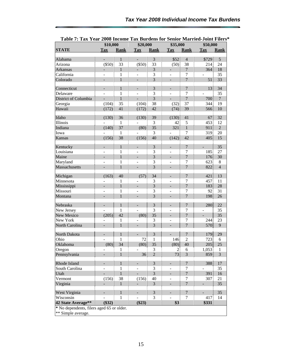|                                           | \$10,000<br>\$20,000<br>\$35,000 |              |                          | \$50,000       |                          |                 |                |                |
|-------------------------------------------|----------------------------------|--------------|--------------------------|----------------|--------------------------|-----------------|----------------|----------------|
| <b>STATE</b>                              | <b>Tax</b>                       | <b>Rank</b>  | <b>Tax</b>               | <b>Rank</b>    | <b>Tax</b>               | <b>Rank</b>     | <b>Tax</b>     | Rank           |
| Alabama                                   | $\overline{a}$                   | $\mathbf{1}$ | L.                       | 3              | \$52                     | $\overline{4}$  | \$729          | 5              |
| Arizona                                   | $(\$50)$                         | 33           | $(\$50)$                 | 33             | (50)                     | 38              | 214            | 24             |
|                                           |                                  | $\mathbf{1}$ |                          | $\overline{3}$ |                          | $\overline{7}$  | 364            | 18             |
| Arkansas                                  | $\overline{a}$                   |              | $\overline{\phantom{0}}$ |                | ÷,                       |                 |                |                |
| California                                | $\overline{a}$                   | $\mathbf{1}$ | $\overline{\phantom{a}}$ | 3              | $\overline{a}$           | 7               |                | 35             |
| Colorado                                  | $\overline{a}$                   | $\mathbf{1}$ | $\overline{a}$           | $\overline{3}$ | $\overline{a}$           | $\overline{7}$  | 51             | 33             |
| Connecticut                               | $\overline{a}$                   | $\mathbf{1}$ | $\overline{\phantom{a}}$ | 3              | $\overline{a}$           | $\overline{7}$  | 13             | 34             |
| Delaware                                  | $\overline{a}$                   | $\mathbf{1}$ | $\qquad \qquad -$        | 3              | $\overline{a}$           | 7               |                | 35             |
| District of Columbia                      | $\overline{a}$                   | $\mathbf{1}$ | $\overline{a}$           | $\overline{3}$ |                          | $\overline{7}$  | 700            | $\overline{7}$ |
| Georgia                                   | (104)                            | 35           | (104)                    | 38             | (32)                     | 37              | 344            | 19             |
| Hawaii                                    | (172)                            | 41           | (172)                    | 42             | (74)                     | 39              | 566            | 10             |
| Idaho                                     | (130)                            | 36           | (130)                    | 39             | (130)                    | 41              | 67             | 32             |
| Illinois                                  | $\overline{a}$                   | $\mathbf{1}$ | $\overline{a}$           | 3              | 42                       | 5               | 453            | 12             |
| Indiana                                   | (140)                            | 37           | (80)                     | 35             | 321                      | $\mathbf{1}$    | 911            | $\overline{2}$ |
| Iowa                                      |                                  | $\mathbf{1}$ |                          | 3              |                          | 7               | 319            | 20             |
| Kansas                                    | (156)                            | 38           | (156)                    | 40             | (142)                    | 42              | 405            | 15             |
|                                           |                                  |              |                          |                |                          |                 |                |                |
| Kentucky                                  | $\overline{a}$                   | $\mathbf{1}$ | $\overline{a}$           | 3              | $\overline{\phantom{a}}$ | $\overline{7}$  |                | 35             |
| Louisiana                                 | $\overline{a}$                   | 1            | $\overline{\phantom{a}}$ | 3              | $\overline{\phantom{0}}$ | 7               | 185            | 27             |
| Maine                                     | $\overline{a}$                   | $\mathbf{1}$ | $\frac{1}{2}$            | $\overline{3}$ | ÷,                       | $\overline{7}$  | 176            | 30             |
| Maryland                                  |                                  | $\mathbf{1}$ |                          | 3              |                          | 7               | 623            | 8              |
| Massachusetts                             | $\overline{a}$                   | $\mathbf{1}$ | ÷.                       | 3              | ÷,                       | $\overline{7}$  | 822            | $\overline{4}$ |
| Michigan                                  | (163)                            | 40           | (57)                     | 34             | $\frac{1}{2}$            | $\overline{7}$  | 421            | 13             |
| Minnesota                                 | $\overline{a}$                   | 1            | $\overline{a}$           | 3              | $\overline{a}$           | 7               | 457            | 11             |
| Mississippi                               | $\overline{a}$                   | $\mathbf{1}$ | $\frac{1}{2}$            | 3              | $\overline{\phantom{m}}$ | $\overline{7}$  | 183            | 28             |
| Missouri                                  | $\overline{a}$                   | 1            |                          | 3              | $\overline{a}$           | 7               | 92             | 31             |
| Montana                                   | $\overline{a}$                   | $\mathbf{1}$ | $\overline{a}$           | $\overline{3}$ | $\overline{\phantom{a}}$ | $\overline{7}$  | 198            | 26             |
| Nebraska                                  | $\overline{a}$                   | $\mathbf{1}$ | $\overline{a}$           | 3              | $\overline{\phantom{m}}$ | $\overline{7}$  | 280            | 22             |
| New Jersey                                |                                  | 1            |                          | 3              | $\overline{a}$           | 7               |                | 35             |
| New Mexico                                | (205)                            | 42           | (80)                     | 35             | $\overline{a}$           | $\overline{7}$  |                | 35             |
| New York                                  |                                  | 1            |                          | 3              | $\overline{a}$           | 7               | 244            | 23             |
| North Carolina                            | $\overline{a}$                   | $\mathbf{1}$ | $\frac{1}{2}$            | $\overline{3}$ | $\overline{\phantom{a}}$ | $\overline{7}$  | 570            | 9              |
|                                           |                                  |              |                          |                |                          |                 |                |                |
| North Dakota                              | $\overline{a}$                   | $\mathbf{1}$ | $\overline{a}$           | 3              | $\overline{\phantom{a}}$ | $\overline{7}$  | 179            | 29             |
| Ohio                                      |                                  | $\mathbf{1}$ | 72                       | $\mathbf{1}$   | 146                      | $\overline{2}$  | 723            | 6              |
| Oklahoma                                  | (80)                             | 34           | (80)                     | 35             | (80)                     | 40              | 205            | 25             |
| Oregon                                    | $\qquad \qquad \blacksquare$     | $\mathbf{1}$ | $\overline{\phantom{a}}$ | 3              | $\overline{2}$           | 6               | 1,053          | 1              |
| Pennsylvania                              | $\overline{\phantom{0}}$         | $\mathbf{1}$ | 36                       | $\overline{2}$ | 73                       | $\overline{3}$  | 859            | 3              |
| Rhode Island                              | $\overline{a}$                   | $\mathbf{1}$ |                          | 3              | $\overline{\phantom{a}}$ | $7\overline{ }$ | 388            | 17             |
| South Carolina                            | $\overline{\phantom{0}}$         | 1            |                          | 3              |                          | 7               |                | 35             |
| Utah                                      | ÷,                               | $\mathbf{1}$ | ÷.                       | $\overline{3}$ | $\overline{a}$           | $\overline{7}$  | 391            | 16             |
| Vermont                                   | (156)                            | 38           | (156)                    | 40             | $\overline{\phantom{0}}$ | $\tau$          | 307            | 21             |
| Virginia                                  |                                  | $\mathbf{1}$ |                          | $\overline{3}$ | ÷,                       | $\overline{7}$  | $\overline{a}$ | 35             |
| West Virginia                             | $\overline{\phantom{0}}$         | $\mathbf{1}$ | ÷.                       | $\overline{3}$ | $\overline{\phantom{a}}$ | $7\overline{ }$ |                | 35             |
| Wisconsin                                 |                                  | 1            |                          | 3              |                          | $\tau$          | 417            | 14             |
| 42 State Average**                        | $(\$32)$                         |              | $(\$23)$                 |                | \$3                      |                 | \$331          |                |
| * No dependents, filers aged 65 or older. |                                  |              |                          |                |                          |                 |                |                |
| ** Simple average.                        |                                  |              |                          |                |                          |                 |                |                |

15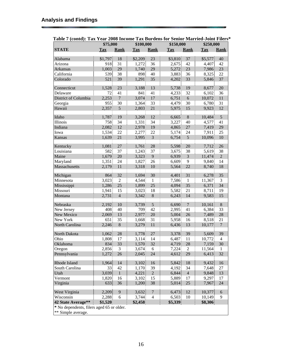| Table / (contd); Tax Year 2008 Income Tax Burgens for Senior Married-Joint Filers | \$75,000   |                | \$100,000  |                          | \$150,000  |                  | \$250,000  |                |
|-----------------------------------------------------------------------------------|------------|----------------|------------|--------------------------|------------|------------------|------------|----------------|
| <b>STATE</b>                                                                      | <b>Tax</b> | <b>Rank</b>    | <b>Tax</b> | <b>Rank</b>              | <b>Tax</b> | Rank             | <b>Tax</b> | Rank           |
|                                                                                   |            |                |            |                          |            |                  |            |                |
| Alabama                                                                           | \$1,797    | 18             | \$2,209    | 23                       | \$3,810    | 37               | \$5,577    | 40             |
| Arizona                                                                           | 918        | 31             | 1,272      | 36                       | 2,675      | 42               | 4,407      | 42             |
| Arkansas                                                                          | 1,003      | 29             | 1,740      | 29                       | 5,272      | 23               | 7,986      | 23             |
| California                                                                        | 539        | 38             | 898        | 40                       | 3,883      | 36               | 8,325      | 22             |
| Colorado                                                                          | 521        | 39             | 1,291      | 35                       | 4,202      | 33               | 5,846      | 37             |
|                                                                                   |            |                |            |                          |            |                  |            |                |
| Connecticut                                                                       | 1,528      | 23             | 3,188      | 13                       | 5,738      | 19               | 8,677      | 20             |
| Delaware                                                                          | 72         | 41             | 841        | 41                       | 4,233      | 32               | 6,102      | 36             |
| District of Columbia                                                              | 2,253      | $\overline{7}$ | 3,074      | $17\,$                   | 6,751      | 6                | 10,072     | $11\,$         |
| Georgia                                                                           | 955        | 30             | 1,364      | 33                       | 4,479      | 30               | 6,780      | 31             |
| Hawaii                                                                            | 2,357      | 5              | 2,803      | 21                       | 5,975      | 15               | 9,923      | 12             |
| Idaho                                                                             | 1,787      | 19             | 3,268      | 12                       | 6,665      | $\,8\,$          | 10,484     | 5              |
| Illinois                                                                          | 758        | 34             | 1,331      | 34                       | 3,227      | 40               | 4,577      | 41             |
| Indiana                                                                           | 2,082      | 12             | 2,978      | 19                       | 4,865      | 27               | 7,419      | 29             |
| Iowa                                                                              | 1,534      | 22             | 2,277      | 22                       | 5,174      | 24               | 7,911      | 25             |
| Kansas                                                                            | 1,639      | 21             | 3,995      | 3                        | 6,754      | 5                | 10,096     | 10             |
|                                                                                   |            |                |            |                          |            |                  |            |                |
| Kentucky                                                                          | 1,081      | 27             | 1,761      | 28                       | 5,598      | 20               | 7,712      | 26             |
| Louisiana                                                                         | 582        | 37             | 1,243      | 37                       | 3,675      | 38               | 5,619      | 38             |
| Maine                                                                             | 1,679      | $20\,$         | 3,323      | 9                        | 6,939      | $\overline{3}$   | 11,474     | $\overline{2}$ |
| Maryland                                                                          | 1,351      | 24             | 1,827      | 26                       | 6,609      | 9                | 9,840      | 14             |
| Massachusetts                                                                     | 2,179      | 11             | 3,318      | 10                       | 5,564      | 22               | 8,740      | 18             |
|                                                                                   |            |                |            |                          |            |                  |            |                |
| Michigan                                                                          | 864        | 32             | 1,694      | 30                       | 4,401      | 31               | 6,278      | 35             |
| Minnesota                                                                         | 3,023      | $\sqrt{2}$     | 4,544      | $\mathbf{1}$             | 7,586      | $\mathbf{1}$     | 11,367     | 3              |
| Mississippi                                                                       | 1,286      | 25             | 1,899      | 25                       | 4,094      | 35               | 6,371      | 34             |
| Missouri                                                                          | 1,941      | 15             | 3,023      | 18                       | 5,582      | 21               | 8,711      | 19             |
| Montana                                                                           | 2,731      | $\overline{4}$ | 3,342      | $\,8\,$                  | 6,243      | 14               | 9,583      | 15             |
| Nebraska                                                                          | 2,192      | $10\,$         | 3,739      | 5                        | 6,690      | $\boldsymbol{7}$ | 10,161     | 8              |
| New Jersey                                                                        | 408        | 40             | 709        | 42                       | 2,995      | 41               | 6,384      | 33             |
| New Mexico                                                                        | 2,069      | 13             | 2,977      | 20                       | 5,004      | 26               | 7,489      | 28             |
| New York                                                                          | 651        | 35             | 1,668      | 31                       | 5,958      | 16               | 8,518      | 21             |
| North Carolina                                                                    | 2,246      | $8\,$          | 3,279      | 11                       | 6,436      | 13               | 10,177     | $\overline{7}$ |
|                                                                                   |            |                |            |                          |            |                  |            |                |
| North Dakota                                                                      | 1,062      | 28             | 1,778      | 27                       | 3,378      | 39               | 5,609      | 39             |
| Ohio                                                                              | 1,808      | 17             | 3,114      | 14                       | 6,487      | 11               | 10,772     | $\overline{4}$ |
| Oklahoma                                                                          | 834        | 33             | 1,570      | 32                       | 4,719      | 28               | 7,159      | 30             |
| Oregon                                                                            | 2,856      | 3              | 3,674      | 6                        | 7,224      | $\boldsymbol{2}$ | 11,564     | $\mathbf{1}$   |
| Pennsylvania                                                                      | 1,272      | 26             | 2,045      | 24                       | 4,612      | 29               | 6,413      | 32             |
| Rhode Island                                                                      | 1,964      | 14             | 3,102      | 16                       | 5,842      | 18               | 9,432      | 16             |
| South Carolina                                                                    | 33         | 42             | 1,170      | 39                       | 4,192      | 34               | 7,648      | 27             |
|                                                                                   | 3,039      | $\,1$          | 4,221      | $\overline{c}$           | 6,844      | $\overline{4}$   | 9,848      | 13             |
| Utah                                                                              |            |                |            |                          |            |                  |            |                |
| Vermont                                                                           | 1,820      | 16             | 3,102      | 15                       | 5,889      | 17               | 9,297      | 17             |
| Virginia                                                                          | 633        | 36             | 1,200      | 38                       | 5,014      | 25               | 7,967      | 24             |
| West Virginia                                                                     | 2,209      | 9              | 3,632      | $\boldsymbol{7}$         | 6,473      | 12               | 10,377     | 6              |
| Wisconsin                                                                         | 2,288      | 6              | 3,744      | $\overline{\mathcal{L}}$ | 6,503      | 10               | 10,149     | 9              |
| 42 State Average**                                                                | \$1,520    |                | \$2,458    |                          | \$5,339    |                  | \$8,306    |                |
| * No dependents, filers aged 65 or older.                                         |            |                |            |                          |            |                  |            |                |
| ** Simple average.                                                                |            |                |            |                          |            |                  |            |                |

**Table 7 (contd): Tax Year 2008 Income Tax Burdens for Senior Married-Joint Filers\***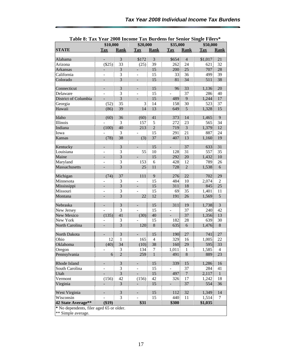| 1 UUIV VI 1 UA                           | \$10,000                 | r car sovo micome<br>\$20,000 |                          |                | \$35,000       |                | <b>Tus Duration</b> for being bingle I here<br>\$50,000 |                |  |
|------------------------------------------|--------------------------|-------------------------------|--------------------------|----------------|----------------|----------------|---------------------------------------------------------|----------------|--|
| <b>STATE</b>                             | <b>Tax</b>               | Rank                          | <b>Tax</b>               | Rank           | <b>Tax</b>     | Rank           | <b>Tax</b>                                              | Rank           |  |
|                                          |                          |                               |                          |                |                |                |                                                         |                |  |
| Alabama                                  |                          | 3                             | \$172                    | $\overline{3}$ | \$654          | $\overline{4}$ | \$1,017                                                 | 21             |  |
| Arizona                                  | (\$25)                   | 33                            | (25)                     | 39             | 262            | 24             | 621                                                     | 32             |  |
| <b>Arkansas</b>                          |                          | $\mathfrak{Z}$                | ÷.                       | 15             | 200            | 25             | 707                                                     | 28             |  |
| California                               | $\overline{a}$           | 3                             | $\overline{\phantom{a}}$ | 15             | 33             | 36             | 499                                                     | 39             |  |
| Colorado                                 |                          | $\overline{3}$                | $\overline{\phantom{a}}$ | 15             | 81             | 34             | 511                                                     | 38             |  |
|                                          |                          |                               |                          |                |                |                |                                                         |                |  |
| Connecticut                              | $\overline{a}$           | 3                             |                          | 15             | 96             | 33             | 1,136                                                   | 20             |  |
| Delaware                                 |                          | 3                             |                          | 15             |                | 37             | 286                                                     | 40             |  |
| District of Columbia                     | $\overline{\phantom{a}}$ | $\overline{3}$                | $\overline{a}$           | 15             | 489            | 9              | 1,244                                                   | 17             |  |
| Georgia                                  | (52)                     | 35                            | 3                        | 14             | 158            | 30             | 523                                                     | 37             |  |
| Hawaii                                   | (86)                     | 39                            | 14                       | 13             | 649            | 5              | 1,328                                                   | 15             |  |
| Idaho                                    | (60)                     | 36                            | (60)                     | 41             | 373            | 14             | 1,465                                                   | 9              |  |
| Illinois                                 |                          | 3                             | 157                      | 5              | 272            | 23             | 565                                                     | 34             |  |
| Indiana                                  | (100)                    | 40                            | 213                      | $\overline{2}$ | 719            | $\overline{3}$ | 1,379                                                   | 12             |  |
| Iowa                                     |                          | 3                             | $\overline{a}$           | 15             | 291            | 21             | 887                                                     | 24             |  |
| Kansas                                   | (78)                     | 38                            | (3)                      | 37             | 407            | 13             | 1,160                                                   | 19             |  |
|                                          |                          |                               |                          |                |                |                |                                                         |                |  |
| Kentucky                                 |                          | $\mathfrak{Z}$                |                          | 15             |                | 37             | 633                                                     | 31             |  |
| Louisiana                                | $\overline{a}$           | 3                             | 55                       | 10             | 128            | 31             | 557                                                     | 35             |  |
| Maine                                    |                          | 3                             | $\overline{\phantom{a}}$ | 15             | 292            | 20             | 1,432                                                   | 10             |  |
| Maryland                                 | $\overline{a}$           | 3                             | 153                      | 6              | 428            | 12             | 789                                                     | 26             |  |
| Massachusetts                            | $\overline{a}$           | $\overline{3}$                | 25                       | 11             | 728            | $\overline{2}$ | 1,538                                                   | 6              |  |
|                                          |                          |                               |                          |                |                |                |                                                         |                |  |
| Michigan                                 | (74)                     | 37                            | 111                      | 9              | 276            | 22             | 702                                                     | 29             |  |
| Minnesota                                | $\overline{a}$           | 3                             | $\overline{\phantom{a}}$ | 15             | 484            | 10             | 2,074                                                   | $\overline{2}$ |  |
| Mississippi                              |                          | $\overline{3}$                | L.                       | 15             | 311            | 18             | 845                                                     | 25             |  |
| Missouri                                 |                          | 3                             |                          | 15             | 69             | 35             | 1,401                                                   | 11             |  |
| Montana                                  |                          | 3                             | 22                       | 12             | 191            | 26             | 1,569                                                   | 5              |  |
|                                          |                          |                               |                          |                |                |                |                                                         |                |  |
| Nebraska                                 | $\frac{1}{2}$            | 3                             | $\blacksquare$           | 15             | 311            | 19             | 1,738                                                   | $\overline{3}$ |  |
| New Jersey                               |                          | 3                             | $\overline{a}$           | 15             | $\overline{a}$ | 37             | 240                                                     | 42             |  |
| New Mexico                               | (135)                    | 41                            | (30)                     | 40             | $\frac{1}{2}$  | 37             | 1,356                                                   | 13             |  |
| New York                                 |                          | 3                             |                          | 15             | 182            | 28             | 639                                                     | 30             |  |
| North Carolina                           |                          | $\overline{3}$                | 120                      | 8              | 635            | 6              | 1,476                                                   | $\,8\,$        |  |
| North Dakota                             | ÷,                       | 3                             |                          | 15             | 190            | 27             | 741                                                     | 27             |  |
| Ohio                                     | 12                       | 1                             | 165                      | $\overline{4}$ | 329            | 16             | 1,005                                                   | 22             |  |
| Oklahoma                                 | (40)                     | 34                            | (10)                     | 38             | 160            | 29             | 595                                                     | 33             |  |
| Oregon                                   | $\overline{a}$           | 3                             | 134                      | 7              | 1,011          | $\mathbf{1}$   | 1,585                                                   | $\overline{4}$ |  |
| Pennsylvania                             | $\overline{6}$           | $\overline{2}$                | 259                      | $\mathbf{1}$   | 491            | 8              | 889                                                     | 23             |  |
|                                          |                          |                               |                          |                |                |                |                                                         |                |  |
| Rhode Island                             |                          | 3                             |                          | 15             | 339            | 15             | 1,286                                                   | 16             |  |
| South Carolina                           |                          | 3                             |                          | 15             |                | 37             | 284                                                     | 41             |  |
| Utah                                     |                          | $\overline{3}$                | L.                       | 15             | 497            | $\overline{7}$ | 2,117                                                   | $\mathbf{1}$   |  |
| Vermont                                  | (156)                    | 42                            | (156)                    | 42             | 326            | 17             | 1,242                                                   | 18             |  |
| Virginia                                 |                          | 3                             | ÷,                       | 15             |                | 37             | 554                                                     | 36             |  |
|                                          |                          |                               |                          |                |                |                |                                                         |                |  |
| West Virginia                            |                          | 3                             |                          | 15             | 112            | 32             | 1,349                                                   | 14             |  |
| Wisconsin                                |                          | 3                             |                          | 15             | 440            | 11             | 1,514                                                   | 7              |  |
| 42 State Average**                       | \$19)                    |                               | \$31                     |                | \$300          |                | \$1,035                                                 |                |  |
| * No dependents, filer aged 65 or older. |                          |                               |                          |                |                |                |                                                         |                |  |
| ** Simple average.                       |                          |                               |                          |                |                |                |                                                         |                |  |

| Table 8: Tax Year 2008 Income Tax Burdens for Senior Single Filers* |  |  |  |  |  |  |  |  |  |  |  |  |
|---------------------------------------------------------------------|--|--|--|--|--|--|--|--|--|--|--|--|
|---------------------------------------------------------------------|--|--|--|--|--|--|--|--|--|--|--|--|

17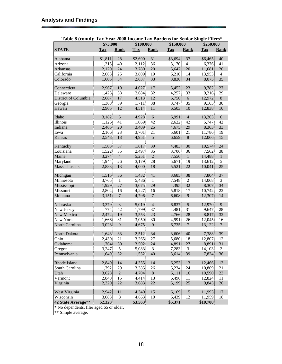$\overline{\phantom{a}}$ 

 $\sim$ 

| Table 8 (contd): Tax Year 2008 Income Tax Burdens for Senior Single Filers* |            |                |            |                |            |                  |            |                |
|-----------------------------------------------------------------------------|------------|----------------|------------|----------------|------------|------------------|------------|----------------|
|                                                                             | \$75,000   |                | \$100,000  |                | \$150,000  |                  | \$250,000  |                |
| <b>STATE</b>                                                                | <b>Tax</b> | <b>Rank</b>    | <b>Tax</b> | <b>Rank</b>    | <b>Tax</b> | <b>Rank</b>      | <b>Tax</b> | <b>Rank</b>    |
| Alabama                                                                     | \$1,811    | 28             | \$2,690    | 31             | \$3,694    | 37               | \$6,465    | 40             |
| Arizona                                                                     | 1,315      | 40             | 2,112      | 36             | 3,170      | 41               | 6,376      | 41             |
| <b>Arkansas</b>                                                             | 2,120      | 24             | 3,780      | 20             | 5,647      | 20               | 11,681     | 20             |
| California                                                                  | 2,063      | 25             | 3,809      | 19             | 6,210      | 14               | 13,953     | $\overline{4}$ |
| Colorado                                                                    | 1,605      | 34             | 2,637      | 33             | 3,830      | 34               | 8,075      | 35             |
| Connecticut                                                                 | 2,967      | 10             | 4,027      | 17             | 5,452      | 23               | 9,782      | 27             |
| Delaware                                                                    | 1,423      | 38             | 2,684      | 32             | 4,257      | 33               | 9,216      | 29             |
| District of Columbia                                                        | 2,687      | 17             | 4,513      | 12             | 6,750      | $\sqrt{6}$       | 12,972     | $8\,$          |
| Georgia                                                                     | 1,368      | 39             | 1,711      | 38             | 3,747      | 35               | 9,165      | 30             |
| Hawaii                                                                      | 2,905      | 12             | 4,514      | 11             | 6,503      | 10               | 12,838     | 10             |
| Idaho                                                                       | 3,182      | 6              | 4,928      | 6              | 6,991      | $\overline{4}$   | 13,263     | 6              |
| Illinois                                                                    | 1,126      | 41             | 1,069      | 42             | 2,622      | 42               | 5,747      | 42             |
| Indiana                                                                     | 2,465      | 20             | 3,409      | 25             | 4,675      | 29               | 8,363      | 33             |
| Iowa                                                                        | 2,166      | 23             | 3,701      | 21             | 5,601      | 21               | 11,786     | 19             |
| Kansas                                                                      | 2,548      | 18             | 4,951      | 5              | 6,659      | $8\,$            | 12,066     | 15             |
| Kentucky                                                                    | 1,503      | 37             | 1,617      | 39             | 4,483      | 30               | 10,574     | 24             |
| Louisiana                                                                   | 1,522      | 35             | 2,497      | 35             | 3,706      | 36               | 7,562      | 38             |
| Maine                                                                       | 3,274      | $\overline{4}$ | 5,251      | $\overline{2}$ | 7,550      | $\mathbf{1}$     | 14,488     | $1\,$          |
| Maryland                                                                    | 1,944      | 26             | 3,179      | 28             | 5,671      | 19               | 13,612     | 5              |
| Massachusetts                                                               | 2,883      | 13             | 4,000      | 18             | 5,521      | 22               | 10,041     | 25             |
| Michigan                                                                    | 1,515      | 36             | 1,432      | 41             | 3,685      | 38               | 7,804      | 37             |
| Minnesota                                                                   | 3,765      | $\mathbf 1$    | 5,486      | $\mathbf{1}$   | 7,548      | $\boldsymbol{2}$ | 14,068     | 3              |
| Mississippi                                                                 | 1,929      | $27\,$         | 3,075      | 29             | 4,395      | 32               | 8,307      | 34             |
| Missouri                                                                    | 2,804      | 16             | 4,227      | 16             | 5,818      | 17               | 10,742     | 22             |
| Montana                                                                     | 3,151      | $\overline{7}$ | 4,796      | $\overline{7}$ | 6,608      | 9                | 12,307     | 14             |
| Nebraska                                                                    | 3,379      | $\mathfrak{Z}$ | 5,019      | $\overline{4}$ | 6,837      | 5                | 12,970     | 9              |
| New Jersey                                                                  | 774        | 42             | 1,799      | 37             | 4,481      | 31               | 9,647      | 28             |
| New Mexico                                                                  | 2,472      | 19             | 3,553      | 23             | 4,766      | 28               | 8,817      | 32             |
| New York                                                                    | 1,666      | 31             | 3,050      | 30             | 4,991      | 26               | 12,045     | 16             |
| North Carolina                                                              | 3,028      | 9              | 4,675      | 9              | 6,735      | $7\phantom{.0}$  | 13,122     | $\overline{7}$ |
| North Dakota                                                                | 1,643      | 33             | 2,512      | 34             | 3,606      | 40               | 7,388      | 39             |
| Ohio                                                                        | 2,430      | 21             | 3,265      | 27             | 5,680      | 18               | 12,807     | 12             |
| Oklahoma                                                                    | 1,764      | 30             | 3,502      | 24             | 4,891      | $27\,$           | 8,891      | 31             |
| Oregon                                                                      | 3,247      | 5              | 5,083      | 3              | 7,283      | 3                | 14,103     | 2              |
| Pennsylvania                                                                | 1,649      | 32             | 1,552      | 40             | 3,614      | 39               | 7,824      | 36             |
| Rhode Island                                                                | 2,849      | 14             | 4,355      | 14             | 6,253      | 13               | 12,466     | 13             |
| South Carolina                                                              | 1,792      | 29             | 3,385      | 26             | 5,234      | 24               | 10,869     | 21             |
| Utah                                                                        | 3,628      | $\overline{2}$ | 4,704      | $8\,$          | 6,111      | 16               | 10,590     | 23             |
| Vermont                                                                     | 2,848      | 15             | 4,414      | 13             | 6,496      | 11               | 12,824     | 11             |
| Virginia                                                                    | 2,320      | 22             | 3,683      | 22             | 5,199      | 25               | 9,843      | 26             |
| West Virginia                                                               | 2,942      | $11\,$         | 4,340      | 15             | 6,169      | 15               | 11,993     | $17\,$         |
| Wisconsin                                                                   | 3,083      | 8              | 4,653      | 10             | 6,439      | 12               | 11,959     | 18             |
| 42 State Average**                                                          | \$2,323    |                | \$3,563    |                | \$5,371    |                  | \$10,700   |                |
| * No dependents, filer aged 65 or older.                                    |            |                |            |                |            |                  |            |                |
| ** Simple average.                                                          |            |                |            |                |            |                  |            |                |

ż,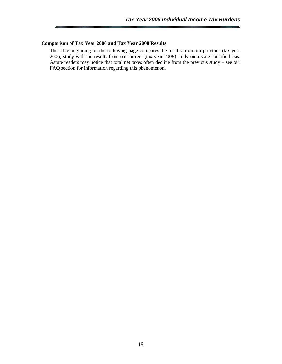## **Comparison of Tax Year 2006 and Tax Year 2008 Results**

The table beginning on the following page compares the results from our previous (tax year 2006) study with the results from our current (tax year 2008) study on a state-specific basis. Astute readers may notice that total net taxes often decline from the previous study – see our FAQ section for information regarding this phenomenon.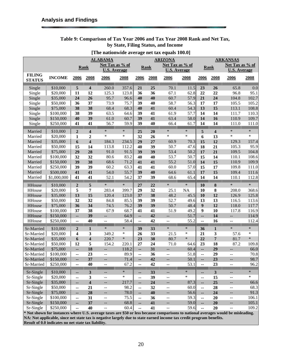|                                | <b>ALABAMA</b><br>Net Tax as % of<br><b>Rank</b><br><b>U.S. Average</b> |                          |                         |                                                     |              | <b>Rank</b>              |          | <b>ARIZONA</b><br>Net Tax as % of<br><b>U.S. Average</b> |              | <b>ARKANSAS</b><br>Net Tax as % of<br><b>Rank</b><br><b>U.S. Average</b> |                         |                          |              |
|--------------------------------|-------------------------------------------------------------------------|--------------------------|-------------------------|-----------------------------------------------------|--------------|--------------------------|----------|----------------------------------------------------------|--------------|--------------------------------------------------------------------------|-------------------------|--------------------------|--------------|
| <b>FILING</b><br><b>STATUS</b> | <b>INCOME</b>                                                           | 2006                     | 2008                    | 2006                                                | 2008         | 2006                     | 2008     | 2006                                                     | 2008         | 2006                                                                     | 2008                    | 2006                     | 2008         |
| Single                         | \$10,000                                                                | 5                        | $\overline{\mathbf{4}}$ | 260.0                                               | 357.6        | 21                       | 25       | 70.1                                                     | 11.5         | 23                                                                       | 26                      | 65.8                     | 0.0          |
| Single                         | \$20,000                                                                | 11                       | 12                      | 125.3                                               | 123.8        | 36                       | 36       | 67.1                                                     | 62.8         | 22                                                                       | 22                      | 96.8                     | 95.1         |
| Single                         | \$35,000                                                                | 24                       | 26                      | 95.7                                                | 96.6         | 40                       | 40       | 60.7                                                     | 57.9         | 21                                                                       | 24                      | 104.8                    | 102.7        |
| Single                         | \$50,000                                                                | 36                       | 37                      | 73.9                                                | 75.7         | 39                       | 40       | 58.7                                                     | 56.3         | 17                                                                       | 17                      | 105.5                    | 105.2        |
| Single                         | \$75,000                                                                | 38                       | 38                      | 68.4                                                | 68.3         | 40                       | 41       | 60.4                                                     | 54.3         | 13                                                                       | 15                      | 113.1                    | 108.8        |
| Single                         | \$100,000                                                               | 38                       | 39                      | 63.5                                                | 64.6         | 39                       | 41       | 61.9                                                     | 57.7         | 14                                                                       | 14                      | 111.7                    | 110.3        |
| Single                         | \$150,000                                                               | 40                       | 39                      | 61.0                                                | 60.7         | 39                       | 41       | 63.4                                                     | 58.0         | 14                                                                       | 16                      | 110.9                    | 109.7        |
| Single                         | \$250,000                                                               | 41                       | 41                      | 56.7                                                | 59.9         | 39                       | 40       | 66.4                                                     | 61.7         | 14                                                                       | 14                      | 111.0                    | 111.0        |
| Married                        | \$10,000                                                                | $\mathbf 2$              | $\overline{\mathbf{4}}$ | $\ast$                                              | $\ast$       | 25                       | 20       | $\ast$                                                   | $\ast$       | 5                                                                        | $\overline{\mathbf{4}}$ | $\ast$                   | $\ast$       |
| Married                        | \$20,000                                                                | $\mathbf{1}$             | $\mathbf{2}$            | $\approx$                                           | $\ast$       | 32                       | 26       | $\ast$                                                   | $\ast$       | 6                                                                        | 13                      | $\ast$                   | $\ast$       |
| Married                        | \$35,000                                                                | 6                        | $\overline{\mathbf{4}}$ | 184.3                                               | 234.5        | 29                       | 27       | 60.9                                                     | 70.3         | 15                                                                       | 12                      | 129.3                    | 157.4        |
| Married                        | \$50,000                                                                | 15                       | 14                      | 113.8                                               | 112.2        | 40                       | 39       | 50.7                                                     | 47.6         | 18                                                                       | 21                      | 105.3                    | 95.9         |
| Married                        | \$75,000                                                                | 29                       | 28                      | 91.0                                                | 91.5         | 39                       | 39       | 53.4                                                     | 50.2         | 17                                                                       | 21                      | 109.5                    | 104.8        |
| Married                        | \$100,000                                                               | 32                       | 32                      | 80.6                                                | 83.2         | 40                       | 40       | 53.7                                                     | 50.7         | 15                                                                       | 14                      | 110.1                    | 108.6        |
| Married                        | \$150,000                                                               | 39                       | 38                      | 68.6                                                | 71.2         | 41                       | 41       | 55.2                                                     | 51.0         | 14                                                                       | 15                      | 110.9                    | 109.9        |
| Married                        | \$250,000                                                               | 39                       | 39                      | 60.2                                                | 63.3         | 41                       | 41       | 60.0                                                     | 57.0         | 15                                                                       | 17                      | 109.8                    | 111.0        |
| Married                        | \$500,000                                                               | 41                       | 41                      | 54.0                                                | 55.7         | 39                       | 40       | 64.6                                                     | 61.1         | 17                                                                       | 15                      | 109.4                    | 111.6        |
| Married                        | \$1,000,000                                                             | 41                       | 41                      | 52.1                                                | 54.2         | 37                       | 39       | 68.6                                                     | 65.4         | 14                                                                       | 14                      | 110.1                    | 112.8        |
| HHouse                         | \$10,000                                                                | $\boldsymbol{2}$         | 5                       | $\ast$                                              | $\ast$       | 27                       | 22       | $\ast$                                                   | $\ast$       | 10                                                                       | $\bf 8$                 | $\ast$                   | $\ast$       |
| HHouse                         | \$20,000                                                                | 5                        | 7                       | 283.4                                               | 399.7        | 29                       | 32       | 25.1                                                     | NA           | 10                                                                       | $\bf 8$                 | 208.0                    | 368.6        |
| HHouse                         | \$35,000                                                                | 13                       | 15                      | 120.4                                               | 123.0        | 37                       | 38       | 48.2                                                     | 45.5         | 10                                                                       | 12                      | 126.9                    | 125.8        |
| <b>HHouse</b>                  | \$50,000                                                                | 32                       | 32                      | 84.8                                                | 85.5         | 39                       | 39       | 52.7                                                     | 49.6         | 13                                                                       | 13                      | 116.5                    | 113.6        |
| HHouse                         | \$75,000                                                                | 36                       | 34                      | 74.5                                                | 76.2         | 39                       | 39       | 50.7                                                     | 48.4         | 9                                                                        | 12                      | 118.0                    | 117.7        |
| <b>HHouse</b>                  | \$100,000                                                               | 37                       | 38                      | 67.9                                                | 68.7         | 41                       | 41       | 51.9                                                     | 49.2         | 9                                                                        | 10                      | 117.8                    | 116.9        |
| <b>HHouse</b>                  | \$150,000                                                               | $\overline{\phantom{a}}$ | 39                      | --                                                  | 64.9         | Ξ.                       | 42       | --                                                       | 51.7         | н.                                                                       | 14                      | --                       | 114.9        |
| <b>HHouse</b>                  | \$250,000                                                               | --                       | 40                      | $-$                                                 | 58.4         | --                       | 42       | $-$                                                      | 55.2         | --                                                                       | 16                      | $\overline{a}$           | 112.4        |
| Sr-Married                     | \$10,000                                                                | $\overline{2}$           | $\mathbf{1}$            | $\ast$                                              | $\ast$       | 39                       | 33       | $\ast$                                                   | $\ast$       | 36                                                                       | $\mathbf 1$             | $\ast$                   | $\ast$       |
| Sr-Married                     | \$20,000                                                                | $\overline{\mathbf{4}}$  | 3                       | 349.2                                               | $\ast$       | 26                       | 33       | 21.5                                                     | $\ast$       | 21                                                                       | $\mathbf{3}$            | 57.6                     | $\ast$       |
| Sr-Married                     | \$35,000                                                                | 6                        | $\overline{\mathbf{4}}$ | 220.7                                               | $\ast$       | 23                       | 38       | 80.7                                                     | $\ast$       | 22                                                                       | $\overline{7}$          | 81.7                     | $\ast$       |
| Sr-Married                     | \$50,000                                                                | 12                       | 5                       | 154.2                                               | 220.1        | 27                       | 24       | 71.0                                                     | 64.6         | 23                                                                       | 18<br>29                | 87.2                     | 109.8        |
| Sr-Married                     | \$75,000                                                                | $\overline{\phantom{a}}$ | 18                      | $\overline{\phantom{a}}$                            | 118.2        | н.                       | 31       | --                                                       | 60.4         | н.                                                                       | 29                      | $-$                      | 66.0         |
| Sr-Married<br>Sr-Married       | \$100,000<br>\$150,000                                                  | --<br>Ξ.                 | 23<br>37                | $\overline{\phantom{a}}$                            | 89.9<br>71.4 | --<br>-−                 | 36<br>42 | $-$                                                      | 51.8<br>50.1 | --<br>--                                                                 | 23                      | $-$                      | 70.8<br>98.7 |
| Sr-Married                     | \$250,000                                                               |                          | 40                      | --                                                  | 67.2         | --                       | 42       | --                                                       | 53.1         |                                                                          | 23                      | --                       | 96.2         |
|                                |                                                                         | ۰.                       |                         | $\qquad \qquad -$                                   |              |                          |          | $-$                                                      |              | ۰.                                                                       |                         | --                       |              |
| Sr-Single                      | \$10,000                                                                | ۰.                       | $\mathbf{3}$            | --                                                  | $\ast$       | ۰.                       | 33       | $\overline{\phantom{a}}$                                 | $\ast$       | ۰.                                                                       | $\mathbf{3}$            | --                       | $\ast$       |
| Sr-Single                      | \$20,000                                                                | $\overline{a}$           | 3                       | $\overline{\phantom{a}}$                            | $\ast$       | --                       | 39       | $\overline{a}$                                           | $\ast$       | --                                                                       | 15                      | $\overline{\phantom{a}}$ | $\ast$       |
| Sr-Single                      | \$35,000                                                                | $\overline{\phantom{a}}$ | $\overline{\mathbf{4}}$ | $-\, -$                                             | 217.7        | н.                       | 24       | $\overline{\phantom{m}}$                                 | 87.3         | н.                                                                       | 25                      | $\overline{\phantom{a}}$ | 66.6         |
| Sr-Single                      | \$50,000                                                                | ۰.                       | 21                      | $\hspace{0.05cm} -\hspace{0.05cm} -\hspace{0.05cm}$ | 98.2         | ۰.                       | 32       | $\overline{\phantom{a}}$                                 | 60.0         | ۰.                                                                       | 28                      | $\overline{\phantom{m}}$ | 68.3         |
| Sr-Single                      | \$75,000                                                                | --                       | 28                      | $\overline{\phantom{a}}$                            | 78.0         | $\overline{\phantom{a}}$ | 40       | $-$                                                      | 56.6         | н.                                                                       | 24                      | $- -$                    | 91.3         |
| Sr-Single                      | \$100,000                                                               | ۰.                       | 31                      | $\hspace{0.05cm} -\hspace{0.05cm} -\hspace{0.05cm}$ | 75.5         | н.                       | 36       | $-\,-$                                                   | 59.3         | ⊷                                                                        | 20                      | $-\!$ –                  | 106.1        |
| Sr-Single                      | \$150,000                                                               | н.                       | 37                      | $-\, -$                                             | 68.8         | --                       | 41       | $\overline{\phantom{a}}$                                 | 59.0         | н.                                                                       | 20                      | $\overline{\phantom{a}}$ | 105.1        |
| Sr-Single                      | \$250,000                                                               | $\overline{\phantom{a}}$ | 40                      | $\qquad \qquad -$                                   | 60.4         | --                       | 41       | --                                                       | 59.6         | н.                                                                       | 20                      | н.                       | 109.2        |

**[The nationwide average net tax equals 100.0]**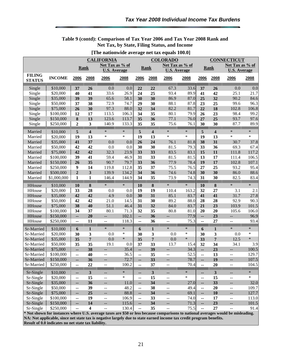|                                |                       |                  |                         | <b>CALIFORNIA</b>              |                  |             |                         | <b>COLORADO</b>                                      |              |                          |                                | <b>CONNECTICUT</b>                                   |                |
|--------------------------------|-----------------------|------------------|-------------------------|--------------------------------|------------------|-------------|-------------------------|------------------------------------------------------|--------------|--------------------------|--------------------------------|------------------------------------------------------|----------------|
|                                |                       | <b>Rank</b>      |                         | Net Tax as % of                |                  | <b>Rank</b> |                         | Net Tax as % of                                      |              | <b>Rank</b>              |                                | Net Tax as % of                                      |                |
|                                |                       |                  |                         | <b>U.S. Average</b>            |                  |             |                         | <b>U.S. Average</b>                                  |              |                          |                                | <b>U.S. Average</b>                                  |                |
| <b>FILING</b><br><b>STATUS</b> | <b>INCOME</b>         | 2006             | 2008                    | 2006                           | 2008             | 2006        | 2008                    | 2006                                                 | 2008         | 2006                     | 2008                           | 2006                                                 | 2008           |
|                                |                       |                  |                         |                                |                  |             |                         |                                                      |              |                          |                                |                                                      |                |
| Single                         | \$10,000              | 37               | 26                      | 0.0                            | 0.0              | 22          | 22                      | 67.3                                                 | 33.6         | 37                       | 26                             | 0.0                                                  | 0.0            |
| Single                         | \$20,000              | 40               | 41                      | 33.6                           | 26.9             | 24          | 25                      | 93.4                                                 | 89.9         | 41                       | 42                             | 25.1                                                 | 21.7           |
| Single                         | \$35,000              | 39               | 39                      | 65.6                           | 58.1             | 30          | 30                      | 86.9                                                 | 87.0         | 25                       | 32                             | 90.2                                                 | 84.6           |
| Single                         | \$50,000<br>\$75,000  | 37<br>26         | 38<br>30                | 72.9<br>97.3                   | 74.7<br>88.0     | 29<br>32    | 30<br>34                | 88.1                                                 | 87.8         | 23<br>22                 | 25<br>18                       | 99.6                                                 | 96.3           |
| Single<br>Single               | \$100,000             | 12               | 17                      | 113.5                          | 106.3            | 34          | 35                      | 82.2<br>80.1                                         | 81.7<br>79.9 | 26                       | 23                             | 102.8<br>98.4                                        | 106.8<br>99.2  |
| Single                         | \$150,000             | $\bf{8}$         | 13                      | 123.6                          | 113.7            | 35          | 36                      | 77.1                                                 | 76.0         | 27                       | 25                             | 93.7                                                 | 97.6           |
| Single                         | \$250,000             | $\boldsymbol{2}$ | 3                       | 140.9                          | 133.3            | 35          | 35                      | 75.6                                                 | 76.1         | 30                       | 30                             | 87.7                                                 | 89.9           |
|                                |                       |                  |                         |                                |                  |             |                         |                                                      |              |                          |                                |                                                      |                |
| Married                        | \$10,000              | $\overline{5}$   | $\overline{\mathbf{4}}$ | $\ast$                         | $\ast$<br>$\ast$ | 5           | $\overline{\mathbf{4}}$ | $\ast$                                               | $\ast$       | 5                        | $\overline{\mathbf{4}}$        | $\ast$                                               | $\ast$         |
| Married                        | \$20,000              | 19               | 13                      | $\approx$                      |                  | 19          | 13                      | $\ast$                                               | $\ast$       | 19                       | 13                             | $\ast$                                               | $\ast$         |
| Married                        | \$35,000              | 41               | 37                      | 0.0                            | 0.0              | 26          | 24                      | 76.1                                                 | 81.8         | 38                       | 31                             | 30.7                                                 | 37.8           |
| Married<br>Married             | \$50,000              | 42<br>42         | 42<br>42                | 0.0                            | 0.0              | 30<br>33    | 30                      | 81.5                                                 | 79.3         | 33<br>15                 | 36                             | 69.3                                                 | 67.4           |
| Married                        | \$75,000<br>\$100,000 | 39               | 41                      | 32.3<br>59.4                   | 23.9<br>46.9     | 31          | 33<br>33                | 83.5<br>81.5                                         | 83.1<br>81.5 | 13                       | 11<br>17                       | 111.8<br>111.4                                       | 117.2<br>106.5 |
| Married                        | \$150,000             | 26               | 35                      | 90.7                           | 79.7             | 33          | 36                      | 77.9                                                 | 78.4         | 19                       | 17                             | 102.8                                                | 107.1          |
| Married                        | \$250,000             | 9                | 14                      | 119.8                          | 112.8            | 35          | 37                      | 75.5                                                 | 76.5         | 27                       | 25                             | 93.2                                                 | 95.4           |
| Married                        | \$500,000             | $\overline{2}$   | 3                       | 139.9                          | 134.2            | 34          | 36                      | 74.6                                                 | 74.8         | 30                       | 30                             | 86.0                                                 | 88.6           |
| Married                        | \$1,000,000           | 1                | 1                       | 146.4                          | 144.9            | 34          | 35                      | 73.9                                                 | 74.3         | 31                       | 30                             | 82.5                                                 | 83.4           |
|                                |                       |                  |                         |                                |                  |             |                         |                                                      |              |                          |                                |                                                      |                |
| HHouse                         | \$10,000              | 10               | 8                       | $\ast$                         | $\ast$           | 10          | $\bf{8}$                | $\ast$                                               | $\ast$       | 10                       | $\bf{8}$                       | $\ast$                                               | $\ast$         |
| HHouse                         | \$20,000              | 33               | 28                      | 0.0                            | 0.0              | 19          | 19                      | 110.4                                                | 163.2        | 32                       | 27                             | 3.1                                                  | 2.1            |
| HHouse<br>HHouse               | \$35,000<br>\$50,000  | 42<br>42         | 42<br>42                | 4.9                            | 0.0              | 30<br>31    | 31<br>30                | 85.1<br>89.2                                         | 83.7<br>88.0 | 41<br>28                 | 41<br>28                       | 31.7<br>92.9                                         | 27.8           |
| HHouse                         | \$75,000              | 38               | 40                      | 21.0<br>51.1                   | 14.5<br>46.4     | 31          | 32                      | 84.0                                                 | 83.7         | 21                       | 23                             | 103.9                                                | 90.3<br>101.5  |
| HHouse                         | \$100,000             | 34               | 37                      | 80.1                           | 71.3             | 32          | 35                      | 80.8                                                 | 81.0         | 20                       | 20                             | 105.6                                                | 106.0          |
| <b>HHouse</b>                  | \$150,000             | --               | 20                      | --                             | 102.1            | н.          | 36                      | $--$                                                 | 77.9         | н.                       | 23                             | $\overline{\phantom{a}}$                             | 96.9           |
| HHouse                         | \$250,000             | --               | 11                      | $\overline{\phantom{a}}$       | 118.3            | --          | 36                      |                                                      | 75.3         | --                       | 27                             | $-$                                                  | 93.4           |
|                                |                       |                  |                         |                                | $\ast$           |             |                         |                                                      | $\ast$       |                          |                                |                                                      | $\ast$         |
| Sr-Married                     | \$10,000              | 6<br>30          | $\mathbf{1}$            | $\ast$                         | $\ast$           | 6           | $\mathbf{1}$            | $\ast$                                               | $\ast$       | 6                        | $\mathbf{1}$                   | $\ast$                                               | $\ast$         |
| Sr-Married<br>Sr-Married       | \$20,000<br>\$35,000  | 35               | 3<br>$\overline{7}$     | 0.0<br>0.0                     | $\ast$           | 30<br>35    | 3<br>$\overline{7}$     | 0.0<br>0.0                                           | $\star$      | 30<br>33                 | $\mathbf{3}$<br>$\overline{7}$ | 0.0<br>12.5                                          | $\ast$         |
| Sr-Married                     | \$50,000              | 35               | 35                      | 19.1                           | 0.0              | 37          | 33                      | 13.7                                                 | 15.4         | 32                       | 34                             | 34.1                                                 | 3.9            |
| Sr-Married                     | \$75,000              | --               | 38                      | $\overline{\phantom{a}}$       | 35.4             | щ,          | 39                      | $-$                                                  | 34.3         | н.                       | 23                             | $\qquad \qquad -$                                    | 100.5          |
| Sr-Married                     | \$100,000             | --               | 40                      | $-$                            | 36.5             | --          | 35                      | $-$                                                  | 52.5         | --                       | 13                             | $-$                                                  | 129.7          |
| Sr-Married                     | \$150,000             | --               | 36                      | --                             | 72.7             | --          | 33                      |                                                      | 78.7         |                          | 19                             | --                                                   | 107.5          |
| Sr-Married                     | \$250,000             | ⊷                | 22                      | --                             | 100.2            | --          | 37                      | $\overline{\phantom{m}}$                             | 70.4         | --                       | 20                             | $\overline{\phantom{m}}$                             | 104.5          |
|                                |                       |                  |                         |                                | $\ast$           |             |                         |                                                      | $\ast$       |                          |                                |                                                      | $\ast$         |
| Sr-Single<br>Sr-Single         | \$10,000<br>\$20,000  | --<br>--         | $\mathbf{3}$<br>15      | --<br>$\overline{\phantom{a}}$ | $\ast$           | --<br>--    | $\mathbf{3}$<br>15      | $\overline{\phantom{a}}$<br>$\overline{\phantom{a}}$ | $\ast$       | ۰.<br>--                 | $\mathbf{3}$<br>15             | $\overline{\phantom{a}}$<br>$\overline{\phantom{a}}$ | $\ast$         |
| Sr-Single                      | \$35,000              | --               | 36                      | $-$                            | 11.0             | --          | 34                      | $\overline{\phantom{a}}$                             | 27.0         | н.                       | 33                             | $\overline{\phantom{m}}$                             | 32.0           |
| Sr-Single                      | \$50,000              | ۰.               | 39                      | $\overline{\phantom{a}}$       | 48.2             | ۰.          | 38                      | $\overline{\phantom{a}}$                             | 49.4         | --                       | 20                             | $\overline{\phantom{m}}$                             | 109.7          |
| Sr-Single                      | \$75,000              | н.               | 25                      | $-$                            | 88.8             | н.          | 34                      | $\qquad \qquad -$                                    | 69.1         | $\overline{\phantom{a}}$ | 10                             | $\overline{\phantom{a}}$                             | 127.7          |
| Sr-Single                      | \$100,000             | -−               | 19                      | $- -$                          | 106.9            | --          | 33                      | $\overline{\phantom{a}}$                             | 74.0         | н.                       | 17                             | $\hspace{0.05cm} -\hspace{0.05cm} -\hspace{0.05cm}$  | 113.0          |
| Sr-Single                      | \$150,000             | --               | 14                      | --                             | 115.6            | --          | 34                      | --                                                   | 71.3         | н.                       | 23                             | $\overline{\phantom{a}}$                             | 101.5          |
| Sr-Single                      | \$250,000             | --               | 4                       | $\overline{\phantom{a}}$       | 130.4            | ۰.          | 35                      | $\mathbb{L}^{\perp}$                                 | 75.5         | ۰.                       | 27                             | $\mathbb{H}^{\mathbb{Z}}$                            | 91.4           |

**[The nationwide average net tax equals 100.0]**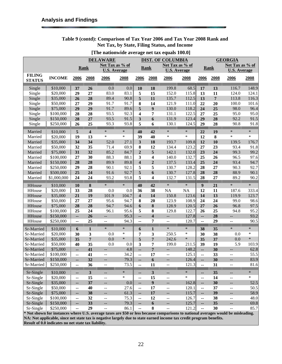|               |               |             |                         | <b>DELAWARE</b>          |         |                          |                         | <b>DIST. OF COLUMBIA</b> |           |                          |                | <b>GEORGIA</b>                                |        |
|---------------|---------------|-------------|-------------------------|--------------------------|---------|--------------------------|-------------------------|--------------------------|-----------|--------------------------|----------------|-----------------------------------------------|--------|
|               |               |             |                         | Net Tax as % of          |         |                          |                         | Net Tax as % of          |           |                          |                | Net Tax as % of                               |        |
|               |               | <b>Rank</b> |                         | <b>U.S. Average</b>      |         | <b>Rank</b>              |                         | <b>U.S. Average</b>      |           |                          | <b>Rank</b>    | <b>U.S. Average</b>                           |        |
| <b>FILING</b> | <b>INCOME</b> | 2006        | 2008                    | 2006                     | 2008    | 2006                     | 2008                    | 2006                     | 2008      | 2006                     | 2008           | 2006                                          | 2008   |
| <b>STATUS</b> |               |             |                         |                          |         |                          |                         |                          |           |                          |                |                                               |        |
| Single        | \$10,000      | 37          | 26                      | 0.0                      | 0.0     | 10                       | 18                      | 199.8                    | 68.5      | 17                       | 13             | 116.7                                         | 148.9  |
| Single        | \$20,000      | 29          | 27                      | 83.0                     | 83.1    | 5                        | 15                      | 152.0                    | 115.8     | 13                       | 11             | 124.0                                         | 124.1  |
| Single        | \$35,000      | 26          | 28                      | 89.4                     | 90.8    | 5                        | 11                      | 135.7                    | 112.5     | 13                       | $\overline{7}$ | 113.8                                         | 116.3  |
| Single        | \$50,000      | 27          | 29                      | 91.7                     | 91.7    | 8                        | 14                      | 121.9                    | 111.0     | 22                       | 20             | 100.0                                         | 101.6  |
| Single        | \$75,000      | 29          | 29                      | 91.7                     | 89.6    | 5                        | 9                       | 130.0                    | 118.2     | 24                       | 25             | 98.0                                          | 96.4   |
| Single        | \$100,000     | 28          | 28                      | 93.5                     | 92.3    | 4                        | 7                       | 131.1                    | 122.5     | 27                       | 25             | 95.0                                          | 95.0   |
| Single        | \$150,000     | 28          | 27                      | 93.5                     | 91.5    | $\overline{\mathbf{3}}$  | 6                       | 131.9                    | 123.4     | 29                       | 28             | 92.2                                          | 91.5   |
| Single        | \$250,000     | 26          | 25                      | 93.3                     | 93.8    | 5                        | 6                       | 130.1                    | 124.5     | 29                       | 28             | 90.8                                          | 91.8   |
| Married       | \$10,000      | 5           | $\overline{\mathbf{4}}$ | $\ast$                   | $\ast$  | 40                       | 42                      | $\ast$                   | $\ast$    | 22                       | 19             | $\ast$                                        | $\ast$ |
| Married       | \$20,000      | 19          | 13                      | *                        | $\ast$  | 39                       | 40                      | $\ast$                   | $\ast$    | 12                       | 8              | $\ast$                                        | $\ast$ |
| Married       | \$35,000      | 34          | 34                      | 52.0                     | 27.1    | $\overline{\mathbf{3}}$  | 18                      | 193.7                    | 109.8     | 12                       | 10             | 139.5                                         | 176.7  |
| Married       | \$50,000      | 32          | 35                      | 71.4                     | 69.9    | 8                        | 12                      | 134.4                    | 123.2     | 27                       | 23             | 93.4                                          | 91.8   |
| Married       | \$75,000      | 31          | 32                      | 85.2                     | 84.7    | $\overline{2}$           | 5                       | 142.1                    | 132.0     | 23                       | 24             | 99.3                                          | 99.2   |
| Married       | \$100,000     | 27          | 30                      | 88.3                     | 88.1    | 3                        | 4                       | 140.0                    | 132.7     | 25                       | 26             | 96.5                                          | 97.6   |
| Married       | \$150,000     | 28          | 28                      | 89.9                     | 89.8    | $\overline{\mathbf{4}}$  | $\overline{2}$          | 137.5                    | 133.4     | 25                       | 24             | 93.4                                          | 94.7   |
| Married       | \$250,000     | 29          | 28                      | 90.1                     | 92.1    | 5                        | 5                       | 130.7                    | 128.2     | 28                       | 27             | 90.3                                          | 92.7   |
| Married       | \$500,000     | 25          | 24                      | 91.6                     | 92.7    | 5                        | 6                       | 130.7                    | 127.8     | 28                       | 28             | 88.9                                          | 90.1   |
| Married       | \$1,000,000   | 24          | 24                      | 93.2                     | 93.8    | 5                        | 4                       | 132.7                    | 131.5     | 28                       | 27             | 89.2                                          | 90.2   |
| HHouse        | \$10,000      | <b>10</b>   | 8                       | $\ast$                   | $\ast$  | 40                       | 42                      | $\ast$                   | $\ast$    | 9                        | 21             | $\ast$                                        | $\ast$ |
| HHouse        | \$20,000      | 33          | 28                      | 0.0                      | 0.0     | 36                       | 38                      | <b>NA</b>                | <b>NA</b> | 12                       | 11             | 187.6                                         | 333.4  |
| <b>HHouse</b> | \$35,000      | 21          | 19                      | 101.9                    | 104.7   | $\overline{\mathbf{4}}$  | 14                      | 150.8                    | 123.6     | 14                       | 13             | 119.9                                         | 123.7  |
| HHouse        | \$50,000      | 27          | 27                      | 95.6                     | 94.7    | 8                        | 20                      | 123.9                    | 108.9     | 24                       | 24             | 99.0                                          | 98.6   |
| HHouse        | \$75,000      | 28          | 28                      | 94.7                     | 94.6    | 6                        | 8                       | 128.9                    | 120.5     | 27                       | 26             | 96.8                                          | 97.5   |
| HHouse        | \$100,000     | 25          | 24                      | 96.1                     | 95.6    | 5                        | 8                       | 129.8                    | 122.7     | 26                       | 25             | 94.8                                          | 95.2   |
| HHouse        | \$150,000     | Ξ.          | 26                      | $-$                      | 95.3    | ш.                       | $\overline{\mathbf{4}}$ | $\overline{\phantom{m}}$ | 127.8     | Ξ.                       | 28             | --                                            | 93.2   |
| HHouse        | \$250,000     | --          | 25                      | $\overline{\phantom{a}}$ | 94.3    | $\overline{\phantom{a}}$ | 7                       | $- \, -$                 | 120.7     | $\overline{\phantom{a}}$ | 29             |                                               | 90.5   |
| Sr-Married    | \$10,000      | 6           | $\mathbf{1}$            | $\ast$                   | $\ast$  | 6                        | $\mathbf{1}$            | $\ast$                   | $\ast$    | 38                       | 35             | $\ast$                                        | $\ast$ |
| Sr-Married    | \$20,000      | 30          | 3                       | 0.0                      | $\ast$  | 7                        | 3                       | 250.5                    | $\ast$    | 30                       | 38             | 0.0                                           | $\ast$ |
| Sr-Married    | \$35,000      | 35          | $\overline{7}$          | 0.0                      | $\star$ | 5                        | $\overline{7}$          | 242.6                    | $\ast$    | 35                       | 37             | 0.0                                           | $\ast$ |
| Sr-Married    | \$50,000      | 40          | 35                      | 0.0                      | 0.0     | 3                        | 7                       | 199.0                    | 211.5     | 39                       | 19             | 5.9                                           | 103.9  |
| Sr-Married    | \$75,000      | Ξ.          | 41                      | --                       | 4.8     | цü                       | $\overline{7}$          | --                       | 148.2     | Ξ.                       | 30             | --                                            | 62.8   |
| Sr-Married    | \$100,000     | --          | 41                      | $\overline{\phantom{a}}$ | 34.2    | $\overline{\phantom{a}}$ | 17                      | $- \, -$                 | 125.1     | μ.                       | 33             | $\overline{\phantom{m}}$                      | 55.5   |
| Sr-Married    | \$150,000     | --          | 32                      | $- -$                    | 79.3    | $\overline{\phantom{a}}$ | 6                       | $\overline{\phantom{m}}$ | 126.4     | $\overline{\phantom{a}}$ | 30             | --                                            | 83.9   |
| Sr-Married    | \$250,000     | --          | 36                      | $-$                      | 73.5    | $\overline{\phantom{a}}$ | 11                      | $\overline{\phantom{m}}$ | 121.3     | $\overline{\phantom{a}}$ | 31             | $\qquad \qquad -$                             | 81.6   |
| Sr-Single     | \$10,000      | н.          | $\overline{\mathbf{3}}$ | --                       | $\ast$  | $\overline{\phantom{a}}$ | $\overline{\mathbf{3}}$ | $\overline{\phantom{m}}$ | $\ast$    | н.                       | 35             | $\overline{\phantom{a}}$                      | $\ast$ |
| Sr-Single     | \$20,000      | ۰.          | 15                      | $\overline{\phantom{a}}$ | $\ast$  | ۰.                       | 15                      | $\overline{a}$           | $\ast$    | ۰.                       | 14             | $\mathcal{L} =$                               | $\ast$ |
| Sr-Single     | \$35,000      | щ,          | 37                      | ÷-                       | 0.0     | Щ,                       | $\boldsymbol{9}$        | $\overline{\phantom{a}}$ | 162.8     | н.                       | 30             | Щ,                                            | 52.5   |
| Sr-Single     | \$50,000      | --          | 40                      | $-$                      | 27.6    | н.                       | 17                      | $\overline{\phantom{m}}$ | 120.1     | н.                       | 37             | $\mathord{\hspace{1pt}\text{--}\hspace{1pt}}$ | 50.5   |
| Sr-Single     | \$75,000      | ۰.          | 38                      | --                       | 61.3    | --                       | 17                      | $-\,-$                   | 115.7     | -−                       | 39             | --                                            | 58.9   |
| Sr-Single     | \$100,000     | --          | 32                      | $\overline{\phantom{a}}$ | 75.3    | --                       | 12                      | $\overline{\phantom{m}}$ | 126.7     | --                       | 38             | $\mathord{\hspace{1pt}\text{--}\hspace{1pt}}$ | 48.0   |
| Sr-Single     | \$150,000     | ш,          | 33                      | $\overline{\phantom{a}}$ | 79.3    | ш.                       | 6                       | $\overline{\phantom{m}}$ | 125.7     | н.                       | 35             | $\overline{\phantom{a}}$                      | 69.8   |
| Sr-Single     | \$250,000     | ۰.          | 29                      | $\overline{\phantom{a}}$ | 86.1    | ۰.                       | ${\bf 8}$               | $\overline{\phantom{a}}$ | 121.2     | $\overline{\phantom{a}}$ | 30             | $\overline{\phantom{m}}$                      | 85.7   |

**[The nationwide average net tax equals 100.0]**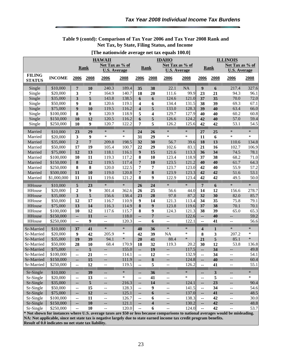|               |               |                          |                  | <b>HAWAII</b>            |        |                          |                         | <b>IDAHO</b>             |           |                         |                         | <b>ILLINOIS</b>                                     |         |
|---------------|---------------|--------------------------|------------------|--------------------------|--------|--------------------------|-------------------------|--------------------------|-----------|-------------------------|-------------------------|-----------------------------------------------------|---------|
|               |               |                          |                  | Net Tax as % of          |        |                          |                         | Net Tax as % of          |           |                         |                         | Net Tax as % of                                     |         |
|               |               | Rank                     |                  | <b>U.S. Average</b>      |        | <b>Rank</b>              |                         | <b>U.S. Average</b>      |           | <b>Rank</b>             |                         | <b>U.S. Average</b>                                 |         |
| <b>FILING</b> | <b>INCOME</b> | 2006                     | 2008             | 2006                     | 2008   | 2006                     | 2008                    | 2006                     | 2008      | 2006                    | 2008                    | 2006                                                | 2008    |
| <b>STATUS</b> |               |                          |                  |                          |        |                          |                         |                          |           |                         |                         |                                                     |         |
| Single        | \$10,000      | 7                        | <b>10</b>        | 240.3                    | 189.4  | 35                       | 38                      | 22.1                     | <b>NA</b> | 9                       | 6                       | 217.4                                               | 327.6   |
| Single        | \$20,000      | 3                        | 7                | 164.9                    | 140.7  | 18                       | 20                      | 111.6                    | 99.9      | 23                      | 21                      | 94.3                                                | 96.1    |
| Single        | \$35,000      | 3                        | 5                | 143.8                    | 138.5  | 6                        | 6                       | 124.6                    | 121.0     | 37                      | 35                      | 70.0                                                | 72.0    |
| Single        | \$50,000      | 9                        | 8                | 120.6                    | 119.1  | 4                        | 6                       | 134.4                    | 131.5     | 38                      | 39                      | 69.3                                                | 67.1    |
| Single        | \$75,000      | 9                        | 10               | 119.5                    | 116.2  | $\overline{\mathbf{4}}$  | 5                       | 133.0                    | 128.3     | 39                      | 40                      | 63.4                                                | 66.0    |
| Single        | \$100,000     | 8                        | $\boldsymbol{9}$ | 120.9                    | 118.9  | 5                        | $\overline{\mathbf{4}}$ | 129.7                    | 127.9     | 40                      | 40                      | 60.2                                                | 60.8    |
| Single        | \$150,000     | 10                       | 12               | 120.5                    | 116.2  | 6                        | 5                       | 126.6                    | 124.2     | 42                      | 40                      | 57.0                                                | 59.4    |
| Single        | \$250,000     | 10                       | 9                | 120.7                    | 122.2  | 7                        | 5                       | 126.2                    | 125.6     | 42                      | 42                      | 53.1                                                | 54.5    |
| Married       | \$10,000      | 23                       | 29               | $\ast$                   | $\ast$ | 24                       | 26                      | $\ast$                   | $\ast$    | 27                      | 25                      | $\ast$                                              | $\ast$  |
| Married       | \$20,000      | $\mathbf{3}$             | 9                | $\approx$                | $\ast$ | 31                       | 29                      | $\star$                  | $\ast$    | 11                      | 6                       | $\star$                                             | $\ast$  |
| Married       | \$35,000      | $\overline{2}$           | $\overline{7}$   | 209.8                    | 198.5  | 32                       | 30                      | 56.7                     | 39.6      | 18                      | 13                      | 110.6                                               | 134.8   |
| Married       | \$50,000      | 17                       | 19               | 105.4                    | 100.7  | 22                       | 29                      | 102.6                    | 83.1      | 21                      | 16                      | 102.7                                               | 106.9   |
| Married       | \$75,000      | 12                       | 13               | 118.1                    | 116.1  | $\boldsymbol{9}$         | 15                      | 121.6                    | 113.3     | 36                      | 34                      | 74.5                                                | 78.1    |
| Married       | \$100,000     | 10                       | 11               | 119.3                    | 117.2  | 8                        | 10                      | 123.4                    | 118.9     | 37                      | 38                      | 68.2                                                | 71.0    |
| Married       | \$150,000     | $\bf{8}$                 | 12               | 119.5                    | 117.4  | $\overline{7}$           | 10                      | 123.5                    | 121.2     | 40                      | 40                      | 61.7                                                | 64.3    |
| Married       | \$250,000     | $\bf 8$                  | 8                | 120.0                    | 122.5  | 7                        | 7                       | 123.7                    | 123.0     | 42                      | 40                      | 55.9                                                | 57.2    |
| Married       | \$500,000     | 11                       | 10               | 119.0                    | 120.8  | $\overline{7}$           | 8                       | 123.9                    | 123.3     | 42                      | 42                      | 51.6                                                | 53.1    |
| Married       | \$1,000,000   | 11                       | 11               | 119.6                    | 121.2  | 8                        | 9                       | 122.9                    | 123.4     | 42                      | 42                      | 49.5                                                | 50.0    |
| HHouse        | \$10,000      | 5                        | 23               | $\ast$                   | $\ast$ | 26                       | 24                      | $\ast$                   | $\ast$    | 7                       | 6                       | $\ast$                                              | $\ast$  |
| HHouse        | \$20,000      | $\mathbf{2}$             | $\boldsymbol{9}$ | 301.4                    | 362.6  | 26                       | 25                      | 56.6                     | 44.0      | 14                      | 12                      | 156.6                                               | 278.7   |
| HHouse        | \$35,000      | $\overline{\mathbf{3}}$  | 5                | 156.6                    | 138.4  | 23                       | 28                      | 97.8                     | 87.2      | 32                      | 30                      | 82.0                                                | 85.7    |
| HHouse        | \$50,000      | 12                       | 17               | 116.7                    | 110.9  | 9                        | 14                      | 121.3                    | 113.4     | 34                      | 35                      | 75.8                                                | 79.1    |
| HHouse        | \$75,000      | 13                       | 14               | 116.3                    | 114.9  | 8                        | $\boldsymbol{9}$        | 123.8                    | 119.6     | 37                      | 38                      | 70.1                                                | 70.1    |
| HHouse        | \$100,000     | 10                       | 12               | 117.6                    | 115.7  | 8                        | 9                       | 124.3                    | 121.3     | 38                      | 39                      | 65.0                                                | 65.3    |
| HHouse        | \$150,000     | --                       | 11               | $\overline{\phantom{a}}$ | 118.0  | --                       | $\overline{7}$          | $-$                      | 122.6     | н.                      | 40                      |                                                     | 59.2    |
| HHouse        | \$250,000     | -−                       | 9                | $\overline{\phantom{a}}$ | 120.3  | --                       | 6                       | $-$                      | 122.1     | --                      | 41                      | $-$                                                 | 56.6    |
| Sr-Married    | \$10,000      | 37                       | 41               | $\ast$                   | $\ast$ | 40                       | 36                      | $\ast$                   | $\ast$    | $\overline{\mathbf{4}}$ | $\mathbf{1}$            | $\ast$                                              | $\ast$  |
| Sr-Married    | \$20,000      | $\boldsymbol{9}$         | 42               | 205.9                    | $\ast$ | 42                       | 39                      | <b>NA</b>                | $\ast$    | 8                       | $\mathbf{3}$            | 207.2                                               | $\ast$  |
| Sr-Married    | \$35,000      | 19                       | 39               | 94.1                     | $\ast$ | 20                       | 41                      | 88.4                     | $\ast$    | 21                      | $\overline{5}$          | 85.1                                                | $\star$ |
| Sr-Married    | \$50,000      | 28                       | 10               | 68.4                     | 170.9  | 18                       | 32                      | 119.3                    | 20.2      | 30                      | 12                      | 53.8                                                | 136.8   |
| Sr-Married    | \$75,000      | -−                       | 5                | $-$                      | 155.0  | Ξ.                       | 19                      | $-$                      | 117.5     | ш,                      | 34                      | $-$                                                 | 49.8    |
| Sr-Married    | \$100,000     | $\overline{\phantom{a}}$ | 21               | $\qquad \qquad -$        | 114.1  | --                       | 12                      | $\overline{\phantom{a}}$ | 132.9     | --                      | 34                      | $\overline{\phantom{m}}$                            | 54.1    |
| Sr-Married    | \$150,000     |                          | 15               | $-$                      | 111.9  | --                       | 8                       | $-$                      | 124.8     | --                      | 40                      | $-$                                                 | 60.4    |
| Sr-Married    | \$250,000     | --                       | 12               | $- -$                    | 119.5  | $\overline{\phantom{a}}$ | 5                       | $\overline{\phantom{a}}$ | 126.2     | --                      | 41                      | $\overline{a}$                                      | 55.1    |
| Sr-Single     | \$10,000      |                          | 39               | $- -$                    | $\ast$ | --                       | 36                      | $\qquad \qquad -$        | $\ast$    | ۰.                      | $\overline{\mathbf{3}}$ | $-$                                                 | $\ast$  |
| Sr-Single     | \$20,000      | --                       | 13               | $\overline{\phantom{a}}$ | $\ast$ | --                       | 41                      | $\overline{a}$           | $\ast$    | --                      | $\sqrt{5}$              | $\overline{a}$                                      | $\ast$  |
| Sr-Single     | \$35,000      | -−                       | 5                | $\overline{\phantom{a}}$ | 216.3  | Ш,                       | 14                      | Щ,                       | 124.1     | Ш,                      | 23                      | $\mathbb{L}^{\mathbb{L}}$                           | 90.4    |
| Sr-Single     | \$50,000      | --                       | 15               | $-\, -$                  | 128.3  | ۰.                       | 9                       | $\overline{\phantom{m}}$ | 141.5     | -−                      | 34                      | $\hspace{0.05cm} -\hspace{0.05cm} -\hspace{0.05cm}$ | 54.6    |
| Sr-Single     | \$75,000      | --                       | 12               | --                       | 125.1  | н.                       | 6                       | $- -$                    | 137.0     | --                      | 41                      | $\overline{\phantom{a}}$                            | 48.5    |
| Sr-Single     | \$100,000     | $\overline{\phantom{a}}$ | 11               | $\overline{\phantom{m}}$ | 126.7  | --                       | 6                       | $\overline{\phantom{a}}$ | 138.3     | --                      | 42                      | $\overline{\phantom{m}}$                            | 30.0    |
| Sr-Single     | \$150,000     | --                       | 10               | $-$                      | 121.1  | Ξ.                       | $\overline{\mathbf{4}}$ | $--$                     | 130.2     | н.                      | 42                      | $\overline{\phantom{a}}$                            | 48.8    |
| Sr-Single     | \$250,000     | ۰.                       | 10               | $\overline{\phantom{a}}$ | 120.0  | ۰.                       | 6                       | $\overline{\phantom{a}}$ | 124.0     | ۰.                      | 42                      | $\overline{\phantom{a}}$                            | 53.7    |

**[The nationwide average net tax equals 100.0]**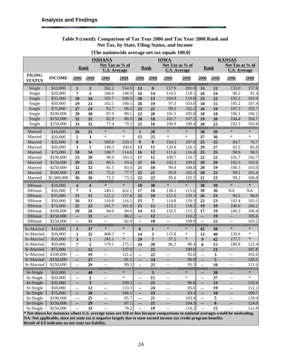|                          |                        |                         |                  | <b>INDIANA</b>           |              |                          |                         | <b>IOWA</b>                                   |                |                          |             | <b>KANSAS</b>                                       |                |
|--------------------------|------------------------|-------------------------|------------------|--------------------------|--------------|--------------------------|-------------------------|-----------------------------------------------|----------------|--------------------------|-------------|-----------------------------------------------------|----------------|
|                          |                        | <b>Rank</b>             |                  | Net Tax as % of          |              | <b>Rank</b>              |                         | Net Tax as % of                               |                |                          | <b>Rank</b> | Net Tax as % of                                     |                |
|                          |                        |                         |                  | <b>U.S. Average</b>      |              |                          |                         | <b>U.S. Average</b>                           |                |                          |             | <b>U.S. Average</b>                                 |                |
| <b>FILING</b>            | <b>INCOME</b>          | 2006                    | 2008             | 2006                     | 2008         | 2006                     | 2008                    | 2006                                          | 2008           | 2006                     | 2008        | 2006                                                | 2008           |
| <b>STATUS</b>            |                        |                         |                  |                          |              |                          |                         |                                               |                |                          |             |                                                     |                |
| Single                   | \$10,000               | 1                       | $\boldsymbol{2}$ | 362.2                    | 554.9        | 13                       | $\boldsymbol{9}$        | 157.9                                         | 201.0          | 15                       | 12          | 133.0                                               | 157.8          |
| Single                   | \$20,000               | 7                       | 5                | 146.0                    | 148.9        | 16                       | 14                      | 114.5                                         | 118.1          | 26                       | 24          | 90.2                                                | 91.4           |
| Single                   | \$35,000               | 18                      | 16               | 105.7                    | 108.9        | 20                       | 13                      | 104.9                                         | 110.9          | 23                       | 22          | 102.2                                               | 103.9          |
| Single                   | \$50,000               | 19                      | 21               | 102.1                    | 100.5        | 26                       | 19                      | 97.3                                          | 103.0          | 18                       | 15          | 105.2                                               | 107.4          |
| Single                   | \$75,000               | 27                      | 24               | 92.7                     | 96.5         | 23                       | 21                      | 99.5                                          | 102.2          | 16                       | 19          | 107.3                                               | 105.7          |
| Single                   | \$100,000              | 29                      | 30               | 87.9                     | 89.1<br>86.9 | 22<br>20                 | 20                      | 101.5                                         | 105.0          | 18                       | 18          | 106.1                                               | 106.1<br>104.7 |
| Single                   | \$150,000<br>\$250,000 | 32<br>33                | 31<br>32         | 82.9<br>77.4             | 79.3         | 21                       | 18<br>16                | 102.7<br>100.9                                | 107.5<br>109.4 | 19<br>20                 | 20<br>22    | 104.4<br>102.3                                      |                |
| Single                   |                        |                         |                  |                          |              |                          |                         |                                               |                |                          |             |                                                     | 103.8          |
| Married                  | \$10,000               | 26                      | 21               | $\ast$                   | $\ast$       | 5                        | 28                      | $\ast$                                        | $\ast$         | 38                       | 39          | $\ast$                                              | $\ast$         |
| Married                  | \$20,000               | $\overline{5}$          | 3                | $\ast$                   | $\ast$       | 15                       | 25                      | $\ast$                                        | $\ast$         | 37                       | 36          | $\ast$                                              | $\ast$         |
| Married                  | \$35,000               | $\bf{8}$                | 6                | 169.9                    | 210.1        | $\boldsymbol{9}$         | $\bf{8}$                | 154.3                                         | 187.9          | 25                       | 25          | 84.7                                                | 76.7           |
| Married                  | \$50,000               | 3                       | 5                | 149.3                    | 160.6        | 13                       | 11                      | 120.8                                         | 126.1          | 29                       | 27          | 82.5                                                | 85.8           |
| Married                  | \$75,000               | 18                      | 14               | 108.7                    | 114.6        | 16                       | 12                      | 111.6                                         | 116.8          | 25                       | 25          | 98.9                                                | 98.5           |
| Married                  | \$100,000              | 23                      | 20               | 98.9                     | 103.5        | 17                       | 12                      | 108.7                                         | 116.7          | 22                       | 22          | 101.7                                               | 102.7          |
| Married                  | \$150,000              | 29<br>32                | 25<br>32         | 89.5<br>81.5             | 93.4<br>83.4 | 21                       | 16<br>18                | 102.3<br>99.4                                 | 109.6<br>108.8 | 20<br>20                 | 20          | 102.3<br>100.3                                      | 103.6<br>103.0 |
| Married<br>Married       | \$250,000<br>\$500,000 | 33                      | 33               | 75.5                     | 77.7         | 21<br>22                 | 21                      | 95.8                                          | 102.3          | 20                       | 19<br>22    | 99.1                                                | 101.4          |
| Married                  | \$1,000,000            | 36                      | 36               | 72.5                     | 73.3         | 22                       | 22                      | 95.0                                          | 102.5          | 21                       | 23          | 99.2                                                | 100.8          |
|                          |                        |                         |                  |                          |              |                          |                         |                                               |                |                          |             |                                                     |                |
| HHouse                   | \$10,000               | $\overline{\mathbf{4}}$ | 4                | $\ast$                   | $\ast$       | 10                       | 30                      | $\ast$                                        | $\ast$         | 38                       | 39          | $\ast$                                              | $\ast$         |
| HHouse                   | \$20,000               | $\overline{7}$          | 5                | 249.1                    | 452.1        | 17                       | 16                      | 138.2                                         | 215.0          | 39                       | 36          | <b>NA</b>                                           | NA             |
| HHouse                   | \$35,000               | 11                      | 11               | 122.2                    | 127.8        | 12                       | 10                      | 121.6                                         | 129.3          | 26                       | 23          | 94.5                                                | 96.0           |
| HHouse                   | \$50,000               | 16                      | 11               | 110.8                    | 116.5        | 15                       | $\overline{7}$          | 114.8                                         | 120.3          | 22                       | 23          | 102.4                                               | 103.1          |
| HHouse                   | \$75,000               | 25                      | 22               | 101.7                    | 101.9        | 15                       | 11                      | 113.1                                         | 118.5          | 19                       | 19          | 106.0                                               | 106.2          |
| HHouse                   | \$100,000              | 28                      | 26               | 94.0                     | 94.6<br>86.2 | 14                       | 13<br>12                | 110.5                                         | 115.3          | 17                       | 19          | 106.3                                               | 106.4          |
| HHouse                   | \$150,000              | --                      | 31<br>31         | $\overline{\phantom{a}}$ | 82.4         | $\overline{\phantom{a}}$ | 18                      | $\qquad \qquad -$                             | 116.2<br>109.9 | Ξ.                       | 19<br>22    | --                                                  | 105.6<br>103.2 |
| HHouse                   | \$250,000              | --                      |                  | $- -$                    |              | --                       |                         | $- \, -$                                      |                | --                       |             | $-$                                                 |                |
| Sr-Married               | \$10,000               | 1                       | 37               | $\ast$                   | $\ast$       | 6                        | $\mathbf{1}$            | $\ast$                                        | $\ast$         | 42                       | 38          | $\ast$                                              | $\ast$         |
| Sr-Married               | \$20,000               | 1                       | 35               | 408.3                    | $\ast$       | 14                       | $\mathbf{3}$            | 115.8                                         | $\ast$         | 13                       | 40          | 129.6                                               | $\ast$         |
| Sr-Married               | \$35,000               | 3                       | $\mathbf 1$      | 245.1                    | $\ast$       | 29                       | $\overline{7}$          | 57.2                                          | $\star$        | 9                        | 42          | 177.7                                               | $\ast$         |
| Sr-Married               | \$50,000               | 7                       | $\overline{2}$   | 179.1                    | 275.1        | 24                       | 20                      | 86.2                                          | 96.4           | 6                        | 15          | 180.8                                               | 122.4          |
| Sr-Married               | \$75,000               | Ш,                      | 12               | $\qquad \qquad -$        | 137.0        | Ξ.                       | 22                      | $-$                                           | 100.9          | u.                       | 21          | $- -$                                               | 107.8          |
| Sr-Married               | \$100,000              | --                      | 19               | $- -$                    | 121.2        | --                       | 22                      | $\overline{\phantom{m}}$                      | 92.6           | --                       | 3<br>5      | $-$                                                 | 162.6          |
| Sr-Married<br>Sr-Married | \$150,000<br>\$250,000 |                         | 27<br>29         | $- -$                    | 91.1<br>89.3 | --                       | 24                      | $-$                                           | 96.9<br>95.3   | --                       |             | $-$                                                 | 126.5<br>121.6 |
|                          |                        | --                      |                  | $-$                      |              | --                       | 25                      | $\mathord{\hspace{1pt}\text{--}\hspace{1pt}}$ |                | ⊷                        | 10          | $\hspace{0.05cm}--\hspace{0.05cm}$                  |                |
| Sr-Single                | \$10,000               | ۰.                      | 40               | --                       | $\ast$       | --                       | $\overline{\mathbf{3}}$ | $\overline{\phantom{m}}$                      | $\ast$         | $\overline{\phantom{a}}$ | 38          | --                                                  | $\ast$         |
| Sr-Single                | \$20,000               | ۰.                      | $\boldsymbol{2}$ | $\overline{\phantom{a}}$ | $\ast$       | --                       | 15                      | $\overline{\phantom{a}}$                      | $\ast$         | ۰.                       | 37          | $\mathcal{L}_{\mathcal{F}}$                         | $\star$        |
| Sr-Single                | \$35,000               | -−                      | 3                | $\overline{\phantom{a}}$ | 239.3        | Ξ.                       | 21                      | Щ,                                            | 96.8           | ш,                       | 13          | $\overline{\phantom{a}}$                            | 135.4          |
| Sr-Single                | \$50,000               | --                      | 12               | $-\, -$                  | 133.3        | --                       | 24                      | $\overline{\phantom{m}}$                      | 85.6           | --                       | 19          | $\hspace{0.05cm} -\hspace{0.05cm} -\hspace{0.05cm}$ | 112.1          |
| Sr-Single                | \$75,000               | ۰.                      | 20               | $-\!$                    | 106.1        | --                       | 23                      | $\overline{\phantom{a}}$                      | 93.3           | -−                       | 18          | --                                                  | 109.7          |
| Sr-Single                | \$100,000              | ۰.                      | 25               | $\overline{\phantom{m}}$ | 95.7         | ۰.                       | 21                      | $\overline{\phantom{a}}$                      | 103.9          | --                       | $\sqrt{5}$  | $\mathord{\hspace{1pt}\text{--}\hspace{1pt}}$       | 139.0          |
| Sr-Single                | \$150,000              | н.                      | 29               | $-\!$                    | 87.1         | Ξ.                       | 21                      | $\overline{\phantom{m}}$                      | 104.3          | Ξ.                       | $\pmb{8}$   | $\overline{\phantom{a}}$                            | 124.0          |
| Sr-Single                | \$250,000              | ۰.                      | 33               | $\overline{\phantom{a}}$ | 78.2         | $\overline{\phantom{a}}$ | 19                      | $\overline{\phantom{a}}$                      | 110.2          | $\overline{\phantom{a}}$ | 15          | $\overline{\phantom{a}}$                            | 112.8          |

**[The nationwide average net tax equals 100.0]**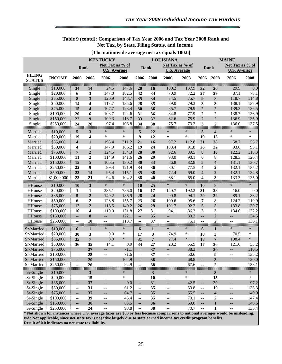|                          | <b>KENTUCKY</b>        |                          |                                    |                                    |                  |                                | <b>LOUISIANA</b>          |                                               |                  |                          | <b>MAINE</b>                         |                                                                       |                  |
|--------------------------|------------------------|--------------------------|------------------------------------|------------------------------------|------------------|--------------------------------|---------------------------|-----------------------------------------------|------------------|--------------------------|--------------------------------------|-----------------------------------------------------------------------|------------------|
|                          |                        |                          |                                    | Net Tax as % of                    |                  |                                |                           | Net Tax as % of                               |                  |                          |                                      | Net Tax as % of                                                       |                  |
|                          |                        |                          | Rank                               | <b>U.S. Average</b>                |                  |                                | <u>Rank</u>               | <b>U.S. Average</b>                           |                  | Rank                     |                                      | <b>U.S. Average</b>                                                   |                  |
| <b>FILING</b>            | <b>INCOME</b>          | 2006                     | 2008                               | 2006                               | 2008             | 2006                           | 2008                      | 2006                                          | 2008             | 2006                     | 2008                                 | 2006                                                                  | 2008             |
| <b>STATUS</b>            |                        |                          |                                    |                                    |                  |                                |                           |                                               |                  |                          |                                      |                                                                       |                  |
| Single                   | \$10,000               | 34                       | 14                                 | 24.5                               | 147.6            | 20                             | 16                        | 100.2                                         | 137.9            | 32                       | 26                                   | 29.9                                                                  | 0.0              |
| Single                   | \$20,000               | 6                        | 3                                  | 147.0                              | 182.5            | 42                             | 34                        | 70.9                                          | 72.2             | 27                       | 29                                   | 87.1                                                                  | 78.1             |
| Single                   | \$35,000               | 8                        | 3                                  | 120.9                              | 148.7            | 35                             | 34                        | 74.5                                          | 75.7             | 9                        | $\bf 8$                              | 118.7                                                                 | 114.8            |
| Single                   | \$50,000               | 14                       | 4                                  | 113.7                              | 135.6            | 28                             | 35                        | 89.0                                          | 79.3             | 3                        | $\mathbf{3}$                         | 138.1                                                                 | 137.9            |
| Single                   | \$75,000               | 15                       | $\overline{\mathbf{4}}$            | 107.7                              | 128.4            | 30                             | 36                        | 85.7                                          | 79.9             | $\overline{2}$           | $\overline{2}$                       | 139.3                                                                 | 136.5            |
| Single                   | \$100,000              | 20                       | 6                                  | 103.7                              | 122.6            | 31                             | 36                        | 84.8                                          | 77.9             | $\boldsymbol{2}$         | $\mathbf 2$                          | 138.7                                                                 | 136.9            |
| Single                   | \$150,000              | 22                       | 9                                  | 100.3                              | 118.7            | 33                             | 37                        | 82.6                                          | 75.9             | $\overline{2}$           | $\mathbf 2$                          | 136.9                                                                 | 135.9            |
| Single                   | \$250,000              | 24                       | 20                                 | 97.4                               | 106.8            | 34                             | 38                        | 75.7                                          | 73.2             | 3                        | $\boldsymbol{2}$                     | 136.0                                                                 | 137.5            |
| Married                  | \$10,000               | 5                        | 3                                  | $\ast$                             | $\ast$           | 5                              | 22                        | $\ast$                                        | $\ast$           | 5                        | $\overline{\mathbf{4}}$              | $\ast$                                                                | $\ast$           |
| Married                  | \$20,000               | 19                       | 4                                  | $\ast$                             | $\ast$           | $\boldsymbol{9}$               | 12                        | $\ast$                                        | $\ast$           | 19                       | 13                                   | $\ast$                                                                | $\ast$           |
| Married                  | \$35,000               | $\overline{\mathbf{4}}$  | $\mathbf{1}$                       | 193.4                              | 311.2            | 21                             | 16                        | 97.2                                          | 112.8            | 31                       | 28                                   | 58.7                                                                  | 55.7             |
| Married                  | \$50,000               | 4                        | $\mathbf{1}$                       | 147.9                              | 186.2            | 19                             | 24                        | 103.4                                         | 91.8             | 26                       | 22                                   | 93.6                                                                  | 95.1             |
| Married                  | \$75,000               | $\overline{7}$           | $\mathbf{2}$                       | 124.5                              | 154.3            | 28                             | 30                        | 92.6                                          | 89.5             | ${\bf 8}$                | 10                                   | 122.2                                                                 | 118.3            |
| Married                  | \$100,000              | 11<br>15                 | $\boldsymbol{2}$<br>5              | 114.9                              | 141.6            | 26<br>30                       | 29<br>33                  | 93.0                                          | 90.1             | 6<br>5                   | ${\bf 8}$<br>$\overline{\mathbf{4}}$ | 128.3                                                                 | 126.4            |
| Married<br>Married       | \$150,000<br>\$250,000 | 22                       | 9                                  | 106.5<br>99.4                      | 130.2<br>121.9   | 34                             | 36                        | 86.8<br>80.1                                  | 82.8<br>77.5     | 4                        | $\boldsymbol{2}$                     | 131.1<br>132.1                                                        | 130.7<br>135.2   |
| Married                  | \$500,000              | 23                       | 14                                 | 95.4                               | 115.1            | 35                             | 38                        | 72.4                                          | 69.0             | $\overline{\mathbf{4}}$  | $\mathbf 2$                          | 132.1                                                                 | 134.8            |
| Married                  | \$1,000,000            | 23                       | 21                                 | 94.6                               | 104.2            | 38                             | 40                        | 68.1                                          | 65.0             | 4                        | $\mathbf{3}$                         | 133.3                                                                 | 135.0            |
|                          |                        |                          |                                    |                                    |                  |                                |                           |                                               |                  |                          |                                      |                                                                       |                  |
| HHouse                   | \$10,000               | 10                       | 3                                  | $\ast$                             | $\ast$           | 10                             | 25                        | $\ast$                                        | $\ast$           | 10                       | $\bf{8}$                             | $\ast$                                                                | $\ast$           |
| HHouse                   | \$20,000               | $\mathbf 1$              | $\mathbf{1}$                       | 335.1                              | 786.0            | 16                             | 17                        | 140.7                                         | 192.2            | 31                       | 28                                   | 16.0                                                                  | 0.0              |
| HHouse<br>HHouse         | \$35,000               | 5                        | $\overline{2}$                     | 149.2<br>126.8                     | 186.9<br>155.7   | 28<br>23                       | 24<br>26                  | 90.8                                          | 94.1             | 29<br>$\overline{7}$     | 32                                   | 89.1                                                                  | 83.2<br>119.9    |
| HHouse                   | \$50,000<br>\$75,000   | 6<br>12                  | $\boldsymbol{2}$<br>$\overline{2}$ | 116.5                              | 140.2            | 26                             | 29                        | 100.6<br>101.7                                | 95.6<br>92.2     | 5                        | ${\bf 8}$<br>5                       | 124.2<br>133.8                                                        | 130.7            |
| HHouse                   | \$100,000              | 16                       | 4                                  | 110.0                              | 131.8            | 27                             | 31                        | 94.1                                          | 86.3             | 3                        | $\mathbf{3}$                         | 134.6                                                                 | 132.2            |
| HHouse                   | \$150,000              | --                       | 8                                  | <u></u>                            | 122.1            | Ξ.                             | 35                        | $\overline{a}$                                | 80.3             | ш.                       | $\overline{2}$                       | $\overline{a}$                                                        | 134.5            |
| HHouse                   | \$250,000              | --                       | 10                                 | --                                 | 118.7            | $\overline{\phantom{a}}$       | 37                        | $-$                                           | 75.1             | --                       | $\boldsymbol{2}$                     | $\qquad \qquad -$                                                     | 136.1            |
|                          |                        |                          |                                    |                                    |                  |                                |                           |                                               |                  |                          |                                      |                                                                       |                  |
| Sr-Married               | \$10,000               | 6<br>30                  | $\mathbf{1}$                       | $\ast$                             | $\ast$<br>$\ast$ | $\boldsymbol{6}$               | $\mathbf{1}$              | $\ast$                                        | $\ast$<br>$\ast$ | 6                        | $\mathbf{1}$                         | $\ast$                                                                | $\ast$<br>$\ast$ |
| Sr-Married<br>Sr-Married | \$20,000<br>\$35,000   | 35                       | 3<br>$\overline{7}$                | 0.0<br>0.0                         | $\ast$           | 17<br>31                       | 3<br>$\overline{7}$       | 74.9<br>27.4                                  | $\ast$           | 18<br>18                 | $\mathbf{3}$<br>$\overline{7}$       | 70.5<br>108.4                                                         | $\ast$           |
| Sr-Married               | \$50,000               | 36                       | 35                                 | 14.1                               | 0.0              | 34                             | 27                        | 28.2                                          | 55.9             | 17                       | 30                                   | 121.6                                                                 | 53.2             |
| Sr-Married               | \$75,000               | Ξ.                       | 27                                 | --                                 | 71.1             | --                             | 37                        |                                               | 38.3             | -−                       | 20                                   | --                                                                    | 110.5            |
| Sr-Married               | \$100,000              | ۰.                       | 28                                 | $\qquad \qquad -$                  | 71.6             | --                             | 37                        | $\overline{\phantom{a}}$                      | 50.6             | --                       | 9                                    | $\overline{\phantom{m}}$                                              | 135.2            |
| Sr-Married               | \$150,000              | --                       | 20                                 | --                                 | 104.9            | н.                             | 38                        | --                                            | 68.8             | --                       | 3                                    | --                                                                    | 130.0            |
| Sr-Married               | \$250,000              | $\overline{\phantom{a}}$ | 26                                 | $\overline{\phantom{a}}$           | 92.9             | ۰.                             | 38                        | $\mathord{\hspace{1pt}\text{--}\hspace{1pt}}$ | 67.6             | $\overline{\phantom{a}}$ | $\mathbf 2$                          | $\overline{\phantom{m}}$                                              | 138.1            |
|                          | \$10,000               |                          |                                    |                                    | $\ast$           |                                |                           |                                               | $\ast$           |                          |                                      |                                                                       | $\ast$           |
| Sr-Single<br>Sr-Single   | \$20,000               | н.<br>۰.                 | 3<br>15                            | $\overline{\phantom{a}}$<br>$-\,-$ | $\ast$           | $\overline{\phantom{a}}$<br>н. | $\mathbf{3}$<br><b>10</b> | $\qquad \qquad -$<br>$- \, -$                 | $\ast$           | н.<br>--                 | $\mathbf{3}$<br>15                   | $\overline{a}$<br>$\hspace{0.05cm} -\hspace{0.05cm} -\hspace{0.05cm}$ | $\ast$           |
| Sr-Single                | \$35,000               | --                       | 37                                 | --                                 | $0.0\,$          | --                             | 31                        | $\overline{\phantom{a}}$                      | 42.5             | $\overline{\phantom{a}}$ | 20                                   | $\overline{\phantom{a}}$                                              | 97.2             |
| Sr-Single                | \$50,000               | --                       | 31                                 | $\overline{\phantom{a}}$           | 61.2             | н.                             | 35                        | $\overline{\phantom{m}}$                      | 53.8             | ۰.                       | 10                                   | $\hspace{0.05cm} -\hspace{0.05cm} -\hspace{0.05cm}$                   | 138.3            |
| Sr-Single                | \$75,000               | --                       | 37                                 | --                                 | 64.7             | --                             | 35                        | $\overline{\phantom{a}}$                      | 65.5             | н.                       | $\overline{\mathbf{4}}$              | $\overline{\phantom{a}}$                                              | 140.9            |
| Sr-Single                | \$100,000              | $\overline{\phantom{a}}$ | 39                                 | $\overline{\phantom{a}}$           | 45.4             | $\overline{\phantom{a}}$       | 35                        | $\overline{\phantom{a}}$                      | 70.1             | ۰.                       | $\boldsymbol{2}$                     | $\overline{\phantom{a}}$                                              | 147.4            |
| Sr-Single                | \$150,000              | Ξ.                       | 30                                 | <b></b>                            | 83.5             | н.                             | 36                        | $\overline{\phantom{a}}$                      | 69.0             | Щ,                       | $\mathbf{1}$                         | Щ,                                                                    | 140.6            |
| Sr-Single                | \$250,000              | $\overline{\phantom{a}}$ | 24                                 | --                                 | 98.8             | ۰.                             | 38                        | --                                            | 70.7             | $\overline{\phantom{a}}$ | $\mathbf{1}$                         | $\overline{\phantom{a}}$                                              | 135.4            |

**[The nationwide average net tax equals 100.0]**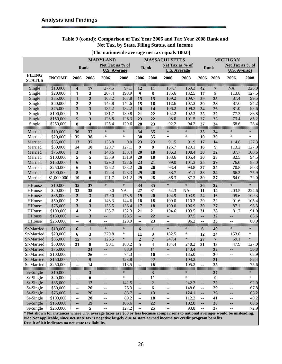| <b>MARYLAND</b> |               |                         |                         |                                                     |           |                          |                         | <b>MASSACHUSETTS</b>     |           |        |                  | <b>MICHIGAN</b>                                     |        |
|-----------------|---------------|-------------------------|-------------------------|-----------------------------------------------------|-----------|--------------------------|-------------------------|--------------------------|-----------|--------|------------------|-----------------------------------------------------|--------|
|                 |               |                         |                         | Net Tax as % of                                     |           |                          |                         | Net Tax as % of          |           |        |                  | Net Tax as % of                                     |        |
|                 |               |                         | <b>Rank</b>             | <b>U.S. Average</b>                                 |           |                          | <b>Rank</b>             | <b>U.S. Average</b>      |           |        | <b>Rank</b>      | <b>U.S. Average</b>                                 |        |
| <b>FILING</b>   | <b>INCOME</b> | 2006                    | 2008                    | 2006                                                | 2008      | 2006                     | 2008                    | 2006                     | 2008      | 2006   | 2008             | 2006                                                | 2008   |
| <b>STATUS</b>   |               |                         |                         |                                                     |           |                          |                         |                          |           |        |                  |                                                     |        |
| Single          | \$10,000      | $\overline{\mathbf{4}}$ | 17                      | 277.5                                               | 97.1      | 12                       | 11                      | 164.7                    | 159.3     | 42     | 7                | <b>NA</b>                                           | 325.0  |
| Single          | \$20,000      | 1                       | $\boldsymbol{2}$        | 207.4                                               | 198.9     | 9                        | 8                       | 135.6                    | 132.5     | 17     | $\boldsymbol{9}$ | 113.8                                               | 127.5  |
| Single          | \$35,000      | $\mathbf{1}$            | $\mathbf{2}$            | 168.2                                               | 167.8     | 15                       | 15                      | 109.2                    | 109.7     | 29     | 25               | 87.4                                                | 99.5   |
| Single          | \$50,000      | $\overline{2}$          | $\boldsymbol{2}$        | 143.8                                               | 144.6     | 15                       | 16                      | 112.6                    | 107.3     | 30     | 28               | 87.6                                                | 94.2   |
| Single          | \$75,000      | 3                       | $\overline{\mathbf{3}}$ | 135.2                                               | 132.2     | 18                       | 14                      | 106.2                    | 109.2     | 34     | 26               | 81.0                                                | 93.6   |
| Single          | \$100,000     | 3                       | 3                       | 131.7                                               | 130.8     | 21                       | 22                      | 102.2                    | 102.3     | 35     | 32               | 77.3                                                | 86.8   |
| Single          | \$150,000     | 5                       | $\overline{\mathbf{3}}$ | 126.8                                               | 126.3     | 23                       | 22                      | 98.0                     | 101.5     | 37     | 33               | 73.4                                                | 85.2   |
| Single          | \$250,000     | 8                       | $\overline{\mathbf{4}}$ | 125.4                                               | 129.6     | 28                       | 23                      | 92.2                     | 94.2      | 37     | 34               | 68.6                                                | 78.4   |
| Married         | \$10,000      | 36                      | 37                      | $\ast$                                              | $\ast$    | 34                       | 35                      | $\ast$                   | $\ast$    | 35     | 34               | $\ast$                                              | $\ast$ |
| Married         | \$20,000      | 35                      | 38                      | $\star$                                             | $\ast$    | 38                       | 35                      | $\star$                  | $\ast$    | 10     | 30               | $\star$                                             | $\ast$ |
| Married         | \$35,000      | 13                      | 37                      | 136.8                                               | 0.0       | 23                       | 23                      | 91.5                     | 91.9      | 17     | 14               | 114.8                                               | 127.3  |
| Married         | \$50,000      | 14                      | 10                      | 120.7                                               | 127.1     | 9                        | 8                       | 125.7                    | 129.1     | 16     | $\boldsymbol{9}$ | 113.2                                               | 127.9  |
| Married         | \$75,000      | 3                       | 4                       | 140.6                                               | 133.4     | 20                       | 18                      | 106.3                    | 108.4     | 30     | 22               | 87.7                                                | 100.6  |
| Married         | \$100,000     | 5                       | 5                       | 135.9                                               | 131.9     | 20                       | 18                      | 103.6                    | 105.4     | 30     | 28               | 82.5                                                | 94.5   |
| Married         | \$150,000     | 6                       | 6                       | 129.0                                               | 127.6     | 23                       | 21                      | 99.0                     | 101.3     | 35     | 29               | 76.6                                                | 88.0   |
| Married         | \$250,000     | 6                       | 3                       | 126.2                                               | 133.2     | 26                       | 26                      | 93.4                     | 94.8      | 37     | 34               | 70.8                                                | 80.3   |
| Married         | \$500,000     | 8                       | 5                       | 122.4                                               | 128.3     | 29                       | 26                      | 88.7                     | 91.1      | 38     | 34               | 66.2                                                | 75.9   |
| Married         | \$1,000,000   | 10                      | 6                       | 121.7                                               | 131.2     | 29                       | 28                      | 86.3                     | 87.3      | 39     | 37               | 64.0                                                | 72.0   |
| HHouse          | \$10,000      | 35                      | 37                      | $\ast$                                              | $\ast$    | 34                       | 35                      | $\ast$                   | $\ast$    | 36     | 32               | $\ast$                                              | $\ast$ |
| HHouse          | \$20,000      | 33                      | 35                      | 0.0                                                 | <b>NA</b> | 27                       | 31                      | 54.3                     | <b>NA</b> | 11     | 14               | 203.5                                               | 224.6  |
| HHouse          | \$35,000      | $\overline{2}$          | 3                       | 179.0                                               | 173.5     | 19                       | 20                      | 104.9                    | 103.9     | 24     | 16               | 95.6                                                | 109.3  |
| HHouse          | \$50,000      | $\boldsymbol{2}$        | $\overline{\mathbf{4}}$ | 146.3                                               | 144.6     | 18                       | 18                      | 109.0                    | 110.3     | 29     | 22               | 91.6                                                | 105.4  |
| HHouse          | \$75,000      | $\overline{\mathbf{3}}$ | $\overline{\mathbf{3}}$ | 138.5                                               | 136.4     | 17                       | 18                      | 109.0                    | 106.9     | 30     | 27               | 87.1                                                | 96.3   |
| HHouse          | \$100,000     | 4                       | $\boldsymbol{2}$        | 133.7                                               | 132.3     | 21                       | 21                      | 104.6                    | 103.5     | 31     | 28               | 81.7                                                | 91.0   |
| <b>HHouse</b>   | \$150,000     | ш,                      | $\overline{\mathbf{3}}$ | $-$                                                 | 128.5     | Ш,                       | 22                      | $-$                      | 97.5      | ш,     | 32               | $-$                                                 | 83.6   |
| HHouse          | \$250,000     | --                      | 4                       | $-$                                                 | 128.9     | $\overline{\phantom{a}}$ | 23                      | $-$                      | 96.2      | --     | 33               | $-$                                                 | 80.9   |
| Sr-Married      | \$10,000      | 6                       | $\mathbf{1}$            | $\ast$                                              | $\ast$    | 6                        | $\mathbf{1}$            | $\ast$                   | $\ast$    | 6      | 40               | $\ast$                                              | $\ast$ |
| Sr-Married      | \$20,000      | 6                       | 3                       | 270.8                                               | $\ast$    | 11                       | 3                       | 182.5                    | $\ast$    | 12     | 34               | 153.6                                               | $\ast$ |
| Sr-Married      | \$35,000      | 15                      | $\overline{7}$          | 126.5                                               | $\ast$    | $\overline{2}$           | $\overline{7}$          | 247.4                    | $\ast$    | 27     | $\overline{7}$   | 69.1                                                | $\ast$ |
| Sr-Married      | \$50,000      | 21                      | $\bf 8$                 | 90.1                                                | 188.2     | 5                        | 4                       | 184.4                    | 248.2     | 31     | 13               | 47.9                                                | 127.0  |
| Sr-Married      | \$75,000      | μ.                      | 24                      | ш.,                                                 | 88.9      | ш,                       | 11                      | $-$                      | 143.4     | ш,     | 32               | --                                                  | 56.8   |
| Sr-Married      | \$100,000     | --                      | 26                      | $-$                                                 | 74.3      | $\overline{\phantom{a}}$ | 10                      | $-$                      | 135.0     | --     | 30               | $-$                                                 | 68.9   |
| Sr-Married      | \$150,000     | --                      | $\boldsymbol{9}$        | --                                                  | 123.8     | ۰.                       | 22                      | ۰-                       | 104.2     | --     | 31               |                                                     | 82.4   |
| Sr-Married      | \$250,000     | --                      | 14                      | $\overline{\phantom{a}}$                            | 118.5     | --                       | 18                      | $\overline{\phantom{a}}$ | 105.2     | --     | 35               | $\mathcal{L} =$                                     | 75.6   |
| Sr-Single       | \$10,000      | н.                      | 3                       | $-$                                                 | $\ast$    | --                       | $\overline{\mathbf{3}}$ | $\qquad \qquad -$        | $\ast$    | ۰.     | 37               | $- -$                                               | $\ast$ |
| Sr-Single       | \$20,000      | ۰.                      | 6                       | $\overline{\phantom{a}}$                            | $\ast$    | --                       | 11                      | $-$                      | $\ast$    | --     | 9                | $\mathord{\hspace{1pt}\text{--}\hspace{1pt}}$       | $\ast$ |
| Sr-Single       | \$35,000      | н.                      | 12                      | --                                                  | 142.5     | н.                       | $\mathbf{2}$            | $- -$                    | 242.3     | н.     | 22               | $\overline{\phantom{m}}$                            | 92.0   |
| Sr-Single       | \$50,000      | --                      | 26                      | $\overline{\phantom{m}}$                            | 76.3      | $\overline{\phantom{a}}$ | 6                       | $- -$                    | 148.6     | --     | 29               | $\overline{\phantom{m}}$                            | 67.8   |
| Sr-Single       | \$75,000      | --                      | 26                      | $-$                                                 | 83.7      | --                       | 13                      | $- -$                    | 124.1     | -−     | 36               | $\overline{\phantom{a}}$                            | 65.2   |
| Sr-Single       | \$100,000     | --                      | 28                      | $\hspace{0.05cm} -\hspace{0.05cm} -\hspace{0.05cm}$ | 89.2      | $\overline{\phantom{a}}$ | 18                      | $\overline{\phantom{m}}$ | 112.3     | -−     | 41               | $\hspace{0.05cm} -\hspace{0.05cm} -\hspace{0.05cm}$ | 40.2   |
| Sr-Single       | \$150,000     | --                      | 19                      | --                                                  | 105.6     | щ,                       | 22                      | --                       | 102.8     | -−     | 38               | --                                                  | 68.6   |
| Sr-Single       | \$250,000     | ۰.                      | $\sqrt{5}$              | $-\, -$                                             | 127.2     | н.                       | 25                      | --                       | 93.8      | $\sim$ | 37               | $\overline{\phantom{m}}$                            | 72.9   |

**[The nationwide average net tax equals 100.0]**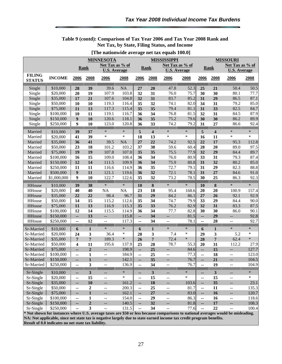|               |               | <b>MINNESOTA</b> |                |                          |           |                          | <b>MISSISSIPPI</b>      |                                               |        |                | <b>MISSOURI</b>         |                                                     |        |
|---------------|---------------|------------------|----------------|--------------------------|-----------|--------------------------|-------------------------|-----------------------------------------------|--------|----------------|-------------------------|-----------------------------------------------------|--------|
|               |               |                  |                | Net Tax as % of          |           |                          |                         | Net Tax as % of                               |        |                |                         | Net Tax as % of                                     |        |
|               |               | Rank             |                | <b>U.S. Average</b>      |           | Rank                     |                         | <b>U.S. Average</b>                           |        |                | Rank                    | <b>U.S. Average</b>                                 |        |
| <b>FILING</b> | <b>INCOME</b> | 2006             | 2008           | 2006                     | 2008      | 2006                     | 2008                    | 2006                                          | 2008   | 2006           | 2008                    | 2006                                                | 2008   |
| <b>STATUS</b> |               |                  |                |                          |           |                          |                         |                                               |        |                |                         |                                                     |        |
| Single        | \$10,000      | 28               | 39             | 39.6                     | NA        | $\bf 27$                 | 20                      | 47.8                                          | 52.3   | 25             | 21                      | 50.4                                                | 50.5   |
| Single        | \$20,000      | 20               | 19             | 107.9                    | 103.8     | 32                       | 31                      | 76.0                                          | 75.7   | 30             | 30                      | 80.1                                                | 77.7   |
| Single        | \$35,000      | 17               | 21             | 107.6                    | 104.8     | 32                       | 31                      | 83.7                                          | 85.2   | 31             | 29                      | 86.5                                                | 87.1   |
| Single        | \$50,000      | 10               | 10             | 119.3                    | 116.4     | 35                       | 32                      | 74.1                                          | 82.0   | 34             | 31                      | 79.2                                                | 85.0   |
| Single        | \$75,000      | 11               | 13             | 117.3                    | 115.4     | 35                       | 35                      | 79.4                                          | 81.1   | 31             | 33                      | 82.5                                                | 84.7   |
| Single        | \$100,000     | 10               | 11             | 119.1                    | 116.7     | 36                       | 34                      | 76.8                                          | 81.5   | 32             | 31                      | 84.5                                                | 87.9   |
| Single        | \$150,000     | 9                | 10             | 120.6                    | 118.1     | 36                       | 35                      | 75.2                                          | 79.6   | 30             | 30                      | 86.2                                                | 89.9   |
| Single        | \$250,000     | 9                | 10             | 123.0                    | 120.8     | 36                       | 33                      | 74.2                                          | 79.2   | 31             | $\bf{27}$               | 86.6                                                | 92.4   |
| Married       | \$10,000      | 39               | 37             | $\ast$                   | $\ast$    | 5                        | $\overline{\mathbf{4}}$ | $\ast$                                        | $\ast$ | $\overline{5}$ | $\overline{\mathbf{4}}$ | $\ast$                                              | $\ast$ |
| Married       | \$20,000      | 41               | 39             | $\approx$                | $\ast$    | 18                       | 13                      | $\ast$                                        | $\ast$ | 16             | 11                      | $\ast$                                              | $\ast$ |
| Married       | \$35,000      | 36               | 41             | 39.5                     | <b>NA</b> | 27                       | 22                      | 74.2                                          | 92.5   | 22             | 17                      | 95.3                                                | 112.8  |
| Married       | \$50,000      | 23               | 18             | 101.2                    | 103.2     | 37                       | 38                      | 59.6                                          | 60.4   | 28             | 20                      | 89.0                                                | 97.5   |
| Married       | \$75,000      | 19               | 19             | 107.8                    | 107.0     | 35                       | 35                      | 75.5                                          | 77.9   | 32             | 29                      | 84.4                                                | 89.7   |
| Married       | \$100,000     | 16               | 15             | 109.0                    | 108.4     | 36                       | 34                      | 76.0                                          | 80.9   | 33             | 31                      | 79.3                                                | 87.4   |
| Married       | \$150,000     | 12               | 14             | 111.5                    | 109.9     | 36                       | 34                      | 75.9                                          | 80.8   | 31             | 32                      | 80.2                                                | 85.0   |
| Married       | \$250,000     | 11               | 11             | 116.6                    | 114.9     | 36                       | 35                      | 72.7                                          | 79.1   | 31             | 29                      | 82.3                                                | 88.8   |
| Married       | \$500,000     | 9                | 11             | 121.1                    | 119.6     | 36                       | 32                      | 72.1                                          | 78.1   | 31             | 27                      | 84.6                                                | 91.0   |
| Married       | \$1,000,000   | 9                | 10             | 122.7                    | 122.6     | 35                       | 32                      | 73.2                                          | 78.5   | 30             | 25                      | 86.3                                                | 92.3   |
| <b>HHouse</b> | \$10,000      | 39               | 38             | $\ast$                   | $\ast$    | 10                       | 8                       | $\ast$                                        | $\ast$ | 10             | $\bf 8$                 | $\ast$                                              | $\ast$ |
| HHouse        | \$20,000      | 40               | 40             | <b>NA</b>                | <b>NA</b> | 23                       | 18                      | 95.4                                          | 168.6  | 20             | 20                      | 100.9                                               | 157.4  |
| HHouse        | \$35,000      | 22               | 22             | 98.4                     | 96.7      | 31                       | 29                      | 84.2                                          | 86.1   | 27             | 26                      | 92.1                                                | 92.9   |
| HHouse        | \$50,000      | 14               | 15             | 115.2                    | 112.6     | 35                       | 34                      | 74.7                                          | 79.9   | 33             | 29                      | 84.4                                                | 90.0   |
| <b>HHouse</b> | \$75,000      | 11               | 13             | 116.9                    | 115.3     | 35                       | 33                      | 76.2                                          | 82.9   | 32             | 31                      | 83.3                                                | 87.5   |
| <b>HHouse</b> | \$100,000     | 12               | 14             | 115.5                    | 114.9     | 36                       | 34                      | 77.7                                          | 82.8   | 30             | 30                      | 86.0                                                | 90.1   |
| <b>HHouse</b> | \$150,000     | -−               | 13             | --                       | 115.8     | н.                       | 34                      |                                               | 81.5   | ш,             | 29                      |                                                     | 92.8   |
| HHouse        | \$250,000     | --               | 12             | $\overline{\phantom{a}}$ | 117.3     | --                       | 34                      | $-$                                           | 78.1   | --             | 28                      | --                                                  | 92.7   |
| Sr-Married    | \$10,000      | 6                | $\mathbf{1}$   | $\ast$                   | $\ast$    | $\boldsymbol{6}$         | $\mathbf{1}$            | $\ast$                                        | $\ast$ | 6              | $\mathbf{1}$            | $\ast$                                              | $\ast$ |
| Sr-Married    | \$20,000      | 24               | 3              | 36.4                     | $\ast$    | 28                       | 3                       | 7.4                                           | $\ast$ | 29             | 3                       | 5.2                                                 | $\ast$ |
| Sr-Married    | \$35,000      | $\overline{7}$   | $\overline{7}$ | 189.3                    | $\ast$    | 26                       | 7                       | 72.4                                          | $\ast$ | 28             | $\overline{7}$          | 62.4                                                | $\ast$ |
| Sr-Married    | \$50,000      | 4                | 11             | 195.6                    | 137.9     | 25                       | 28                      | 78.7                                          | 55.3   | 20             | 31                      | 112.2                                               | 27.9   |
| Sr-Married    | \$75,000      | -−               | $\mathbf{2}$   | --                       | 198.9     | $\overline{\phantom{a}}$ | 25                      | $--$                                          | 84.6   | н.             | 15                      | --                                                  | 127.7  |
| Sr-Married    | \$100,000     | --               | $\mathbf{1}$   | $\overline{\phantom{a}}$ | 184.9     | --                       | 25                      | $\overline{\phantom{m}}$                      | 77.3   | --             | 18                      | $-$                                                 | 123.0  |
| Sr-Married    | \$150,000     | --               | $\mathbf{1}$   | --                       | 142.1     | н.                       | 35                      | $-$                                           | 76.7   | --             | 21                      | $\qquad \qquad -$                                   | 104.5  |
| Sr-Married    | \$250,000     | --               | 3              | $\qquad \qquad -$        | 136.9     | $\overline{\phantom{a}}$ | 34                      | $\mathord{\hspace{1pt}\text{--}\hspace{1pt}}$ | 76.7   | ۰.             | 19                      | $\qquad \qquad -$                                   | 104.9  |
| Sr-Single     | \$10,000      | --               | $\mathbf{3}$   | --                       | $\ast$    | ۰.                       | $\mathbf{3}$            | --                                            | $\ast$ | ۰.             | $\mathbf{3}$            | ц.                                                  | $\ast$ |
| Sr-Single     | \$20,000      | --               | 15             | $\overline{\phantom{a}}$ | $\ast$    | н.                       | 15                      | $\overline{\phantom{m}}$                      | $\ast$ | --             | 15                      | $\overline{\phantom{m}}$                            | $\ast$ |
| Sr-Single     | \$35,000      | --               | 10             | --                       | 161.2     | --                       | 18                      | --                                            | 103.6  | н,             | 35                      | --                                                  | 23.1   |
| Sr-Single     | \$50,000      | ۰.               | $\mathbf 2$    | $\overline{\phantom{a}}$ | 200.3     | ۰.                       | 25                      | --                                            | 81.7   | ۰.             | 11                      | $\overline{\phantom{a}}$                            | 135.3  |
| Sr-Single     | \$75,000      | --               | $\mathbf{1}$   | $\overline{\phantom{a}}$ | 162.1     | Ξ.                       | 27                      | $-$                                           | 83.0   | н.             | 16                      | $\overline{\phantom{a}}$                            | 120.7  |
| Sr-Single     | \$100,000     | ۰.               | $\mathbf{1}$   | $-\, -$                  | 154.0     | $\overline{\phantom{a}}$ | 29                      | $\overline{\phantom{a}}$                      | 86.3   | ۰.             | 16                      | $\hspace{0.05cm} -\hspace{0.05cm} -\hspace{0.05cm}$ | 118.6  |
| Sr-Single     | \$150,000     | Щ,               | $\mathbf 2$    | $\overline{\phantom{a}}$ | 140.5     | н.                       | 32                      | Щ,                                            | 81.8   | н.             | $17\,$                  | $\overline{\phantom{a}}$                            | 108.3  |
| Sr-Single     | \$250,000     | $\sim$           | 3              | --                       | 131.5     | --                       | 34                      | --                                            | 77.6   | --             | 22                      | $\overline{\phantom{a}}$                            | 100.4  |

**[The nationwide average net tax equals 100.0]**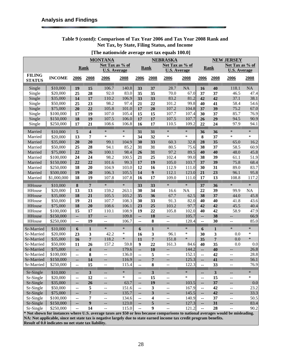|               |               |             |                         | <b>MONTANA</b>           |         |                          |                         | <b>NEBRASKA</b>                               |           |           |                | <b>NEW JERSEY</b>                                   |        |
|---------------|---------------|-------------|-------------------------|--------------------------|---------|--------------------------|-------------------------|-----------------------------------------------|-----------|-----------|----------------|-----------------------------------------------------|--------|
|               |               | <b>Rank</b> |                         | Net Tax as % of          |         | <b>Rank</b>              |                         | Net Tax as % of                               |           |           | <b>Rank</b>    | Net Tax as % of                                     |        |
|               |               |             |                         | <b>U.S. Average</b>      |         |                          |                         | <b>U.S. Average</b>                           |           |           |                | <b>U.S. Average</b>                                 |        |
| <b>FILING</b> | <b>INCOME</b> | 2006        | 2008                    | 2006                     | 2008    | 2006                     | 2008                    | 2006                                          | 2008      | 2006      | 2008           | 2006                                                | 2008   |
| <b>STATUS</b> |               |             |                         |                          |         |                          |                         |                                               |           |           |                |                                                     |        |
| Single        | \$10,000      | 19          | 15                      | 106.7                    | 140.8   | 33                       | 37                      | 28.7                                          | <b>NA</b> | <b>16</b> | 40             | 118.1                                               | NA     |
| Single        | \$20,000      | 25          | 28                      | 92.0                     | 83.0    | 35                       | 35                      | 70.0                                          | 67.0      | 37        | 37             | 46.5                                                | 47.4   |
| Single        | \$35,000      | 14          | 17                      | 110.2                    | 106.9   | 33                       | 33                      | 83.2                                          | 81.2      | 42        | 42             | 37.1                                                | 38.1   |
| Single        | \$50,000      | 25          | 23                      | 98.2                     | 97.4    | 21                       | 22                      | 101.2                                         | 99.8      | 40        | 41             | 58.4                                                | 54.6   |
| Single        | \$75,000      | 20          | 22                      | 105.8                    | 101.0   | 17                       | 20                      | 107.2                                         | 104.8     | 37        | 39             | 75.2                                                | 67.0   |
| Single        | \$100,000     | 17          | 19                      | 107.0                    | 105.4   | 15                       | 15                      | 107.7                                         | 107.4     | 30        | 37             | 85.7                                                | 76.9   |
| Single        | \$150,000     | 18          | 19                      | 107.5                    | 106.0   | 17                       | 17                      | 107.5                                         | 107.7     | 26        | 29             | 94.5                                                | 90.9   |
| Single        | \$250,000     | 17          | 21                      | 108.6                    | 106.8   | 16                       | 17                      | 110.5                                         | 109.2     | 22        | 24             | 97.9                                                | 94.1   |
| Married       | \$10,000      | 5           | $\overline{\mathbf{4}}$ | $\ast$                   | $\ast$  | 31                       | 31                      | $\ast$                                        | $\ast$    | 36        | 36             | $\ast$                                              | $\ast$ |
| Married       | \$20,000      | 13          | 7                       | $\ast$                   | $\star$ | 34                       | 32                      | $\ast$                                        | $\ast$    | 8         | 37             | $\star$                                             | $\ast$ |
| Married       | \$35,000      | 20          | 20                      | 99.1                     | 104.9   | 30                       | 33                      | 60.3                                          | 32.8      | 28        | 35             | 65.0                                                | 16.2   |
| Married       | \$50,000      | 25          | 28                      | 94.1                     | 85.2    | 31                       | 31                      | 80.5                                          | 75.6      | 38        | 37             | 58.5                                                | 60.9   |
| Married       | \$75,000      | 22          | 26                      | 100.1                    | 98.4    | 26                       | 31                      | 97.2                                          | 89.5      | 40        | 40             | 48.0                                                | 45.8   |
| Married       | \$100,000     | 24          | 24                      | 98.2                     | 100.5   | 21                       | 25                      | 102.4                                         | 99.0      | 38        | 39             | 61.1                                                | 51.9   |
| Married       | \$150,000     | 22          | 22                      | 101.6                    | 99.3    | 17                       | 19                      | 105.0                                         | 103.7     | 37        | 39             | 75.8                                                | 68.4   |
| Married       | \$250,000     | 18          | 20                      | 104.9                    | 103.0   | 12                       | 16                      | 112.9                                         | 111.0     | 30        | 31             | 89.0                                                | 83.7   |
| Married       | \$500,000     | 19          | 20                      | 106.3                    | 105.5   | 14                       | $\boldsymbol{9}$        | 112.1                                         | 123.0     | 21        | 23             | 96.1                                                | 95.8   |
| Married       | \$1,000,000   | 18          | 19                      | 107.8                    | 107.8   | 16                       | 17                      | 109.0                                         | 111.0     | 17        | 13             | 108.8                                               | 117.2  |
| HHouse        | \$10,000      | 8           | 7                       | $\ast$                   | $\ast$  | 33                       | 33                      | $\ast$                                        | $\ast$    | 37        | 36             | $\ast$                                              | $\ast$ |
| HHouse        | \$20,000      | 13          | 13                      | 159.2                    | 263.1   | 30                       | 34                      | 16.6                                          | NA        | 22        | 39             | 99.9                                                | NA     |
| <b>HHouse</b> | \$35,000      | 18          | 21                      | 105.5                    | 103.2   | 35                       | 36                      | 67.7                                          | 62.5      | 38        | 37             | 44.0                                                | 45.8   |
| HHouse        | \$50,000      | 19          | 21                      | 107.7                    | 108.3   | 30                       | 33                      | 91.3                                          | 82.0      | 40        | 40             | 41.8                                                | 43.6   |
| HHouse        | \$75,000      | 18          | 20                      | 108.6                    | 106.1   | 23                       | 25                      | 103.2                                         | 97.7      | 42        | 42             | 45.5                                                | 40.4   |
| HHouse        | \$100,000     | 15          | 17                      | 110.1                    | 108.9   | 19                       | 22                      | 105.8                                         | 102.0     | 40        | 42             | 58.9                                                | 47.9   |
| HHouse        | \$150,000     | --          | 17                      | $\overline{\phantom{a}}$ | 109.8   | Ξ.                       | 18                      | $\overline{\phantom{m}}$                      | 105.7     | н.        | 38             | --                                                  | 66.9   |
| HHouse        | \$250,000     | --          | 19                      | $\qquad \qquad -$        | 106.7   | --                       | 8                       | $-$                                           | 120.4     | --        | 30             | $-$                                                 | 85.0   |
| Sr-Married    | \$10,000      | 6           | $\mathbf{1}$            | $\ast$                   | $\ast$  | 6                        | $\mathbf{1}$            | $\ast$                                        | $\ast$    | 6         | $\mathbf{1}$   | $\ast$                                              | $\ast$ |
| Sr-Married    | \$20,000      | 23          | 3                       | 42.2                     | $\ast$  | 16                       | $\mathbf{3}$            | 96.1                                          | $\ast$    | 30        | $\mathbf{3}$   | 0.0                                                 | $\ast$ |
| Sr-Married    | \$35,000      | 16          | $\overline{7}$          | 118.2                    | $\ast$  | 11                       | $\overline{7}$          | 151.8                                         | $\ast$    | 35        | $\overline{7}$ | 0.0                                                 | $\ast$ |
| Sr-Married    | \$50,000      | 11          | 26                      | 157.2                    | 59.8    | 9                        | 22                      | 161.3                                         | 84.6      | 40        | 35             | 0.0                                                 | 0.0    |
| Sr-Married    | \$75,000      | Ш,          | $\overline{\mathbf{4}}$ | $\qquad \qquad -$        | 179.6   | $\clubsuit$              | 10                      | $\overline{\phantom{a}}$                      | 144.2     | н.        | 40             | $-$                                                 | 26.8   |
| Sr-Married    | \$100,000     | --          | 8                       | $- -$                    | 136.0   | $\overline{\phantom{a}}$ | 5                       | $\overline{\phantom{m}}$                      | 152.1     | --        | 42             | $\overline{\phantom{m}}$                            | 28.8   |
| Sr-Married    | \$150,000     | --          | 14                      | $- -$                    | 116.9   | --                       | $\overline{7}$          | $-$                                           | 125.3     | --        | 41             | $-$                                                 | 56.1   |
| Sr-Married    | \$250,000     | --          | 15                      | $-$                      | 115.4   | --                       | 8                       | $\overline{\phantom{m}}$                      | 122.3     | --        | 33             | $\hspace{0.05cm}--\hspace{0.05cm}$                  | 76.9   |
| Sr-Single     | \$10,000      | ۰.          | $\overline{\mathbf{3}}$ | $\qquad \qquad -$        | $\ast$  | --                       | $\overline{\mathbf{3}}$ | $\overline{\phantom{m}}$                      | $\ast$    | ۰.        | $\mathbf{3}$   | --                                                  | $\ast$ |
| Sr-Single     | \$20,000      | ۰.          | 12                      | $\overline{\phantom{a}}$ | $\ast$  | --                       | 15                      | $\overline{\phantom{a}}$                      | $\ast$    | ۰.        | 15             | $\mathcal{L}_{\mathcal{F}}$                         | $\ast$ |
| Sr-Single     | \$35,000      | Ξ.          | 26                      | $\overline{\phantom{a}}$ | 63.7    | Ξ.                       | 19                      | $\overline{\phantom{a}}$                      | 103.5     | ш,        | 37             | $\overline{\phantom{a}}$                            | 0.0    |
| Sr-Single     | \$50,000      | ۰.          | 5                       | $-\, -$                  | 151.6   | --                       | $\mathbf{3}$            | $\overline{\phantom{m}}$                      | 167.9     | --        | 42             | $\hspace{0.05cm} -\hspace{0.05cm} -\hspace{0.05cm}$ | 23.2   |
| Sr-Single     | \$75,000      | ۰.          | $\overline{7}$          | --                       | 135.7   | н.                       | $\mathbf{3}$            | $- \, -$                                      | 145.5     | -−        | 42             | --                                                  | 33.3   |
| Sr-Single     | \$100,000     | ۰.          | 7                       | $\overline{\phantom{a}}$ | 134.6   | ۰.                       | $\overline{\mathbf{4}}$ | $\mathord{\hspace{1pt}\text{--}\hspace{1pt}}$ | 140.9     | ۰.        | 37             | $\overline{\phantom{m}}$                            | 50.5   |
| Sr-Single     | \$150,000     | н.          | 9                       | $-\!$                    | 123.0   | Щ,                       | 5                       | $- \, -$                                      | 127.3     | --        | 31             | $\overline{\phantom{a}}$                            | 83.4   |
| Sr-Single     | \$250,000     | ۰.          | 14                      | $\overline{\phantom{a}}$ | 115.0   | $\overline{\phantom{a}}$ | $\boldsymbol{9}$        | $\overline{\phantom{a}}$                      | 121.2     | ۰.        | 28             | $\overline{\phantom{a}}$                            | 90.2   |

**[The nationwide average net tax equals 100.0]**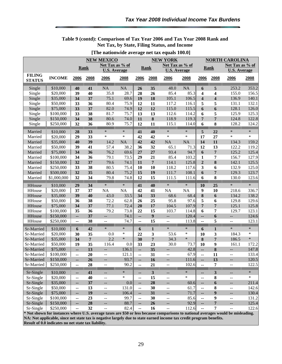|               |               | <b>NEW MEXICO</b> |      |                          |                  |                          | <b>NEW YORK</b>  |                          |           |                          | <b>NORTH CAROLINA</b>   |                                                     |        |
|---------------|---------------|-------------------|------|--------------------------|------------------|--------------------------|------------------|--------------------------|-----------|--------------------------|-------------------------|-----------------------------------------------------|--------|
|               |               |                   |      | Net Tax as % of          |                  |                          |                  | Net Tax as % of          |           |                          |                         | Net Tax as % of                                     |        |
|               |               |                   | Rank | <b>U.S. Average</b>      |                  |                          | Rank             | <b>U.S. Average</b>      |           |                          | <b>Rank</b>             | <b>U.S. Average</b>                                 |        |
| <b>FILING</b> | <b>INCOME</b> | 2006              | 2008 | 2006                     | 2008             | 2006                     | 2008             | 2006                     | 2008      | 2006                     | 2008                    | 2006                                                | 2008   |
| <b>STATUS</b> |               |                   |      |                          |                  |                          |                  |                          |           |                          |                         |                                                     |        |
| Single        | \$10,000      | 40                | 41   | <b>NA</b>                | NA               | 26                       | 35               | 48.0                     | <b>NA</b> | 6                        | 5                       | 253.2                                               | 353.2  |
| Single        | \$20,000      | 39                | 40   | 35.8                     | 28.7             | 28                       | 26               | 85.4                     | 85.3      | $\overline{\mathbf{4}}$  | 4                       | 155.0                                               | 156.5  |
| Single        | \$35,000      | 34                | 37   | 75.1                     | 69.6             | 19                       | 18               | 105.1                    | 106.5     | $\overline{\mathbf{4}}$  | $\overline{\mathbf{4}}$ | 136.9                                               | 140.1  |
| Single        | \$50,000      | 33                | 36   | 80.4                     | 75.9             | 12                       | 11               | 117.2                    | 116.1     | 5                        | 5                       | 131.1                                               | 132.1  |
| Single        | \$75,000      | 33                | 37   | 82.0                     | 74.9             | 12                       | 12               | 115.0                    | 115.5     | 6                        | 6                       | 128.1                                               | 126.0  |
| Single        | \$100,000     | 33                | 38   | 81.7                     | 75.7             | 13                       | 13               | 112.6                    | 114.2     | 6                        | 5                       | 125.9                                               | 125.3  |
| Single        | \$150,000     | 34                | 38   | 80.6                     | 74.0             | 11                       | 8                | 118.9                    | 119.3     | $\overline{7}$           | $\overline{7}$          | 124.8                                               | 122.8  |
| Single        | \$250,000     | 32                | 36   | 80.9                     | 75.7             | 12                       | 11               | 115.1                    | 114.0     | 6                        | 8                       | 128.2                                               | 124.2  |
| Married       | \$10,000      | 28                | 33   | $\ast$                   | $\ast$           | 41                       | 40               | $\ast$                   | $\ast$    | 5                        | 22                      | $\ast$                                              | $\ast$ |
| Married       | \$20,000      | 29                | 33   | $\approx$                | $\ast$           | 42                       | 42               | $\ast$                   | $\ast$    | 17                       | 27                      | $\ast$                                              | $\ast$ |
| Married       | \$35,000      | 40                | 39   | 14.2                     | <b>NA</b>        | 42                       | 42               | <b>NA</b>                | <b>NA</b> | 14                       | 11                      | 134.3                                               | 159.2  |
| Married       | \$50,000      | 39                | 41   | 57.4                     | 38.2             | 36                       | 32               | 65.1                     | 71.3      | 12                       | 13                      | 122.2                                               | 119.2  |
| Married       | \$75,000      | 34                | 36   | 76.2                     | 69.6             | 27                       | 27               | 93.4                     | 94.7      | 6                        | $\overline{7}$          | 125.2                                               | 125.4  |
| Married       | \$100,000     | 34                | 36   | 79.1                     | 73.5             | 29                       | 21               | 85.4                     | 103.2     | $\mathbf{1}$             | 7                       | 156.7                                               | 127.9  |
| Married       | \$150,000     | 32                | 37   | 79.6                     | 74.1             | 11                       | $\overline{7}$   | 114.1                    | 125.8     | $\overline{2}$           | $\bf{8}$                | 142.1                                               | 125.5  |
| Married       | \$250,000     | 33                | 38   | 80.5                     | 75.4             | 10                       | 10               | 118.2                    | 117.6     | 3                        | 6                       | 132.9                                               | 125.0  |
| Married       | \$500,000     | 32                | 35   | 80.4                     | 75.2             | 15                       | 19               | 111.7                    | 108.1     | 6                        | $\overline{7}$          | 129.3                                               | 123.7  |
| Married       | \$1,000,000   | 32                | 34   | 79.8                     | 74.8             | 12                       | 15               | 111.5                    | 111.6     | 6                        | 8                       | 130.0                                               | 123.6  |
| HHouse        | \$10,000      | 29                | 34   | $\ast$                   | $\ast$           | 41                       | 40               | $\ast$                   | $\ast$    | 10                       | 25                      | $\ast$                                              | $\ast$ |
| HHouse        | \$20,000      | 37                | 37   | <b>NA</b>                | NA               | 42                       | 41               | <b>NA</b>                | <b>NA</b> | 9                        | 10                      | 218.6                                               | 336.7  |
| HHouse        | \$35,000      | 39                | 40   | 43.0                     | 33.5             | 34                       | 33               | 68.6                     | 68.4      | 8                        | 6                       | 134.2                                               | 138.2  |
| HHouse        | \$50,000      | 36                | 38   | 72.2                     | 62.8             | 26                       | 25               | 95.8                     | 97.6      | 5                        | 6                       | 129.8                                               | 129.6  |
| HHouse        | \$75,000      | 34                | 37   | 77.1                     | 72.4             | 20                       | 17               | 104.5                    | 107.9     | $\overline{7}$           | 7                       | 125.1                                               | 125.8  |
| HHouse        | \$100,000     | 35                | 36   | 79.2                     | 73.8             | 22                       | 15               | 103.7                    | 114.8     | 6                        | 7                       | 129.7                                               | 123.1  |
| HHouse        | \$150,000     | Ξ.                | 37   | --                       | 74.1             | ш,                       | $\boldsymbol{9}$ | $-$                      | 120.4     | ш,                       | 6                       | --                                                  | 124.6  |
| HHouse        | \$250,000     | --                | 38   | $\qquad \qquad -$        | 74.7             | $\overline{\phantom{a}}$ | 15               | $\overline{\phantom{m}}$ | 113.8     | --                       | 5                       | $- -$                                               | 123.1  |
| Sr-Married    | \$10,000      | 6                 | 42   | $\ast$                   | $\ast$           | 6                        | $\mathbf{1}$     | $\ast$                   | $\ast$    | 6                        | $\mathbf{1}$            | $\ast$                                              | $\ast$ |
| Sr-Married    | \$20,000      | 30                | 35   | 0.0                      | $\ast$           | 22                       | 3                | 53.6                     | $\ast$    | 10                       | 3                       | 184.3                                               | $\ast$ |
| Sr-Married    | \$35,000      | 34                | 7    | 2.2                      | $\ast$           | 30                       | $\overline{7}$   | 34.3                     | $\ast$    | 8                        | $\overline{7}$          | 186.5                                               | $\ast$ |
| Sr-Married    | \$50,000      | 19                | 35   | 116.4                    | 0.0              | 33                       | 23               | 30.0                     | 73.7      | 10                       | 9                       | 161.1                                               | 172.2  |
| Sr-Married    | \$75,000      | ۰.                | 13   | --                       | 136.1            | --                       | 35               | $\overline{\phantom{m}}$ | 42.8      | н.                       | $\bf{8}$                | $--$                                                | 147.8  |
| Sr-Married    | \$100,000     | --                | 20   | $\qquad \qquad -$        | 121.1            | --                       | 31               | $\overline{\phantom{m}}$ | 67.9      | --                       | 11                      | $- -$                                               | 133.4  |
| Sr-Married    | \$150,000     | н.                | 26   | --                       | 93.7             | н.                       | 16               | --                       | 111.6     | ш,                       | 13                      | --                                                  | 120.5  |
| Sr-Married    | \$250,000     | --                | 28   | $-$                      | 90.2             | $\overline{\phantom{a}}$ | 21               | $\overline{\phantom{a}}$ | 102.6     | н.                       | 7                       | $\overline{\phantom{a}}$                            | 122.5  |
| Sr-Single     | \$10,000      | ۰.                | 41   | --                       | $\ast$           | $\overline{\phantom{a}}$ | 3 <sup>1</sup>   | --                       | $\ast$    | н.                       | $\mathbf{3}$            | $-$                                                 | $\ast$ |
| Sr-Single     | \$20,000      | ۰.                | 40   | --                       | $\ast$           | н.                       | 15               | $- \, -$                 | $\ast$    | н.                       | ${\bf 8}$               | $\hspace{0.05cm} -\hspace{0.05cm} -\hspace{0.05cm}$ | $\ast$ |
| Sr-Single     | \$35,000      | --                | 37   | --                       | 0.0 <sub>l</sub> | $\overline{\phantom{a}}$ | 28               | --                       | 60.6      | $\overline{\phantom{a}}$ | $\boldsymbol{6}$        | --                                                  | 211.4  |
| Sr-Single     | \$50,000      | ۰.                | 13   | $\overline{\phantom{a}}$ | 131.0            | $\overline{\phantom{a}}$ | 30               | $\overline{\phantom{a}}$ | 61.7      | н.                       | $\bf{8}$                | $\overline{\phantom{m}}$                            | 142.6  |
| Sr-Single     | \$75,000      | --                | 19   | --                       | 106.4            | Ξ.                       | 31               | $\overline{\phantom{m}}$ | 71.7      | Ξ.                       | $\boldsymbol{9}$        | $\overline{\phantom{a}}$                            | 130.4  |
| Sr-Single     | \$100,000     | --                | 23   | $\overline{\phantom{a}}$ | 99.7             | $\overline{\phantom{a}}$ | 30               | $\overline{\phantom{m}}$ | 85.6      | ۰.                       | 9                       | $\overline{\phantom{m}}$                            | 131.2  |
| Sr-Single     | \$150,000     | Ξ.                | 28   | --                       | 88.7             | $\overline{\phantom{a}}$ | 26               | $\overline{\phantom{a}}$ | 92.9      | н.                       | $\overline{7}$          | Щ,                                                  | 125.4  |
| Sr-Single     | \$250,000     | --                | 32   | --                       | 82.4             | н.                       | 16               | $\overline{\phantom{a}}$ | 112.6     | $\sim$                   | $\overline{7}$          | $\overline{\phantom{a}}$                            | 122.6  |

**[The nationwide average net tax equals 100.0]**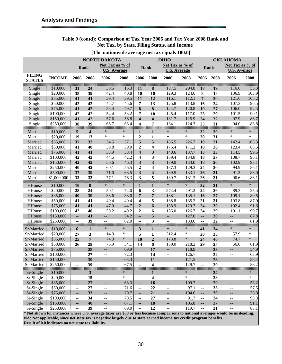| <b>NORTH DAKOTA</b>            |                        |             |                         |                                                     | <b>OHIO</b>  |                          |                         |                          | <b>OKLAHOMA</b> |                     |                |                                                     |                |
|--------------------------------|------------------------|-------------|-------------------------|-----------------------------------------------------|--------------|--------------------------|-------------------------|--------------------------|-----------------|---------------------|----------------|-----------------------------------------------------|----------------|
|                                |                        | <b>Rank</b> |                         | Net Tax as % of                                     |              |                          | <b>Rank</b>             | Net Tax as % of          |                 |                     | <b>Rank</b>    | Net Tax as % of                                     |                |
|                                |                        |             |                         | <b>U.S. Average</b>                                 |              |                          |                         | <b>U.S. Average</b>      |                 |                     |                | <b>U.S. Average</b>                                 |                |
| <b>FILING</b><br><b>STATUS</b> | <b>INCOME</b>          | 2006        | 2008                    | 2006                                                | 2008         | 2006                     | 2008                    | 2006                     | 2008            | 2006                | 2008           | 2006                                                | 2008           |
|                                |                        |             |                         |                                                     |              |                          |                         |                          |                 |                     |                |                                                     |                |
| Single                         | \$10,000               | 31          | 24                      | 30.5                                                | 15.3         | 11                       | $\bf{8}$                | 187.5                    | 294.8           | 18                  | 19             | 116.6                                               | 55.3           |
| Single                         | \$20,000<br>\$35,000   | 38<br>41    | 39<br>41                | 42.4<br>39.4                                        | 40.8<br>39.5 | 10<br>11                 | 10<br>12                | 129.3<br>116.1           | 124.6<br>112.1  | 8<br>$\overline{7}$ | 18<br>20       | 136.9<br>121.6                                      | 103.9<br>105.2 |
| Single<br>Single               | \$50,000               | 42          | 42                      | 45.7                                                | 45.6         | 7                        | 13                      | 125.8                    | 113.8           | 16                  | 24             | 107.3                                               | 96.5           |
| Single                         | \$75,000               | 41          | 42                      | 53.4                                                | 49.7         | 8                        | 8                       | 124.7                    | 120.8           | 19                  | 27             | 106.0                                               | 92.3           |
| Single                         | \$100,000              | 42          | 42                      | 54.4                                                | 53.2         | 7                        | 10                      | 125.4                    | 117.0           | 23                  | 29             | 101.5                                               | 90.1           |
| Single                         | \$150,000              | 41          | 42                      | 57.6                                                | 56.8         | $\overline{\mathbf{4}}$  | $\overline{\mathbf{4}}$ | 131.7                    | 125.9           | 24                  | 32             | 97.9                                                | 86.7           |
| Single                         | \$250,000              | 38          | 39                      | 66.7                                                | 63.4         | 4                        | 7                       | 134.1                    | 124.3           | 25                  | 31             | 94.0                                                | 83.8           |
| Married                        | \$10,000               | 5           | $\overline{\mathbf{4}}$ | $\ast$                                              | $\ast$       | $\mathbf{1}$             | $\mathbf{1}$            | $\ast$                   | $\ast$          | 32                  | 30             | $\ast$                                              | $\ast$         |
| Married                        | \$20,000               | 19          | 13                      | $\ast$                                              | $\ast$       | $\overline{2}$           | $\mathbf{1}$            | $\ast$                   | $\ast$          | 30                  | 31             | $\ast$                                              | $\ast$         |
| Married                        | \$35,000               | 37          | 32                      | 34.5                                                | 37.1         | 5                        | 5                       | 186.5                    | 226.7           | 10                  | 21             | 142.4                                               | 103.3          |
| Married                        | \$50,000               | 41          | 40                      | 39.8                                                | 39.0         | $\overline{2}$           | $\overline{\mathbf{4}}$ | 175.4                    | 171.2           | 10                  | 26             | 123.4                                               | 88.5           |
| Married                        | \$75,000               | 41          | 41                      | 38.9                                                | 38.4         | $\overline{\mathbf{4}}$  | $\overline{\mathbf{3}}$ | 140.6                    | 137.7           | 13                  | 23             | 114.5                                               | 99.5           |
| Married                        | \$100,000              | 42          | 42                      | 44.5                                                | 42.2         | 4                        | 3                       | 139.4                    | 134.8           | 18                  | 27             | 108.7                                               | 96.1           |
| Married                        | \$150,000              | 42          | 42                      | 50.6                                                | 46.3         | 3                        | $\overline{\mathbf{3}}$ | 139.0                    | 133.0           | 18                  | 26             | 102.9                                               | 93.1           |
| Married                        | \$250,000              | 40          | 42                      | 60.1                                                | 56.5         | $\overline{2}$           | $\overline{\mathbf{4}}$ | 137.3                    | 129.3           | 24                  | 30             | 94.9                                                | 86.1           |
| Married                        | \$500,000              | 37          | 39                      | 71.0                                                | 68.5         | 3                        | $\overline{\mathbf{4}}$ | 139.5                    | 133.1           | 26                  | 31             | 91.2                                                | 83.0           |
| Married                        | \$1,000,000            | 33          | 33                      | 77.1                                                | 76.3         | 3                        | 5                       | 139.7                    | 131.3           | 26                  | 31             | 90.6                                                | 83.1           |
| HHouse                         | \$10,000               | 10          | ${\bf 8}$               | $\ast$                                              | $\ast$       | $\mathbf{1}$             | $\mathbf{1}$            | $\ast$                   | $\ast$          | 32                  | 31             | $\ast$                                              | $\ast$         |
| HHouse                         | \$20,000               | 28          | 24                      | 50.1                                                | 74.0         | 6                        | 3                       | 274.4                    | 491.2           | 24                  | 26             | 89.3                                                | 25.3           |
| HHouse                         | \$35,000               | 40          | 39                      | 38.6                                                | 38.0         | $\overline{7}$           | $\overline{7}$          | 138.1                    | 135.1           | 16                  | 27             | 109.1                                               | 89.5           |
| HHouse                         | \$50,000               | 41          | 41                      | 40.4                                                | 40.4         | 4                        | 5                       | 138.8                    | 135.2           | 21                  | 31             | 103.8                                               | 87.9           |
| HHouse                         | \$75,000               | 41          | 41                      | 47.0                                                | 44.7         | $\overline{2}$           | 6                       | 138.9                    | 129.7           | 24                  | 30             | 102.4                                               | 91.6           |
| HHouse                         | \$100,000              | 42          | 40                      | 50.2                                                | 49.2         | $\boldsymbol{2}$         | 6                       | 136.0                    | 126.7           | 24                  | 29             | 101.1                                               | 90.7           |
| HHouse                         | \$150,000              | --          | 41                      | $-$                                                 | 54.2         | щ,                       | 5                       | 44                       | 127.0           | -−                  | 30             | --                                                  | 87.8           |
| HHouse                         | \$250,000              | --          | 39                      | $\overline{\phantom{a}}$                            | 62.0         | --                       | 3                       | $-$                      | 133.6           | --                  | 32             | $\overline{a}$                                      | 81.9           |
| Sr-Married                     | \$10,000               | 6           | $\mathbf{1}$            | $\ast$                                              | $\ast$       | 3                        | $\mathbf{1}$            | $\ast$                   | $\ast$          | 41                  | 34             | $\ast$                                              | $\ast$         |
| Sr-Married                     | \$20,000               | 27          | 3                       | 14.3                                                | $\ast$       | 5                        | $\mathbf{1}$            | 312.4                    | $\ast$          | 20                  | 35             | 57.9                                                | $\ast$         |
| Sr-Married                     | \$35,000               | 25          | $\overline{7}$          | 74.3                                                | $\ast$       | 10                       | $\overline{2}$          | 173.8                    | $\ast$          | 24                  | 40             | 74.7                                                | $\ast$         |
| Sr-Married                     | \$50,000               | 26          | 29                      | 75.9                                                | 54.1         | 14                       | 6                       | 139.0                    | 218.2           | 29                  | 25             | 56.0                                                | 61.9           |
| Sr-Married                     | \$75,000               | н.          | 28                      | --                                                  | 69.9         | щ,                       | 17                      | $-$                      | 118.9           | -−                  | 33             | $--$                                                | 54.9           |
| Sr-Married                     | \$100,000              | --          | 27                      | $-$                                                 | 72.3         | --                       | 14                      | $-$                      | 126.7           | --                  | 32             | $-$                                                 | 63.9           |
| Sr-Married                     | \$150,000              | --          | 39                      | --                                                  | 63.3         | н.                       | 11                      | --                       | 121.5<br>129.7  | Ш,                  | 28             | ц.                                                  | 88.4           |
| Sr-Married                     | \$250,000              | --          | 39                      | $-$                                                 | 67.5         | --                       | 4                       | $\qquad \qquad -$        |                 | --                  | 30             | $\qquad \qquad -$                                   | 86.2           |
| Sr-Single                      | \$10,000               | --          | $\mathbf{3}$            | --                                                  | $\ast$       | --                       | $\mathbf{1}$            | $\overline{\phantom{a}}$ | $\ast$          | -−                  | 34             | $\overline{\phantom{a}}$                            | $\ast$         |
| Sr-Single                      | \$20,000               | -−          | 15                      | $\overline{\phantom{a}}$                            | $\ast$       | --                       | 4                       | $\overline{\phantom{a}}$ | $\ast$          | --                  | 38             | $\overline{\phantom{a}}$                            | $\ast$         |
| Sr-Single                      | \$35,000               | --          | 27                      | $\overline{\phantom{a}}$                            | 63.3         | --                       | 16                      | $\overline{\phantom{a}}$ | 109.7           | -−                  | 29             | $\overline{\phantom{m}}$                            | 53.2           |
| Sr-Single                      | \$50,000               | ۰.          | 27                      | $\hspace{0.05cm} -\hspace{0.05cm} -\hspace{0.05cm}$ | 71.6         | ۰.                       | 22                      | $\overline{\phantom{a}}$ | 97.1            | --                  | 33             | $\hspace{0.05cm} -\hspace{0.05cm} -\hspace{0.05cm}$ | 57.5           |
| Sr-Single                      | \$75,000               | --          | 33                      | $-$                                                 | 70.7         | --                       | 21                      | $\qquad \qquad -$        | 104.6           | н.                  | 30             | $- -$                                               | 75.9           |
| Sr-Single<br>Sr-Single         | \$100,000<br>\$150,000 | ۰.          | 34<br>40                | $\overline{\phantom{a}}$                            | 70.5<br>67.1 | --                       | $\bf 27$<br>18          | $\overline{\phantom{a}}$ | 91.7<br>105.8   | ⊷                   | 24<br>$\bf 27$ | $\hspace{0.05cm} -\hspace{0.05cm} -\hspace{0.05cm}$ | 98.3<br>91.1   |
| Sr-Single                      | \$250,000              | н.          | 39                      | --                                                  |              | --                       | 12                      | --                       | 119.7           | н.                  | 31             | $\overline{\phantom{a}}$                            | 83.1           |
|                                |                        | ۰.          |                         | $\mathbb{L}^{\mathbb{L}}$                           | 69.0         | $\overline{\phantom{a}}$ |                         | --                       |                 | -−                  |                | $\overline{\phantom{a}}$                            |                |

**[The nationwide average net tax equals 100.0]**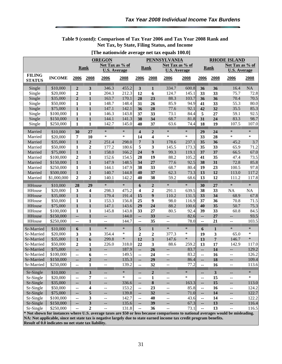|                                |               | <b>OREGON</b>    |                         |                          |        |                          |                         | <b>PENNSYLVANIA</b>      |        |                          |                | <b>RHODE ISLAND</b>                                 |           |
|--------------------------------|---------------|------------------|-------------------------|--------------------------|--------|--------------------------|-------------------------|--------------------------|--------|--------------------------|----------------|-----------------------------------------------------|-----------|
|                                |               | Rank             |                         | Net Tax as % of          |        | <b>Rank</b>              |                         | Net Tax as % of          |        | Rank                     |                | Net Tax as % of                                     |           |
|                                |               |                  |                         | <b>U.S. Average</b>      |        |                          |                         | <b>U.S. Average</b>      |        |                          |                | <b>U.S. Average</b>                                 |           |
| <b>FILING</b><br><b>STATUS</b> | <b>INCOME</b> | <b>2006</b>      | 2008                    | 2006                     | 2008   | 2006                     | 2008                    | 2006                     | 2008   | 2006                     | 2008           | 2006                                                | 2008      |
| Single                         | \$10,000      | $\boldsymbol{2}$ | 3                       | 346.3                    | 455.2  | $\mathbf{3}$             | $\mathbf{1}$            | 334.7                    | 600.8  | 36                       | 36             | 16.4                                                | <b>NA</b> |
| Single                         | \$20,000      | $\overline{2}$   | 1                       | 204.3                    | 212.3  | 12                       | 6                       | 124.7                    | 145.1  | 33                       | 33             | 75.7                                                | 72.8      |
| Single                         | \$35,000      | $\overline{2}$   | $\mathbf{1}$            | 163.7                    | 170.1  | 28                       | 23                      | 88.3                     | 103.7  | 36                       | 36             | 70.4                                                | 70.5      |
| Single                         | \$50,000      | 1                | $\mathbf{1}$            | 148.7                    | 148.4  | 31                       | 26                      | 85.9                     | 94.9   | 41                       | 33             | 55.3                                                | 80.0      |
| Single                         | \$75,000      | $\mathbf{1}$     | $\mathbf{1}$            | 147.1                    | 142.1  | 36                       | 28                      | 77.6                     | 92.1   | 42                       | 32             | 35.5                                                | 85.3      |
| Single                         | \$100,000     | $\mathbf{1}$     | $\mathbf 1$             | 146.3                    | 143.8  | 37                       | 33                      | 73.1                     | 84.4   | 5                        | 27             | 59.1                                                | 92.5      |
| Single                         | \$150,000     | $\mathbf{1}$     | $\mathbf{1}$            | 144.1                    | 141.3  | 38                       | 34                      | 68.7                     | 81.8   | 31                       | 24             | 83.3                                                | 98.7      |
| Single                         | \$250,000     | 1                | $\mathbf{1}$            | 142.7                    | 145.0  | 40                       | 37                      | 63.6                     | 74.4   | 18                       | 19             | 107.5                                               | 107.0     |
| Married                        | \$10,000      | 30               | 27                      | $\ast$                   | $\ast$ | $\overline{\mathbf{4}}$  | $\boldsymbol{2}$        | $\ast$                   | $\ast$ | 29                       | 24             | $\ast$                                              | $\ast$    |
| Married                        | \$20,000      | 7                | 10                      | $\ast$                   | $\ast$ | 14                       | 4                       | $\ast$                   | $\ast$ | 33                       | 28             | $\ast$                                              | $\ast$    |
| Married                        | \$35,000      | $\mathbf{1}$     | $\mathbf{2}$            | 251.4                    | 298.0  | $\overline{7}$           | 3                       | 178.6                    | 237.1  | 35                       | 36             | 45.2                                                | 3.7       |
| Married                        | \$50,000      | 1                | $\overline{2}$          | 177.2                    | 180.6  | $\overline{5}$           | 3                       | 145.5                    | 173.3  | 35                       | 33             | 65.9                                                | 71.2      |
| Married                        | \$75,000      | $\mathbf{1}$     | $\mathbf{1}$            | 158.0                    | 166.2  | 24                       | 9                       | 99.3                     | 119.1  | 37                       | 37             | 66.5                                                | 67.0      |
| Married                        | \$100,000     | $\mathbf{2}$     | $\mathbf 1$             | 152.6                    | 154.5  | 28                       | 19                      | 88.2                     | 105.2  | 41                       | 35             | 47.4                                                | 73.5      |
| Married                        | \$150,000     | $\mathbf{1}$     | $\mathbf{1}$            | 147.9                    | 148.5  | 34                       | 27                      | 77.6                     | 92.5   | 38                       | 31             | 72.8                                                | 85.8      |
| Married                        | \$250,000     | $\mathbf{1}$     | $\mathbf{1}$            | 144.1                    | 147.9  | 38                       | 33                      | 68.7                     | 80.4   | 19                       | 23             | 100.5                                               | 97.8      |
| Married                        | \$500,000     | $\mathbf{1}$     | $\mathbf{1}$            | 140.7                    | 144.8  | 40                       | 37                      | 62.3                     | 73.3   | 13                       | 12             | 113.0                                               | 117.2     |
| Married                        | \$1,000,000   | $\boldsymbol{2}$ | $\mathbf{2}$            | 140.1                    | 142.2  | 40                       | 38                      | 59.2                     | 68.6   | 13                       | 12             | 111.2                                               | 117.8     |
| HHouse                         | \$10,000      | 28               | 29                      | $\ast$                   | $\ast$ | 6                        | $\mathbf{2}$            | $\ast$                   | $\ast$ | 30                       | 27             | $\ast$                                              | $\ast$    |
| HHouse                         | \$20,000      | 3                | 4                       | 298.3                    | 475.2  | $\overline{\mathbf{4}}$  | $\boldsymbol{2}$        | 291.1                    | 639.5  | 38                       | 33             | <b>NA</b>                                           | NA        |
| HHouse                         | \$35,000      | $\mathbf{1}$     | $\mathbf{1}$            | 179.4                    | 191.4  | 15                       | 9                       | 110.2                    | 131.5  | 33                       | 34             | 68.9                                                | 67.8      |
| HHouse                         | \$50,000      | 1                | $\mathbf 1$             | 153.3                    | 156.8  | 25                       | 9                       | 98.0                     | 116.9  | 37                       | 36             | 70.8                                                | 71.5      |
| <b>HHouse</b>                  | \$75,000      | $\mathbf{1}$     | $\mathbf{1}$            | 147.1                    | 143.6  | 29                       | 24                      | 88.2                     | 100.6  | 40                       | 35             | 50.7                                                | 75.3      |
| HHouse                         | \$100,000     | $\mathbf{1}$     | $\mathbf{1}$            | 145.8                    | 143.8  | 33                       | 27                      | 80.5                     | 92.4   | 39                       | 33             | 60.8                                                | 84.5      |
| HHouse                         | \$150,000     | -−               | $\mathbf{1}$            | --                       | 144.0  | --                       | 33                      |                          | 82.6   | н.                       | 27             |                                                     | 93.5      |
| HHouse                         | \$250,000     | --               | $\mathbf{1}$            | $\overline{\phantom{a}}$ | 144.7  | --                       | 35                      | $-$                      | 78.0   | --                       | 21             | --                                                  | 103.5     |
| Sr-Married                     | \$10,000      | 6                | $\mathbf{1}$            | $\ast$                   | $\ast$ | $\overline{5}$           | $\mathbf{1}$            | $\ast$                   | $\ast$ | 6                        | $\mathbf{1}$   | $\ast$                                              | $\ast$    |
| Sr-Married                     | \$20,000      | 3                | 3                       | 354.4                    | $\ast$ | $\overline{2}$           | 2                       | 377.3                    | $\ast$ | 19                       | $\mathbf{3}$   | 65.0                                                | $\ast$    |
| Sr-Married                     | \$35,000      | $\mathbf{1}$     | 6                       | 299.8                    | $\ast$ | 12                       | $\overline{\mathbf{3}}$ | 147.6                    | $\ast$ | 13                       | $\overline{7}$ | 146.7                                               | $\ast$    |
| Sr-Married                     | \$50,000      | $\boldsymbol{2}$ | 1                       | 226.0                    | 318.0  | 22                       | 3                       | 88.6                     | 259.2  | 13                       | 17             | 142.9                                               | 117.0     |
| Sr-Married                     | \$75,000      | -−               | $\overline{\mathbf{3}}$ | --                       | 187.9  | --                       | 26                      | $- -$                    | 83.7   | -−                       | 14             | --                                                  | 129.2     |
| Sr-Married                     | \$100,000     | --               | 6                       | $-$                      | 149.5  | --                       | 24                      | $-$                      | 83.2   | --                       | 16             | $-$                                                 | 126.2     |
| Sr-Married                     | \$150,000     | ш,               | $\overline{2}$          | $-$                      | 135.3  | н.                       | 29                      | $\qquad \qquad -$        | 86.4   | ш,                       | 18             | $\qquad \qquad -$                                   | 109.4     |
| Sr-Married                     | \$250,000     | ۰.               | $\mathbf{1}$            | $\overline{\phantom{a}}$ | 139.2  | $\overline{\phantom{a}}$ | 32                      | $- \, -$                 | 77.2   | --                       | 16             | $\overline{\phantom{a}}$                            | 113.6     |
| Sr-Single                      | \$10,000      | --               | $\mathbf{3}$            | $\overline{\phantom{a}}$ | $\ast$ | н.                       | $\boldsymbol{2}$        | $- -$                    | $\ast$ | ۰.                       | 3 <sup>1</sup> | --                                                  | $\ast$    |
| Sr-Single                      | \$20,000      | ۰.               | 7                       | $\overline{\phantom{a}}$ | $\ast$ | н.                       | $\mathbf{1}$            | $\overline{\phantom{m}}$ | $\ast$ | --                       | 15             | $\hspace{0.05cm} -\hspace{0.05cm} -\hspace{0.05cm}$ | $\ast$    |
| Sr-Single                      | \$35,000      | --               | $\mathbf{1}$            | --                       | 336.6  | --                       | $\bf 8$                 | $- -$                    | 163.3  | -−                       | 15             | $\overline{\phantom{a}}$                            | 113.0     |
| Sr-Single                      | \$50,000      | ۰.               | $\boldsymbol{4}$        | Ξ.                       | 153.2  | $\overline{\phantom{a}}$ | 23                      | $\overline{\phantom{a}}$ | 85.8   | ۰.                       | 16             | $\mathord{\hspace{1pt}\text{--}\hspace{1pt}}$       | 124.2     |
| Sr-Single                      | \$75,000      | -−               | 5                       | Щ,                       | 139.8  | Ξ.                       | 32                      | $\overline{\phantom{a}}$ | 71.0   | н.                       | 14             | $\overline{\phantom{a}}$                            | 122.7     |
| Sr-Single                      | \$100,000     | ۰.               | 3                       | $\overline{\phantom{a}}$ | 142.7  | $\sim$                   | 40                      | $\overline{\phantom{a}}$ | 43.6   | $\overline{\phantom{a}}$ | 14             | $\hspace{0.05cm} -\hspace{0.05cm} -\hspace{0.05cm}$ | 122.2     |
| Sr-Single                      | \$150,000     | --               | $\mathbf{3}$            | --                       | 135.6  | н.                       | 39                      | $\overline{\phantom{a}}$ | 67.3   | н.                       | 13             | $\overline{\phantom{a}}$                            | 116.4     |
| Sr-Single                      | \$250,000     | --               | $\boldsymbol{2}$        | $\overline{\phantom{a}}$ | 131.8  | ۰.                       | 36                      | --                       | 73.1   | --                       | 13             | $\overline{\phantom{a}}$                            | 116.5     |

**[The nationwide average net tax equals 100.0]**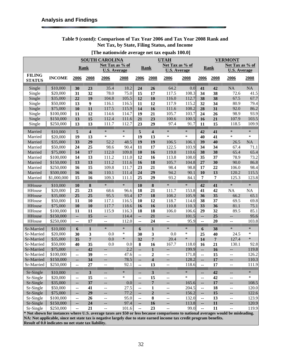|                                |                      |           | <b>SOUTH CAROLINA</b>   |                                        |         |                          | <b>UTAH</b>             |                                        |        |          | <b>VERMONT</b> |                                        |        |
|--------------------------------|----------------------|-----------|-------------------------|----------------------------------------|---------|--------------------------|-------------------------|----------------------------------------|--------|----------|----------------|----------------------------------------|--------|
|                                |                      |           | <b>Rank</b>             | Net Tax as % of<br><b>U.S. Average</b> |         |                          | <b>Rank</b>             | Net Tax as % of<br><b>U.S. Average</b> |        | Rank     |                | Net Tax as % of<br><b>U.S. Average</b> |        |
| <b>FILING</b><br><b>STATUS</b> | <b>INCOME</b>        | 2006      | 2008                    | 2006                                   | 2008    | 2006                     | 2008                    | 2006                                   | 2008   | 2006     | 2008           | 2006                                   | 2008   |
| Single                         |                      |           |                         |                                        | 18.2    |                          | 26                      |                                        | 0.0    |          | 42             |                                        | NA     |
| Single                         | \$10,000<br>\$20,000 | 30<br>31  | 23<br>32                | 35.4<br>78.0                           | 75.0    | 24<br>15                 | 17                      | 64.2<br>117.5                          | 108.3  | 41<br>34 | 38             | <b>NA</b><br>72.6                      | 41.5   |
| Single                         | \$35,000             | 22        | 19                      | 104.8                                  | 105.5   | 12                       | 10                      | 116.0                                  | 112.7  | 38       | 38             | 67.5                                   | 67.7   |
| Single                         | \$50,000             | 13        | $\boldsymbol{9}$        | 116.1                                  | 116.5   | 11                       | 12                      | 117.9                                  | 115.2  | 32       | 34             | 80.9                                   | 79.4   |
| Single                         | \$75,000             | 10        | 11                      | 117.5                                  | 115.9   | 14                       | 16                      | 111.6                                  | 108.2  | 28       | 31             | 92.0                                   | 86.2   |
| Single                         | \$100,000            | 11        | 12                      | 114.6                                  | 114.7   | 19                       | 21                      | 105.7                                  | 103.7  | 24       | 26             | 98.9                                   | 93.9   |
| Single                         | \$150,000            | 13        | 15                      | 112.4                                  | 111.6   | 21                       | 23                      | 100.6                                  | 100.5  | 16       | 21             | 107.9                                  | 103.5  |
| Single                         | \$250,000            | 13        | 13                      | 111.7                                  | 112.7   | 23                       | 29                      | 97.4                                   | 91.7   | 11       | 15             | 118.5                                  | 109.9  |
| Married                        | \$10,000             | 5         | $\overline{\mathbf{4}}$ | $\ast$                                 | $\ast$  | 5                        | $\overline{\mathbf{4}}$ | $\ast$                                 | $\ast$ | 42       | 41             | $\ast$                                 | $\ast$ |
| Married                        | \$20,000             | 19        | 13                      | $\ast$                                 | $\ast$  | 19                       | 13                      | $\ast$                                 | $\ast$ | 40       | 41             | $\ast$                                 | $\ast$ |
| Married                        | \$35,000             | 33        | 29                      | 52.2                                   | 48.5    | 19                       | 19                      | 106.5                                  | 106.1  | 39       | 40             | 26.5                                   | NA     |
| Married                        | \$50,000             | 24        | 25                      | 98.6                                   | 90.4    | 11                       | 17                      | 122.5                                  | 103.9  | 34       | 34             | 67.4                                   | 71.1   |
| Married                        | \$75,000             | 14        | 17                      | 112.0                                  | 109.8   | 10                       | 16                      | 119.8                                  | 110.6  | 38       | 38             | 65.4                                   | 65.4   |
| Married                        | \$100,000            | 14        | 13                      | 111.2                                  | 111.0   | 12                       | 16                      | 113.8                                  | 108.0  | 35       | 37             | 78.9                                   | 73.2   |
| Married                        | \$150,000            | 13        | 13                      | 111.2                                  | 111.6   | 16                       | 18                      | 105.7                                  | 104.8  | 27       | 30             | 90.0                                   | 86.8   |
| Married                        | \$250,000            | 16        | 15                      | 109.8                                  | 111.7   | 23                       | 21                      | 98.4                                   | 98.8   | 17       | 22             | 106.0                                  | 98.4   |
| Married                        | \$500,000            | 16        | 16                      | 110.1                                  | 111.4   | 24                       | 29                      | 94.2                                   | 90.1   | 10       | 13             | 120.2                                  | 115.5  |
| Married                        | \$1,000,000          | 15        | 16                      | 109.3                                  | 111.1   | 25                       | 29                      | 93.2                                   | 84.1   | 7        | 7              | 125.3                                  | 123.8  |
| HHouse                         | \$10,000             | <b>10</b> | ${\bf 8}$               | $\ast$                                 | $\ast$  | 10                       | $\bf{8}$                | $\ast$                                 | $\ast$ | 42       | 41             | $\ast$                                 | $\ast$ |
| HHouse                         | \$20,000             | 25        | 23                      | 68.6                                   | 96.6    | 18                       | 21                      | 111.7                                  | 153.8  | 41       | 42             | <b>NA</b>                              | NA     |
| HHouse                         | \$35,000             | 25        | 25                      | 95.5                                   | 93.4    | 17                       | 18                      | 108.2                                  | 105.9  | 36       | 35             | 66.2                                   | 65.1   |
| HHouse                         | \$50,000             | 11        | 10                      | 117.1                                  | 116.5   | 10                       | 12                      | 118.7                                  | 114.0  | 38       | 37             | 69.5                                   | 69.8   |
| <b>HHouse</b>                  | \$75,000             | 10        | 10                      | 117.7                                  | 118.6   | 16                       | 16                      | 110.8                                  | 110.3  | 33       | 36             | 81.1                                   | 75.1   |
| HHouse                         | \$100,000            | 11        | 11                      | 115.9                                  | 116.3   | 18                       | 18                      | 106.0                                  | 106.6  | 29       | 32             | 89.5                                   | 85.1   |
| HHouse                         | \$150,000            | щ.        | 15                      | --                                     | 114.4   | $\overline{\phantom{a}}$ | 21                      | $- -$                                  | 101.5  | н.       | 25             | $- -$                                  | 95.6   |
| HHouse                         | \$250,000            | --        | 17                      | $\overline{\phantom{a}}$               | 112.0   | --                       | 24                      | $\overline{a}$                         | 95.9   | --       | 20             | --                                     | 103.8  |
| Sr-Married                     | \$10,000             | 6         | $\mathbf{1}$            | $\ast$                                 | $\ast$  | 6                        | $\mathbf{1}$            | $\ast$                                 | $\ast$ | 6        | 38             | $\ast$                                 | $\ast$ |
| Sr-Married                     | \$20,000             | 30        | 3                       | 0.0                                    | $\ast$  | 30                       | 3                       | 0.0                                    | $\ast$ | 25       | 40             | 24.5                                   | $\ast$ |
| Sr-Married                     | \$35,000             | 35        | $\overline{7}$          | 0.0                                    | $\ast$  | 32                       | $\overline{7}$          | 20.4                                   | $\ast$ | 14       | $\overline{7}$ | 127.4                                  | $\ast$ |
| Sr-Married                     | \$50,000             | 40        | 35                      | 0.0                                    | 0.0     | 8                        | 16                      | 167.7                                  | 118.0  | 16       | 21             | 130.1                                  | 92.8   |
| Sr-Married                     | \$75,000             | н.        | 42                      | --                                     | 2.2     | --                       | $\mathbf{1}$            | $-$                                    | 199.9  | -−       | 16             | --                                     | 119.8  |
| Sr-Married                     | \$100,000            | --        | 39                      | $\overline{\phantom{a}}$               | 47.6    | --                       | $\overline{2}$          | $-$                                    | 171.8  | --       | 15             | $-$                                    | 126.2  |
| Sr-Married                     | \$150,000            | ш,        | 34                      | --                                     | 78.5    | ш,                       | $\overline{\mathbf{4}}$ | 44                                     | 128.2  | ш,       | 17             | <u></u>                                | 110.3  |
| Sr-Married                     | \$250,000            | --        | 27                      | $\overline{\phantom{a}}$               | 92.1    | --                       | 13                      | $\qquad \qquad -$                      | 118.6  | --       | 17             | $\overline{\phantom{m}}$               | 111.9  |
| Sr-Single                      | \$10,000             | --        | $\mathbf{3}$            | --                                     | $\ast$  | н.                       | $\mathbf{3}$            | $- -$                                  | $\ast$ | ۰.       | 42             | $\overline{\phantom{a}}$               | $\ast$ |
| Sr-Single                      | \$20,000             | --        | 15                      | $\overline{\phantom{a}}$               | $\ast$  | --                       | 15                      | $\overline{\phantom{a}}$               | $\ast$ | --       | 42             | $\overline{\phantom{m}}$               | $\ast$ |
| Sr-Single                      | \$35,000             | ۰.        | 37                      | $- -$                                  | $0.0\,$ | --                       | $\overline{7}$          | $\overline{\phantom{a}}$               | 165.6  | -−       | 17             | $\overline{\phantom{a}}$               | 108.5  |
| Sr-Single                      | \$50,000             | --        | 41                      | $\overline{\phantom{a}}$               | 27.5    | $\overline{\phantom{a}}$ | 1                       | $\overline{\phantom{a}}$               | 204.5  | -−       | 18             | $\overline{\phantom{a}}$               | 120.0  |
| Sr-Single                      | \$75,000             | --        | 29                      | $- -$                                  | 77.2    | Ξ.                       | $\overline{2}$          | --                                     | 156.2  | н.       | 15             | $\overline{\phantom{a}}$               | 122.6  |
| Sr-Single                      | \$100,000            | ۰.        | 26                      | $-\, -$                                | 95.0    | $\overline{\phantom{a}}$ | ${\bf 8}$               | $\overline{\phantom{a}}$               | 132.0  | -−       | 13             | $\overline{\phantom{a}}$               | 123.9  |
| Sr-Single                      | \$150,000            | ۰.        | 24                      | --                                     | 97.4    | --                       | 16                      | --                                     | 113.8  | н.       | 11             | н,                                     | 120.9  |
| Sr-Single                      | \$250,000            | -−        | 21                      | $\overline{a}$                         | 101.6   | ۰.                       | 23                      | $\overline{\phantom{a}}$               | 99.0   | -−       | 11             | $\overline{\phantom{a}}$               | 119.9  |

**[The nationwide average net tax equals 100.0]**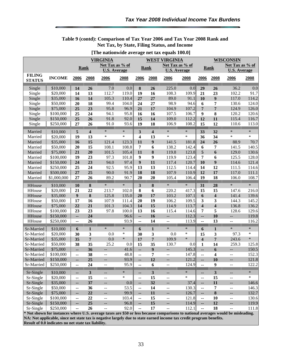| <b>VIRGINIA</b> |               |                          |                         |                          | <b>WEST VIRGINIA</b> |                         |                         |                          | <b>WISCONSIN</b> |                          |                         |                                                     |        |
|-----------------|---------------|--------------------------|-------------------------|--------------------------|----------------------|-------------------------|-------------------------|--------------------------|------------------|--------------------------|-------------------------|-----------------------------------------------------|--------|
|                 |               | Rank                     |                         | Net Tax as % of          |                      | <b>Rank</b>             |                         | Net Tax as % of          |                  | Rank                     |                         | Net Tax as % of                                     |        |
|                 |               |                          |                         | <b>U.S. Average</b>      |                      |                         |                         | <b>U.S. Average</b>      |                  |                          |                         | <b>U.S. Average</b>                                 |        |
| <b>FILING</b>   | <b>INCOME</b> | 2006                     | 2008                    | 2006                     | 2008                 | 2006                    | 2008                    | 2006                     | 2008             | 2006                     | 2008                    | 2006                                                | 2008   |
| <b>STATUS</b>   |               |                          |                         |                          |                      |                         |                         |                          |                  |                          |                         |                                                     |        |
| Single          | \$10,000      | 14                       | 26                      | 7.0                      | 0.0                  | 8                       | 26                      | 225.0                    | 0.0              | 29                       | 26                      | 36.2                                                | 0.0    |
| Single          | \$20,000      | 14                       | 13                      | 112.7                    | 119.0                | 19                      | 16                      | 108.3                    | 109.9            | 21                       | 23                      | 102.2                                               | 91.7   |
| Single          | \$35,000      | 16                       | 14                      | 105.3                    | 110.4                | 27                      | 27                      | 89.0                     | 91.1             | 10                       | $\boldsymbol{9}$        | 117.0                                               | 114.2  |
| Single          | \$50,000      | 20                       | 18                      | 99.4                     | 104.0                | 24                      | 27                      | 98.9                     | 94.6             | 6                        | 7                       | 130.6                                               | 124.0  |
| Single          | \$75,000      | 25                       | 23                      | 95.8                     | 96.9                 | 21                      | 17                      | 104.9                    | 107.2            | $\overline{7}$           | $\overline{7}$          | 124.9                                               | 126.0  |
| Single          | \$100,000     | 25                       | 24                      | 94.1                     | 95.8                 | 16                      | 16                      | 107.5                    | 106.7            | $\boldsymbol{9}$         | 8                       | 120.2                                               | 120.6  |
| Single          | \$150,000     | 25                       | 26                      | 91.8                     | 92.0                 | 15                      | 14                      | 109.0                    | 112.2            | 12                       | 11                      | 115.4                                               | 116.7  |
| Single          | \$250,000     | 27                       | 26                      | 91.0                     | 93.6                 | 19                      | 18                      | 106.9                    | 108.2            | 15                       | 12                      | 110.6                                               | 113.0  |
| Married         | \$10,000      | 5                        | $\overline{\mathbf{4}}$ | $\ast$                   | $\ast$               | $\mathbf{3}$            | $\overline{\mathbf{4}}$ | $\ast$                   | $\ast$           | 33                       | 32                      | $\ast$                                              | $\ast$ |
| Married         | \$20,000      | 19                       | 13                      | $\ast$                   | $\ast$               | $\overline{\mathbf{4}}$ | 13                      | $\ast$                   | $\star$          | 36                       | 34                      | $\ast$                                              | $\ast$ |
| Married         | \$35,000      | 16                       | 15                      | 121.4                    | 123.3                | 11                      | 9                       | 141.5                    | 181.8            | 24                       | 26                      | 88.9                                                | 70.7   |
| Married         | \$50,000      | 20                       | 15                      | 108.1                    | 108.8                | $\overline{7}$          | 6                       | 138.2                    | 142.4            | 6                        | 7                       | 141.5                                               | 140.5  |
| Married         | \$75,000      | 21                       | 20                      | 101.5                    | 105.4                | 11                      | 8                       | 119.8                    | 123.8            | 5                        | 6                       | 129.0                                               | 130.6  |
| Married         | \$100,000     | 19                       | 23                      | 97.3                     | 101.8                | $\boldsymbol{9}$        | 9                       | 119.9                    | 123.4            | 7                        | 6                       | 125.5                                               | 128.0  |
| Married         | \$150,000     | 24                       | 23                      | 94.0                     | 97.4                 | $\boldsymbol{9}$        | 11                      | 117.4                    | 120.7            | 10                       | 9                       | 114.6                                               | 121.4  |
| Married         | \$250,000     | 25                       | 24                      | 92.5                     | 95.9                 | 13                      | 13                      | 112.5                    | 114.4            | 14                       | 12                      | 111.5                                               | 114.6  |
| Married         | \$500,000     | 27                       | 25                      | 90.0                     | 91.9                 | 18                      | 18                      | 107.9                    | 110.9            | 12                       | 17                      | 117.0                                               | 111.1  |
| Married         | \$1,000,000   | 27                       | 26                      | 89.2                     | 90.7                 | 20                      | 20                      | 105.4                    | 106.4            | 19                       | 18                      | 106.0                                               | 108.7  |
| HHouse          | \$10,000      | <b>10</b>                | $\bf 8$                 | $\ast$                   | $\ast$               | $\mathbf{3}$            | $\bf{8}$                | $\ast$                   | $\ast$           | 31                       | 28                      | $\ast$                                              | $\ast$ |
| HHouse          | \$20,000      | 21                       | 22                      | 213.7                    | 102.0                | $\bf 8$                 | 6                       | 220.2                    | 417.3            | 15                       | 15                      | 147.6                                               | 216.0  |
| HHouse          | \$35,000      | 9                        | $\bf{8}$                | 125.8                    | 135.0                | 20                      | 17                      | 103.2                    | 107.1            | 6                        | $\overline{\mathbf{4}}$ | 141.4                                               | 139.6  |
| <b>HHouse</b>   | \$50,000      | 17                       | 16                      | 107.9                    | 111.4                | 20                      | 19                      | 106.2                    | 109.5            | 3                        | 3                       | 144.3                                               | 145.2  |
| HHouse          | \$75,000      | 22                       | 21                      | 101.3                    | 104.3                | 14                      | 15                      | 114.9                    | 113.7            | $\overline{\mathbf{4}}$  | $\overline{\mathbf{4}}$ | 136.8                                               | 136.2  |
| HHouse          | \$100,000     | 23                       | 23                      | 97.8                     | 100.0                | 13                      | 16                      | 115.4                    | 114.6            | 7                        | 5                       | 128.6                                               | 129.6  |
| <b>HHouse</b>   | \$150,000     | н.                       | 24                      |                          | 96.6                 | щ,                      | 16                      | --                       | 112.3            | н.                       | 10                      | $\qquad \qquad -$                                   | 119.8  |
| HHouse          | \$250,000     | --                       | 26                      |                          | 93.9                 | --                      | 14                      | $\overline{a}$           | 113.9            | --                       | 13                      | $\overline{a}$                                      | 116.2  |
| Sr-Married      | \$10,000      | 6                        | $\mathbf{1}$            | $\ast$                   | $\ast$               | 6                       | $\mathbf{1}$            | $\ast$                   | $\ast$           | 6                        | $\mathbf{1}$            | $\ast$                                              | $\ast$ |
| Sr-Married      | \$20,000      | 30                       | 3                       | 0.0                      | $\ast$               | 30                      | 3                       | 0.0                      | $\ast$           | 15                       | 3                       | 97.3                                                | $\ast$ |
| Sr-Married      | \$35,000      | 35                       | $\overline{7}$          | 0.0                      | $\ast$               | 17                      | $\overline{7}$          | 109.9                    | $\star$          | $\overline{\mathbf{4}}$  | $\overline{7}$          | 243.6                                               | $\ast$ |
| Sr-Married      | \$50,000      | 38                       | 35                      | 25.2                     | 0.0                  | 15                      | 35                      | 130.7                    | 0.0              | 1                        | 14                      | 259.3                                               | 125.8  |
| Sr-Married      | \$75,000      | щ,                       | 36                      | --                       | 41.6                 | ш.                      | 9                       | --                       | 145.3            | н.                       | 6                       | $-$                                                 | 150.5  |
| Sr-Married      | \$100,000     | --                       | 38                      | $\overline{a}$           | 48.8                 | --                      | 7                       | $\overline{a}$           | 147.8            | --                       | 4                       | $-$                                                 | 152.3  |
| Sr-Married      | \$150,000     | --                       | 25                      | --                       | 93.9                 | ш,                      | 12                      | 44                       | 121.2            | --                       | 10                      | <u></u>                                             | 121.8  |
| Sr-Married      | \$250,000     | --                       | 24                      | $-$                      | 95.9                 | --                      | 6                       | --                       | 124.9            | --                       | 9                       |                                                     | 122.2  |
| Sr-Single       | \$10,000      | --                       | $\mathbf{3}$            | $-$                      | $\ast$               | --                      | $\mathbf{3}$            | --                       | $\ast$           | ۰.                       | $\overline{\mathbf{3}}$ | $\qquad \qquad -$                                   | $\ast$ |
| Sr-Single       | \$20,000      | ۰.                       | 15                      | $\overline{\phantom{a}}$ | $\ast$               | --                      | 15                      | $\overline{\phantom{a}}$ | $\ast$           | $\overline{\phantom{a}}$ | 15                      | $\overline{\phantom{a}}$                            | $\ast$ |
| Sr-Single       | \$35,000      | ۰.                       | 37                      | $- -$                    | 0.0                  | --                      | 32                      | $\overline{\phantom{a}}$ | 37.4             | н.                       | 11                      | $\hspace{0.05cm} -\hspace{0.05cm} -\hspace{0.05cm}$ | 146.6  |
| Sr-Single       | \$50,000      | $\overline{\phantom{a}}$ | 36                      | $\overline{\phantom{a}}$ | 53.5                 | ۰.                      | 14                      | --                       | 130.3            | ۰.                       | 7                       | $\overline{\phantom{a}}$                            | 146.3  |
| Sr-Single       | \$75,000      | --                       | 22                      | --                       | 99.9                 | щ,                      | 11                      | --                       | 126.7            | --                       | $\bf 8$                 | $\overline{\phantom{a}}$                            | 132.7  |
| Sr-Single       | \$100,000     | --                       | 22                      | $\overline{\phantom{m}}$ | 103.4                | --                      | 15                      | $\overline{\phantom{a}}$ | 121.8            | $\overline{\phantom{a}}$ | 10                      | $\hspace{0.05cm} -\hspace{0.05cm} -\hspace{0.05cm}$ | 130.6  |
| Sr-Single       | \$150,000     | н,                       | 25                      | $\overline{\phantom{a}}$ | 96.8                 | --                      | 15                      | --                       | 114.9            | $\overline{\phantom{a}}$ | 12                      | $\overline{\phantom{a}}$                            | 119.9  |
| Sr-Single       | \$250,000     | --                       | 26                      | $\overline{\phantom{a}}$ | 92.0                 | ۰.                      | 17                      | $\overline{\phantom{a}}$ | 112.1            | ۰.                       | 18                      | $\overline{\phantom{a}}$                            | 111.8  |

**[The nationwide average net tax equals 100.0]**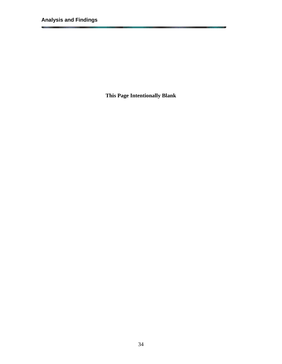à.

**This Page Intentionally Blank**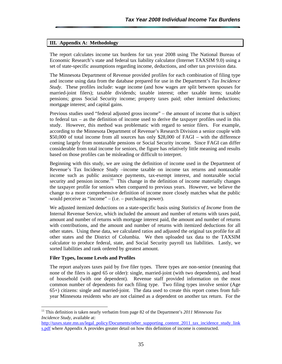## **III. Appendix A: Methodology**

The report calculates income tax burdens for tax year 2008 using The National Bureau of Economic Research's state and federal tax liability calculator (Internet TAXSIM 9.0) using a set of state-specific assumptions regarding income, deductions, and other tax provision data.

The Minnesota Department of Revenue provided profiles for each combination of filing type and income using data from the database prepared for use in the Department's *Tax Incidence Study*. These profiles include: wage income (and how wages are split between spouses for married-joint filers); taxable dividends; taxable interest; other taxable items; taxable pensions; gross Social Security income; property taxes paid; other itemized deductions; mortgage interest; and capital gains.

Previous studies used "federal adjusted gross income" – the amount of income that is subject to federal tax – as the definition of income used to derive the taxpayer profiles used in this study. However, this method was problematic with regard to senior filers. For example, according to the Minnesota Department of Revenue's Research Division a senior couple with \$50,000 of total income from all sources has only \$28,000 of FAGI – with the difference coming largely from nontaxable pensions or Social Security income. Since FAGI can differ considerable from total income for seniors, the figure has relatively little meaning and results based on those profiles can be misleading or difficult to interpret.

Beginning with this study, we are using the definition of income used in the Department of Revenue's Tax Incidence Study –income taxable on income tax returns and nontaxable income such as public assistance payments, tax-exempt interest, and nontaxable social security and pension income.<sup>11</sup> This change in the definition of income materially changes the taxpayer profile for seniors when compared to previous years. However, we believe the change to a more comprehensive definition of income more closely matches what the public would perceive as "income" – (i.e. – purchasing power).

We adjusted itemized deductions on a state-specific basis using *Statistics of Income* from the Internal Revenue Service, which included the amount and number of returns with taxes paid, amount and number of returns with mortgage interest paid, the amount and number of returns with contributions, and the amount and number of returns with itemized deductions for all other states. Using these data, we calculated ratios and adjusted the original tax profile for all other states and the District of Columbia. We then uploaded tax data to the TAXSIM calculator to produce federal, state, and Social Security payroll tax liabilities. Lastly, we sorted liabilities and rank ordered by greatest amount.

## **Filer Types, Income Levels and Profiles**

 $\overline{a}$ 

The report analyzes taxes paid by five filer types. Three types are non-senior (meaning that none of the filers is aged 65 or older): single, married-joint (with two dependents), and head of household (with one dependent). Revenue staff provided information on the most common number of dependents for each filing type. Two filing types involve senior (Age 65+) citizens: single and married-joint. The data used to create this report comes from fullyear Minnesota residents who are not claimed as a dependent on another tax return. For the

<sup>11</sup> This definition is taken nearly verbatim from page 82 of the Department's *2011 Minnesota Tax Incidence Study*, available at:

http://taxes.state.mn.us/legal\_policy/Documents/other\_supporting\_content\_2011\_tax\_incidence\_study\_link s.pdf where Appendix A provides greater detail on how this definition of income is constructed.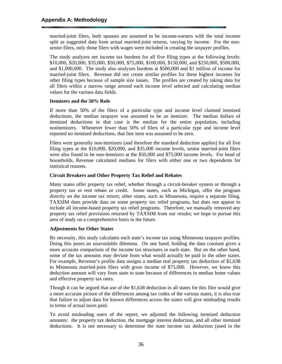married-joint filers, both spouses are assumed to be income-earners with the total income split as suggested data from actual married-joint returns, varying by income. For the nonsenior filers, only those filers with wages were included in creating the taxpayer profiles.

The study analyzes net income tax burdens for all five filing types at the following levels: \$10,000, \$20,000, \$35,000, \$50,000, \$75,000, \$100,000, \$150,000, and \$250,000, \$500,000, and \$1,000,000. The study also analyzes burdens at \$500,000 and \$1 million of income for married-joint filers. Revenue did not create similar profiles for these highest incomes for other filing types because of sample size issues. The profiles are created by taking data for all filers within a narrow range around each income level selected and calculating median values for the various data fields.

### **Itemizers and the 50% Rule**

If more than 50% of the filers of a particular type and income level claimed itemized deductions, the median taxpayer was assumed to be an itemizer. The median dollars of itemized deductions in that case is the median for the entire population, including nonitemizers. Whenever fewer than 50% of filers of a particular type and income level reported no itemized deductions, that line item was assumed to be zero.

Filers were generally non-itemizers (and therefore the standard deduction applies) for all five filing types at the \$10,000, \$20,000, and \$35,000 income levels, senior married-joint filers were also found to be non-itemizers at the \$50,000 and \$75,000 income levels. For head of households, Revenue calculated medians for filers with either one or two dependents for statistical reasons.

## **Circuit Breakers and Other Property Tax Relief and Rebates**

Many states offer property tax relief, whether through a circuit-breaker system or through a property tax or rent rebate or credit. Some states, such as Michigan, offer the program directly on the income tax return; other states, such as Minnesota, require a separate filing. TAXSIM does provide data on some property tax relief programs, but does not appear to include all income-based property tax relief programs. Therefore, we manually removed any property tax relief provisions returned by TAXSIM from our results; we hope to pursue this area of study on a comprehensive basis in the future.

## **Adjustments for Other States**

By necessity, this study calculates each state's income tax using Minnesota taxpayer profiles. Doing this poses an unavoidable dilemma. On one hand, holding the data constant gives a more accurate comparison of the income tax structures in each state. But on the other hand, some of the tax amounts may deviate from what would actually be paid in the other states. For example, Revenue's profile data assigns a median real property tax deduction of \$1,638 to Minnesota married-joint filers with gross income of \$75,000. However, we know this deduction amount will vary from state to state because of differences in median home values and effective property tax rates.

Though it can be argued that use of the \$1,638 deduction in all states for this filer would give a more accurate picture of the differences among tax codes of the various states, it is also true that failure to adjust data for known differences across the states will give misleading results in terms of actual taxes paid.

To avoid misleading users of the report, we adjusted the following itemized deduction amounts: the property tax deduction, the mortgage interest deduction, and all other itemized deductions. It is not necessary to determine the state income tax deduction (used in the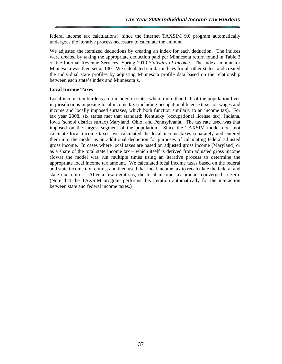federal income tax calculations), since the Internet TAXSIM 9.0 program automatically undergoes the iterative process necessary to calculate the amount.

We adjusted the itemized deductions by creating an index for each deduction. The indices were created by taking the appropriate deduction paid per Minnesota return found in Table 2 of the Internal Revenue Services' Spring 2010 *Statistics of Income*. The index amount for Minnesota was then set at 100. We calculated similar indices for all other states, and created the individual state profiles by adjusting Minnesota profile data based on the relationship between each state's index and Minnesota's.

### **Local Income Taxes**

Local income tax burdens are included in states where more than half of the population lives in jurisdictions imposing local income tax (including occupational license taxes on wages and income and locally imposed surtaxes, which both function similarly to an income tax). For tax year 2008, six states met that standard: Kentucky (occupational license tax), Indiana, Iowa (school district surtax) Maryland, Ohio, and Pennsylvania. The tax rate used was that imposed on the largest segment of the population. Since the TAXSIM model does not calculate local income taxes, we calculated the local income taxes separately and entered them into the model as an additional deduction for purposes of calculating federal adjusted gross income. In cases where local taxes are based on adjusted gross income (Maryland) or as a share of the total state income tax – which itself is derived from adjusted gross income (Iowa) the model was run multiple times using an iterative process to determine the appropriate local income tax amount. We calculated local income taxes based on the federal and state income tax returns; and then used that local income tax to recalculate the federal and state tax returns. After a few iterations, the local income tax amount converged to zero. (Note that the TAXSIM program performs this iteration automatically for the interaction between state and federal income taxes.)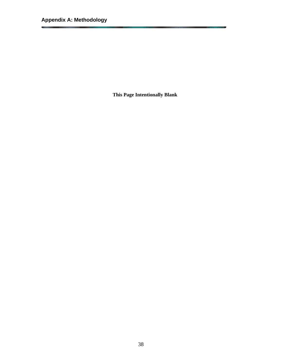à.

**This Page Intentionally Blank**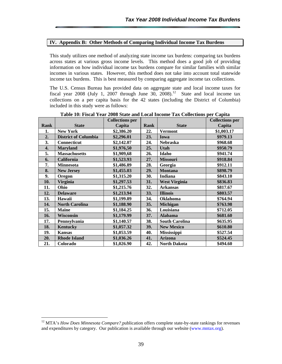#### **IV. Appendix B: Other Methods of Comparing Individual Income Tax Burdens**

This study utilizes one method of analyzing state income tax burdens: comparing tax burdens across states at various gross income levels. This method does a good job of providing information on how individual income tax burdens compare for similar families with similar incomes in various states. However, this method does not take into account total statewide income tax burdens. This is best measured by comparing aggregate income tax collections.

The U.S. Census Bureau has provided data on aggregate state and local income taxes for fiscal year 2008 (July 1, 2007 through June 30, 2008).<sup>12</sup> State and local income tax collections on a per capita basis for the 42 states (including the District of Columbia) included in this study were as follows:

|      |                             | <b>Collections per</b> |             |                       | <b>Collections per</b> |
|------|-----------------------------|------------------------|-------------|-----------------------|------------------------|
| Rank | <b>State</b>                | Capita                 | <b>Rank</b> | <b>State</b>          | Capita                 |
| 1.   | <b>New York</b>             | \$2,386.20             | 22.         | Vermont               | \$1,003.17             |
| 2.   | <b>District of Columbia</b> | \$2,296.01             | 23.         | Iowa                  | \$979.13               |
| 3.   | <b>Connecticut</b>          | \$2,142.07             | 24.         | <b>Nebraska</b>       | \$968.68               |
| 4.   | <b>Maryland</b>             | \$1,976,50             | 25.         | <b>Utah</b>           | \$950.79               |
| 5.   | <b>Massachusetts</b>        | \$1,909,68             | 26.         | Idaho                 | \$941.74               |
| 6.   | <b>California</b>           | \$1,523.93             | 27.         | <b>Missouri</b>       | \$918.84               |
| 7.   | <b>Minnesota</b>            | \$1,486.89             | 28.         | Georgia               | \$912.11               |
| 8.   | <b>New Jersey</b>           | \$1,455.03             | 29.         | <b>Montana</b>        | \$898.79               |
| 9.   | Oregon                      | \$1,315.20             | 30.         | <b>Indiana</b>        | \$843.10               |
| 10.  | <b>Virginia</b>             | \$1,297.53             | 31.         | West Virginia         | \$836.83               |
| 11.  | Ohio                        | \$1,215.76             | 32.         | <b>Arkansas</b>       | \$817.67               |
| 12.  | <b>Delaware</b>             | \$1,213.94             | 33.         | <b>Illinois</b>       | \$803.57               |
| 13.  | Hawaii                      | \$1,199.89             | 34.         | <b>Oklahoma</b>       | \$764.94               |
| 14.  | <b>North Carolina</b>       | \$1,188.90             | 35.         | <b>Michigan</b>       | \$763.98               |
| 15.  | <b>Maine</b>                | \$1,184.25             | 36.         | Louisiana             | \$712.05               |
| 16.  | Wisconsin                   | \$1,179.99             | 37.         | <b>Alabama</b>        | \$681.60               |
| 17.  | Pennsylvania                | \$1,140.57             | 38.         | <b>South Carolina</b> | \$635.95               |
| 18.  | Kentucky                    | \$1,057.32             | 39.         | <b>New Mexico</b>     | \$610.80               |
| 19.  | <b>Kansas</b>               | \$1,053.59             | 40.         | <b>Mississippi</b>    | \$527.54               |
| 20.  | <b>Rhode Island</b>         | \$1,036.26             | 41.         | <b>Arizona</b>        | \$524.45               |
| 21.  | Colorado                    | \$1,026.90             | 42.         | <b>North Dakota</b>   | \$494.60               |

**Table 10: Fiscal Year 2008 State and Local Income Tax Collections per Capita** 

 $\overline{a}$ 

<sup>&</sup>lt;sup>12</sup> MTA's *How Does Minnesota Compare?* publication offers complete state-by-state rankings for revenues and expenditures by category. Our publication is available through our website (www.mntax.org).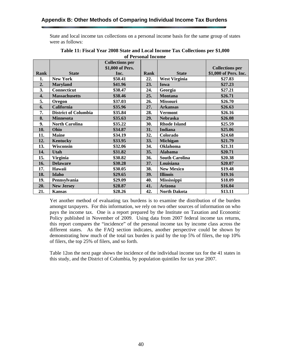State and local income tax collections on a personal income basis for the same group of states were as follows:

|             |                             | <b>Collections per</b> |      |                       |                        |
|-------------|-----------------------------|------------------------|------|-----------------------|------------------------|
|             |                             | \$1,000 of Pers.       |      |                       | <b>Collections per</b> |
| <b>Rank</b> | <b>State</b>                | Inc.                   | Rank | <b>State</b>          | \$1,000 of Pers. Inc.  |
| 1.          | <b>New York</b>             | \$50.41                | 22.  | <b>West Virginia</b>  | \$27.83                |
| 2.          | <b>Maryland</b>             | \$41.96                | 23.  | <b>Iowa</b>           | \$27.23                |
| 3.          | <b>Connecticut</b>          | \$38.47                | 24.  | Georgia               | \$27.21                |
| 4.          | <b>Massachusetts</b>        | \$38.46                | 25.  | <b>Montana</b>        | \$26.71                |
| 5.          | Oregon                      | \$37.03                | 26.  | <b>Missouri</b>       | \$26.70                |
| 6.          | <b>California</b>           | \$35.96                | 27.  | <b>Arkansas</b>       | \$26.63                |
| 7.          | <b>District of Columbia</b> | \$35.84                | 28.  | <b>Vermont</b>        | \$26.16                |
| 8.          | <b>Minnesota</b>            | \$35.63                | 29.  | <b>Nebraska</b>       | \$26.08                |
| 9.          | <b>North Carolina</b>       | \$35.22                | 30.  | <b>Rhode Island</b>   | \$25.59                |
| 10.         | Ohio                        | \$34.87                | 31.  | <b>Indiana</b>        | \$25.06                |
| 11.         | <b>Maine</b>                | \$34.19                | 32.  | Colorado              | \$24.68                |
| 12.         | Kentucky                    | \$33.95                | 33.  | <b>Michigan</b>       | \$21.79                |
| 13.         | Wisconsin                   | \$32.06                | 34.  | <b>Oklahoma</b>       | \$21.31                |
| 14.         | Utah                        | \$31.82                | 35.  | <b>Alabama</b>        | \$20.71                |
| 15.         | <b>Virginia</b>             | \$30.82                | 36.  | <b>South Carolina</b> | \$20.38                |
| <b>16.</b>  | <b>Delaware</b>             | \$30.28                | 37.  | Louisiana             | \$20.07                |
| 17.         | Hawaii                      | \$30.05                | 38.  | <b>New Mexico</b>     | \$19.48                |
| 18.         | Idaho                       | \$29.65                | 39.  | <b>Illinois</b>       | \$19.16                |
| 19.         | Pennsylvania                | \$29.09                | 40.  | Mississippi           | \$18.09                |
| 20.         | <b>New Jersey</b>           | \$28.87                | 41.  | <b>Arizona</b>        | \$16.04                |
| 21.         | <b>Kansas</b>               | \$28.26                | 42.  | <b>North Dakota</b>   | \$13.11                |

**Table 11: Fiscal Year 2008 State and Local Income Tax Collections per \$1,000 of Personal Income** 

Yet another method of evaluating tax burdens is to examine the distribution of the burden amongst taxpayers. For this information, we rely on two other sources of information on who pays the income tax. One is a report prepared by the Institute on Taxation and Economic Policy published in November of 2009. Using data from 2007 federal income tax returns, this report compares the "incidence" of the personal income tax by income class across the different states. As the FAQ section indicates, another perspective could be shown by demonstrating how much of the total tax burden is paid by the top 5% of filers, the top 10% of filers, the top 25% of filers, and so forth.

Table 12on the next page shows the incidence of the individual income tax for the 41 states in this study, and the District of Columbia, by population quintiles for tax year 2007.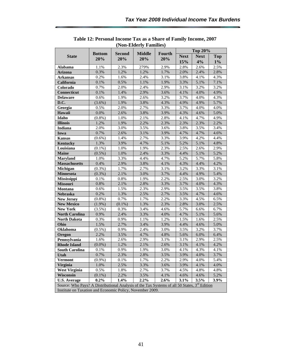|                                                                                  |                      |                      |                      |                      |             | <b>Top 20%</b>          |            |  |  |  |
|----------------------------------------------------------------------------------|----------------------|----------------------|----------------------|----------------------|-------------|-------------------------|------------|--|--|--|
| <b>State</b>                                                                     | <b>Bottom</b><br>20% | <b>Second</b><br>20% | <b>Middle</b><br>20% | <b>Fourth</b><br>20% | <b>Next</b> | <b>Next</b>             | <b>Top</b> |  |  |  |
|                                                                                  |                      |                      |                      |                      | 15%         | 4%                      | $1\%$      |  |  |  |
| Alabama                                                                          | 1.1%                 | 2.3%                 | 279%                 | 2.9%                 | 2.8%        | 2.6%                    | 2.5%       |  |  |  |
| Arizona                                                                          | 0.3%                 | 1.2%                 | 1.2%                 | 1.7%                 | 2.0%        | 2.4%                    | 2.8%       |  |  |  |
| Arkansas                                                                         | 0.2%                 | 1.6%                 | 2.4%                 | 3.1%                 | 3.8%        | 4.1%                    | 4.3%       |  |  |  |
| California                                                                       | 0.1%                 | 0.5%                 | 1.1%                 | 1.9%                 | 3.3%        | 5.1%                    | 7.1%       |  |  |  |
| Colorado                                                                         | 0.7%                 | 2.0%                 | 2.4%                 | 2.9%                 | 3.1%        | 3.2%                    | 3.2%       |  |  |  |
| Connecticut                                                                      | 0.1%                 | 1.4%                 | 2.9%                 | 3.6%                 | 4.1%        | 4.0%                    | 4.9%       |  |  |  |
| <b>Delaware</b>                                                                  | 0.6%                 | 1.9%                 | 2.6%                 | 3.2%                 | 3.7%        | 4.0%                    | 4.3%       |  |  |  |
| D.C.                                                                             | $(3.6\%)$            | 1.9%                 | 3.8%                 | 4.3%                 | 4.9%        | 4.9%                    | 5.7%       |  |  |  |
| Georgia                                                                          | 0.5%                 | 2.0%                 | 2.7%                 | 3.3%                 | 3.7%        | 4.0%                    | 4.0%       |  |  |  |
| Hawaii                                                                           | 0.0%                 | 2.6%                 | 3.8%                 | 3.9%                 | 4.3%        | 4.6%                    | 5.0%       |  |  |  |
| Idaho                                                                            | $(0.8\%)$            | 1.0%                 | 2.1%                 | 2.8%                 | 4.1%        | 4.7%                    | 4.9%       |  |  |  |
| <b>Illinois</b>                                                                  | 1.2%                 | 1.9%                 | 2.2%                 | 2.3%                 | 2.3%        | 2.3%                    | 2.2%       |  |  |  |
| Indiana                                                                          | 2.0%                 | 3.0%                 | 3.5%                 | 3.6%                 | 3.8%        | 3.5%                    | 3.4%       |  |  |  |
| Iowa                                                                             | 0.7%                 | 2.6%                 | 3.1%                 | 3.9%                 | 4.7%        | 4.7%                    | 4.6%       |  |  |  |
| <b>Kansas</b>                                                                    | $(0.6\%)$            | 1.4%                 | 2.7%                 | 3.3%                 | 3.9%        | 4.2%                    | 4.4%       |  |  |  |
| Kentucky                                                                         | 1.3%                 | 3.9%                 | 4.7%                 | 5.1%                 | 5.2%        | 5.1%                    | 4.8%       |  |  |  |
| Louisiana                                                                        | $(0.1\%)$            | 1.0%                 | 1.9%                 | 2.3%                 | 2.5%        | 2.6%                    | 2.9%       |  |  |  |
| <b>Maine</b>                                                                     | $(0.5\%)$            | 1.0%                 | 2.4%                 | 3.3%                 | 4.4%        | 5.1%                    | 5.2%       |  |  |  |
| <b>Marvland</b>                                                                  | 1.0%                 | 3.3%                 | 4.4%                 | 4.7%                 | 5.2%        | 5.7%                    | 5.8%       |  |  |  |
| <b>Massachusetts</b>                                                             | 0.4%                 | 2.9%                 | 3.8%                 | 4.1%                 | 4.3%        | 4.4%                    | 4.2%       |  |  |  |
| Michigan                                                                         | $(0.3\%)$            | 1.7%                 | 2.7%                 | 3.1%                 | 3.2%        | 3.3%                    | 3.1%       |  |  |  |
| <b>Minnesota</b>                                                                 | $(0.3\%)$            | 2.1%                 | 3.0%                 | 3.7%                 | 4.4%        | 4.9%                    | 5.4%       |  |  |  |
| <b>Mississippi</b>                                                               | 0.1%                 | 0.8%                 | 1.9%                 | 2.2%                 | 2.5%        | 3.0%                    | 3.2%       |  |  |  |
| <b>Missouri</b>                                                                  | 0.8%                 | 2.1%                 | 2.8%                 | 3.3%                 | 3.7%        | 4.0%                    | 4.3%       |  |  |  |
| Montana                                                                          | 0.6%                 | 1.5%                 | 2.3%                 | 2.9%                 | 3.5%        | 3.5%                    | 3.8%       |  |  |  |
| <b>Nebraska</b>                                                                  | 0.2%                 | 1.3%                 | 2.5%                 | 2.7%                 | 3.5%        | 4.7%                    | 4.6%       |  |  |  |
| <b>New Jersey</b>                                                                | $(0.8\%)$            | 0.7%                 | 1.7%                 | 2.2%                 | 3.3%        | 4.5%                    | 6.5%       |  |  |  |
| <b>New Mexico</b>                                                                | $(1.9\%)$            | $(0.1\%)$            | 1.3%                 | 2.3%                 | 2.8%        | 3.0%                    | 2.5%       |  |  |  |
| <b>New York</b>                                                                  | $(3.5\%)$            | 0.3%                 | 3.4%                 | 4.6%                 | 5.7%        | 6.6%                    | 6.7%       |  |  |  |
| <b>North Carolina</b>                                                            | 0.9%                 | 2.4%                 | 3.3%                 | 4.0%                 | 4.7%        | 5.1%                    | 5.6%       |  |  |  |
| <b>North Dakota</b>                                                              | 0.3%                 | 0.9%                 | 1.1%                 | 1.2%                 | 1.5%        | 1.6%                    | 2.5%       |  |  |  |
| Ohio                                                                             | 1.5%                 | 2.7%                 | 3.4%                 | 3.9%                 | 4.4%        | 4.6%                    | 5.0%       |  |  |  |
| Oklahoma                                                                         | $(0.5\%)$            | 0.9%                 | 2.4%                 | 3.0%                 | 3.5%        | 3.2%                    | 3.7%       |  |  |  |
| Oregon                                                                           | 2.2%                 | 3.5%                 | 4.7%                 | 4.8%                 | 5.6%        | 6.0%                    | 6.4%       |  |  |  |
| Pennsylvania                                                                     | 1.6%                 | 2.6%                 | 2.9%                 | 3.1%                 | 3.1%        | 2.9%                    | 2.5%       |  |  |  |
| <b>Rhode Island</b>                                                              | $(0.0\%)$            | 1.2%                 | 2.1%                 | 2.6%                 | 3.1%        | 4.1%                    | 4.2%       |  |  |  |
| <b>South Carolina</b>                                                            | 0.1%                 | 0.9%                 | 1.9%                 | 3.0%                 | 4.1%        | 4.3%                    | 4.1%       |  |  |  |
| Utah                                                                             | 0.7%                 | 2.3%                 | 2.8%                 | 3.5%                 | 3.9%        | 4.0%                    | 3.7%       |  |  |  |
| <b>Vermont</b>                                                                   | $(0.9\%)$            | 0.1%                 | 1.7%                 | 2.2%                 | 2.9%        | 4.0%                    | 5.4%       |  |  |  |
| Virginia                                                                         | 1.0%                 | 2.5%                 | 3.3%                 | 3.6%                 | 3.9%        | 4.1%                    | 4.0%       |  |  |  |
| <b>West Virginia</b>                                                             | 0.5%                 | 1.8%                 | 2.7%                 | 3.7%                 | 4.5%        | 4.8%                    | 4.8%       |  |  |  |
| Wisconsin                                                                        | $(0.1\%)$            | 2.2%                 | 3.5%                 | 4.1%                 | 4.6%        | 4.6%                    | 5.2%       |  |  |  |
| <b>U.S. Average</b>                                                              | 0.2%                 | 1.4%                 | 2.2%                 | 2.6%                 | 3.1%        | 3.5%                    | 3.9%       |  |  |  |
| Source: Who Pays? A Distributional Analysis of the Tax Systems of all 50 States, |                      |                      |                      |                      |             | 3 <sup>rd</sup> Edition |            |  |  |  |
| Institute on Taxation and Economic Policy, November 2009.                        |                      |                      |                      |                      |             |                         |            |  |  |  |

**Table 12: Personal Income Tax as a Share of Family Income, 2007 (Non-Elderly Families)**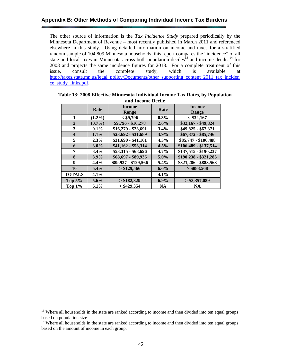## **Appendix B: Other Methods of Comparing Individual Income Tax Burdens**

The other source of information is the *Tax Incidence Study* prepared periodically by the Minnesota Department of Revenue – most recently published in March 2011 and referenced elsewhere in this study. Using detailed information on income and taxes for a stratified random sample of 104,809 Minnesota households, this report compares the "incidence" of all state and local taxes in Minnesota across both population deciles<sup>13</sup> and income deciles<sup>14</sup> for 2008 and projects the same incidence figures for 2013. For a complete treatment of this issue, consult the complete study, which is available at http://taxes.state.mn.us/legal\_policy/Documents/other\_supporting\_content\_2011\_tax\_inciden ce\_study\_links.pdf.

|                         | Rate      | Income<br>Range      | Rate      | <b>Income</b><br>Range |
|-------------------------|-----------|----------------------|-----------|------------------------|
| 1                       | $(1.2\%)$ | $<$ \$9,796          | 0.3%      | $<$ \$32,167           |
| $\overline{2}$          | $(0.7\%)$ | $$9,796 - $16,278$   | $2.6\%$   | \$32,167 - \$49,824    |
| 3                       | $0.1\%$   | $$16,279 - $23,691$  | 3.4%      | \$49,825 - \$67,371    |
| $\overline{\mathbf{4}}$ | 1.1%      | \$23,692 - \$31,689  | 3.9%      | \$67,372 - \$85,746    |
| 5                       | 2.3%      | \$31,690 - \$41,161  | 4.3%      | \$85,747 - \$106,488   |
| 6                       | $3.0\%$   | \$41,162 - \$53,314  | 4.5%      | \$106,489 - \$137,514  |
| 7                       | 3.4%      | \$53,315 - \$68,696  | 4.7%      | \$137,515 - \$190,237  |
| 8                       | 3.9%      | \$68,697 - \$89,936  | $5.0\%$   | \$190,238 - \$321,285  |
| 9                       | 4.4%      | \$89,937 - \$129,566 | 5.4%      | \$321,286 - \$883,568  |
| 10                      | 5.4%      | > \$129,566          | $6.6\%$   | > \$883,568            |
| <b>TOTALS</b>           | 4.1%      |                      | 4.1%      |                        |
| <b>Top 5%</b>           | $5.6\%$   | > \$182,829          | 6.9%      | > \$3,357,089          |
| Top $1\%$               | 6.1%      | $>$ \$429,354        | <b>NA</b> | <b>NA</b>              |

**Table 13: 2008 Effective Minnesota Individual Income Tax Rates, by Population and Income Decile** 

 $\overline{a}$ 

<sup>&</sup>lt;sup>13</sup> Where all households in the state are ranked according to income and then divided into ten equal groups based on population size.

 $14$  Where all households in the state are ranked according to income and then divided into ten equal groups based on the amount of income in each group.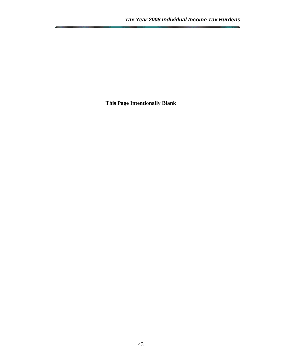**This Page Intentionally Blank**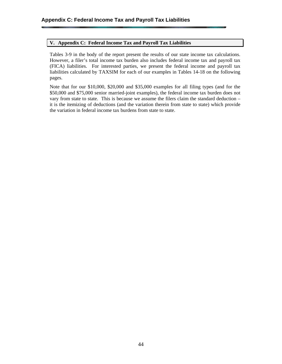## **V. Appendix C: Federal Income Tax and Payroll Tax Liabilities**

Tables 3-9 in the body of the report present the results of our state income tax calculations. However, a filer's total income tax burden also includes federal income tax and payroll tax (FICA) liabilities. For interested parties, we present the federal income and payroll tax liabilities calculated by TAXSIM for each of our examples in Tables 14-18 on the following pages.

Note that for our \$10,000, \$20,000 and \$35,000 examples for all filing types (and for the \$50,000 and \$75,000 senior married-joint examples), the federal income tax burden does not vary from state to state. This is because we assume the filers claim the standard deduction – it is the itemizing of deductions (and the variation therein from state to state) which provide the variation in federal income tax burdens from state to state.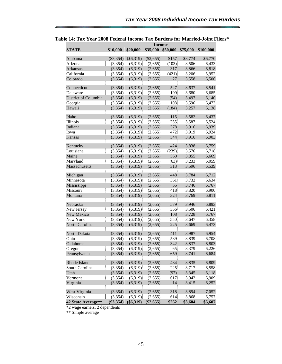|                               |             |             | <b>Income</b> |          |          |           |
|-------------------------------|-------------|-------------|---------------|----------|----------|-----------|
| <b>STATE</b>                  | \$10,000    | \$20,000    | \$35,000      | \$50,000 | \$75,000 | \$100,000 |
| Alabama                       | $(\$3,354)$ | $(\$6,319)$ | $(\$2,655)$   | \$157    | \$3,774  | \$6,770   |
| Arizona                       | (3,354)     | (6,319)     | (2,655)       | (103)    | 3,506    | 6,433     |
| <b>Arkansas</b>               | (3, 354)    | (6,319)     | (2,655)       | 317      | 3,866    | 6,818     |
| California                    | (3,354)     | (6,319)     | (2,655)       | (421)    | 3,206    | 5,952     |
| Colorado                      | (3, 354)    | (6,319)     | (2,655)       | 27       | 3,558    | 6,506     |
| Connecticut                   | (3,354)     | (6,319)     | (2,655)       | 527      | 3,637    | 6,541     |
| Delaware                      | (3, 354)    | (6,319)     | (2,655)       | 199      | 3,680    | 6,685     |
| District of Columbia          | (3, 354)    | (6,319)     | (2,655)       | (54)     | 3,497    | 6,140     |
| Georgia                       | (3,354)     | (6,319)     | (2,655)       | 108      | 3,596    | 6,473     |
| Hawaii                        | (3, 354)    | (6,319)     | (2,655)       | (184)    | 3,257    | 6,138     |
| Idaho                         | (3, 354)    | (6,319)     | (2,655)       | 115      | 3,582    | 6,437     |
| Illinois                      | (3,354)     | (6,319)     | (2,655)       | 255      | 3,587    | 6,524     |
| Indiana                       | (3, 354)    | (6,319)     | (2,655)       | 378      | 3,916    | 6,939     |
| Iowa                          | (3, 354)    | (6,319)     | (2,655)       | 472      | 3,919    | 6,924     |
| Kansas                        | (3, 354)    | (6,319)     | (2,655)       | 544      | 3,916    | 6,903     |
| Kentucky                      | (3, 354)    | (6,319)     | (2,655)       | 424      | 3,838    | 6,759     |
| Louisiana                     | (3, 354)    | (6,319)     | (2,655)       | (239)    | 3,576    | 6,718     |
| Maine                         | (3, 354)    | (6,319)     | (2,655)       | 560      | 3,855    | 6,669     |
| Maryland                      | (3,354)     | (6,319)     | (2,655)       | (63)     | 3,233    | 6,059     |
| Massachusetts                 | (3,354)     | (6,319)     | (2,655)       | 313      | 3,596    | 6,539     |
| Michigan                      | (3, 354)    | (6,319)     | (2,655)       | 448      | 3,784    | 6,712     |
| Minnesota                     | (3,354)     | (6,319)     | (2,655)       | 361      | 3,732    | 6,634     |
| Mississippi                   | (3, 354)    | (6,319)     | (2,655)       | 55       | 3,746    | 6,767     |
| Missouri                      | (3, 354)    | (6,319)     | (2,655)       | 418      | 3,820    | 6,900     |
| Montana                       | (3, 354)    | (6,319)     | (2,655)       | 324      | 3,769    | 6,811     |
| Nebraska                      | (3, 354)    | (6,319)     | (2,655)       | 579      | 3,946    | 6,893     |
| New Jersey                    | (3,354)     | (6,319)     | (2,655)       | 356      | 3,506    | 6,421     |
| New Mexico                    | (3, 354)    | (6,319)     | (2,655)       | 108      | 3,728    | 6,767     |
| New York                      | (3, 354)    | (6,319)     | (2,655)       | 550      | 3,647    | 6,358     |
| North Carolina                | (3, 354)    | (6,319)     | (2,655)       | 225      | 3,669    | 6,473     |
| North Dakota                  | (3, 354)    | (6,319)     | (2,655)       | 411      | 3,987    | 6,954     |
| Ohio                          | (3, 354)    | (6,319)     | (2,655)       | 589      | 3,839    | 6,708     |
| Oklahoma                      | (3, 354)    | (6,319)     | (2,655)       | 342      | 3,837    | 6,803     |
| Oregon                        | (3, 354)    | (6,319)     | (2,655)       | 65       | 3,379    | 6,226     |
| Pennsylvania                  | (3, 354)    | (6,319)     | (2,655)       | 659      | 3,741    | 6,684     |
| Rhode Island                  | (3,354)     | (6,319)     | (2,655)       | 484      | 3,835    | 6,809     |
| South Carolina                | (3,354)     | (6,319)     | (2,655)       | 225      | 3,717    | 6,558     |
| Utah                          | (3,354)     | (6,319)     | (2,655)       | (97)     | 3,345    | 6,118     |
| Vermont                       | (3,354)     | (6,319)     | (2,655)       | 617      | 3,942    | 6,909     |
| Virginia                      | (3, 354)    | (6,319)     | (2,655)       | 14       | 3,415    | 6,252     |
| West Virginia                 | (3,354)     | (6,319)     | (2,655)       | 318      | 3,894    | 7,052     |
| Wisconsin                     | (3,354)     | (6,319)     | (2,655)       | 614      | 3,868    | 6,757     |
| 42 State Average**            | $(\$3,354)$ | $(\$6,319)$ | $(\$2,655)$   | \$262    | \$3,684  | \$6,607   |
| *2 wage earners, 2 dependents |             |             |               |          |          |           |
| ** Simple average             |             |             |               |          |          |           |

## **Table 14: Tax Year 2008 Federal Income Tax Burdens for Married-Joint Filers\***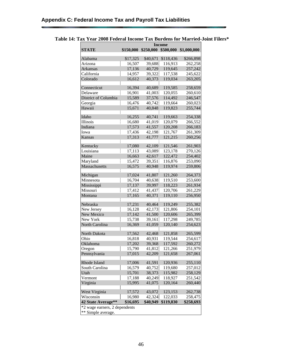|                                                     |           |          | <b>Income</b> |                                 |
|-----------------------------------------------------|-----------|----------|---------------|---------------------------------|
| <b>STATE</b>                                        | \$150,000 |          |               | \$250,000 \$500,000 \$1,000,000 |
| Alabama                                             | \$17,325  | \$40,671 | \$118,436     | \$266,898                       |
| Arizona                                             | 16,507    | 39,688   | 116,913       | 262,258                         |
| Arkansas                                            | 17,136    | 40,729   | 119,645       | 257,242                         |
| California                                          | 14,957    | 39,322   | 117,538       | 245,622                         |
| Colorado                                            | 16,612    | 40,373   | 119,034       | 263,205                         |
| Connecticut                                         | 16,394    | 40,689   | 119,585       | 258,659                         |
| Delaware                                            | 16,901    | 41,003   | 120,055       | 260,610                         |
| District of Columbia                                | 15,589    | 37,576   | 114,492       | 246,547                         |
| Georgia                                             | 16,476    | 40,742   | 119,664       | 260,023                         |
| Hawaii                                              | 15,671    | 40,848   | 119,823       | 255,744                         |
| Idaho                                               | 16,255    | 40,741   | 119,663       | 254,338                         |
| Illinois                                            | 16,680    | 41,019   | 120,079       | 266,552                         |
| Indiana                                             | 17,573    | 41,557   | 120,208       | 266,183                         |
| Iowa                                                | 17,436    | 42,198   | 121,767       | 261,309                         |
| Kansas                                              | 17,313    | 41,777   | 121,215       | 260,256                         |
| Kentucky                                            | 17,080    | 42,109   | 121,546       | 261,903                         |
| Louisiana                                           | 17,113    | 43,089   | 123,178       | 270,126                         |
| Maine                                               | 16,663    | 42,617   | 122,472       | 254,402                         |
| Maryland                                            | 15,472    | 39,351   | 116,876       | 253,090                         |
| Massachusetts                                       | 16,575    | 40,948   | 119,974       | 259,806                         |
| Michigan                                            | 17,024    | 41,807   | 121,260       | 264,373                         |
| Minnesota                                           | 16,704    | 40,638   | 119,510       | 253,600                         |
| Mississippi                                         | 17,137    | 39,997   | 118,223       | 261,934                         |
| Missouri                                            | 17,412    | 41,437   | 120,706       | 261,229                         |
| Montana                                             | 17,165    | 40,371   | 119,110       | 256,950                         |
| Nebraska                                            | 17,231    | 40,464   | 119,249       | 255,382                         |
| New Jersey                                          | 16,128    | 42,173   | 121,806       | 254,101                         |
| New Mexico                                          | 17,142    | 41,500   | 120,606       | 265,399                         |
| New York                                            | 15,738    | 39,161   | 117,298       | 249,785                         |
| North Carolina                                      | 16,369    | 41,059   | 120,140       | 254,623                         |
| North Dakota                                        | 17,562    | 42,468   | 121,858       | 265,599                         |
| Ohio                                                | 16,818    | 40,931   | 119,544       | 254,617                         |
| Oklahoma                                            | 17,202    | 39,368   | 117,592       | 260,272                         |
| Oregon                                              | 15,790    | 41,812   | 121,266       | 251,979                         |
| Pennsylvania                                        | 17,015    | 42,209   | 121,658       | 267,061                         |
| Rhode Island                                        | 17,006    | 41,591   | 120,936       | 255,110                         |
| South Carolina                                      | 16,579    | 40,752   | 119,680       | 257,012                         |
| Utah                                                | 15,701    | 38,373   | 115,982       | 258,129                         |
| Vermont                                             | 17,188    | 40,249   | 118,927       | 251,542                         |
| Virginia                                            | 15,995    | 41,075   | 120,164       | 260,440                         |
| West Virginia                                       | 17,572    | 43,072   | 123,153       | 262,738                         |
| Wisconsin                                           | 16,980    | 42,324   | 122,033       | 258,475                         |
| 42 State Average**                                  | \$16,695  | \$40,949 | \$119,830     | \$258,693                       |
| *2 wage earners, 2 dependents<br>** Simple average. |           |          |               |                                 |

## **Table 14: Tax Year 2008 Federal Income Tax Burdens for Married-Joint Filers\***

÷.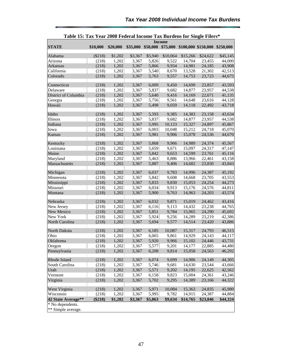|                      | Tax Teat 2000 Peueral Income Tax Duracus for Single Phers |          |         |         | <b>Income</b> |          |                                                          |          |
|----------------------|-----------------------------------------------------------|----------|---------|---------|---------------|----------|----------------------------------------------------------|----------|
| <b>STATE</b>         | \$10,000                                                  | \$20,000 |         |         |               |          | \$35,000 \$50,000 \$75,000 \$100,000 \$150,000 \$250,000 |          |
|                      |                                                           |          |         |         |               |          |                                                          |          |
| Alabama              | (\$218)                                                   | \$1,202  | \$3,367 | \$5,940 | \$10,064      | \$15,266 | \$24,622                                                 | \$45,145 |
| Arizona              | (218)                                                     | 1,202    | 3,367   | 5,826   | 9,522         | 14,704   | 23,455                                                   | 44,000   |
| <b>Arkansas</b>      | (218)                                                     | 1,202    | 3,367   | 5,866   | 9,934         | 14,981   | 24,185                                                   | 43,908   |
| California           | (218)                                                     | 1,202    | 3,367   | 5,540   | 8,670         | 13,528   | 21,302                                                   | 42,513   |
| Colorado             | (218)                                                     | 1,202    | 3,367   | 5,763   | 9,557         | 14,753   | 23,723                                                   | 44,675   |
| Connecticut          | (218)                                                     | 1,202    | 3,367   | 6,009   | 9,450         | 14,699   | 23,857                                                   | 43,593   |
| Delaware             | (218)                                                     | 1,202    | 3,367   | 5,837   | 9,682         | 14,877   | 23,957                                                   | 44,538   |
| District of Columbia | (218)                                                     | 1,202    | 3,367   | 5,640   | 9,416         | 14,169   | 22,671                                                   | 41,135   |
| Georgia              | (218)                                                     | 1,202    | 3,367   | 5,756   | 9,561         | 14,648   | 23,616                                                   | 44,128   |
| Hawaii               | (218)                                                     | 1,202    | 3,367   | 5,498   | 9,059         | 14,118   | 22,492                                                   | 43,718   |
| Idaho                | (218)                                                     | 1,202    | 3,367   | 5,593   | 9,385         | 14,383   | 23,158                                                   | 43,634   |
| Illinois             | (218)                                                     | 1,202    | 3,367   | 5,837   | 9,682         | 14,877   | 23,957                                                   | 44,538   |
| Indiana              | (218)                                                     | 1,202    | 3,367   | 5,995   | 10,123        | 15,327   | 24,897                                                   | 45,867   |
| Iowa                 | (218)                                                     | 1,202    | 3,367   | 6,003   | 10,048        | 15,212   | 24,718                                                   | 45,070   |
| Kansas               | (218)                                                     | 1,202    | 3,367   | 5,981   | 9,906         | 15,078   | 24,536                                                   | 44,670   |
| Kentucky             | (218)                                                     | 1,202    | 3,367   | 5,868   | 9,966         | 14,989   | 24,374                                                   | 45,567   |
| Louisiana            | (218)                                                     | 1,202    | 3,367   | 5,659   | 9,671         | 15,097   | 24,317                                                   | 47,147   |
| Maine                | (218)                                                     | 1,202    | 3,367   | 5,842   | 9,653         | 14,599   | 23,761                                                   | 45,116   |
| Maryland             | (218)                                                     | 1,202    | 3,367   | 5,463   | 8,886         | 13,966   | 22,461                                                   | 43,158   |
| Massachusetts        | (218)                                                     | 1,202    | 3,367   | 5,887   | 9,406         | 14,682   | 23,830                                                   | 43,843   |
|                      |                                                           |          |         |         |               |          |                                                          |          |
| Michigan             | (218)                                                     | 1,202    | 3,367   | 6,037   | 9,783         | 14,996   | 24,387                                                   | 45,192   |
| Minnesota            | (218)                                                     | 1,202    | 3,367   | 5,842   | 9,608         | 14,668   | 23,705                                                   | 43,553   |
| Mississippi          | (218)                                                     | 1,202    | 3,367   | 5,833   | 9,830         | 15,053   | 24,254                                                   | 44,273   |
| Missouri             | (218)                                                     | 1,202    | 3,367   | 6,034   | 9,913         | 15,176   | 24,576                                                   | 44,811   |
| Montana              | (218)                                                     | 1,202    | 3,367   | 5,900   | 9,763         | 14,963   | 24,203                                                   | 43,574   |
| Nebraska             | (218)                                                     | 1,202    | 3,367   | 6,032   | 9,871         | 15,019   | 24,462                                                   | 43,416   |
| New Jersey           | (218)                                                     | 1,202    | 3,367   | 6,116   | 9,113         | 14,432   | 23,238                                                   | 44,765   |
| New Mexico           | (218)                                                     | 1,202    | 3,367   | 5,851   | 9,784         | 15,065   | 24,290                                                   | 45,692   |
| New York             | (218)                                                     | 1,202    | 3,367   | 5,924   | 9,256         | 14,289   | 23,219                                                   | 42,386   |
| North Carolina       | (218)                                                     | 1,202    | 3,367   | 5,694   | 9,577         | 14,514   | 23,420                                                   | 43,886   |
| North Dakota         | (218)                                                     | 1,202    | 3,367   | 6,185   | 10,087        | 15,317   | 24,793                                                   | 46,515   |
| Ohio                 | (218)                                                     | 1,202    | 3,367   | 6,065   | 9,861         | 14,929   | 24,143                                                   | 44,117   |
| Oklahoma             | (218)                                                     | 1,202    | 3,367   | 5,920   | 9,966         | 15,102   | 24,446                                                   | 43,731   |
| Oregon               | (218)                                                     | 1,202    | 3,367   | 5,577   | 9,201         | 14,177   | 22,885                                                   | 44,480   |
| Pennsylvania         | (218)                                                     | 1,202    | 3,367   | 6,208   | 9,814         | 15,058   | 24,563                                                   | 46,292   |
| Rhode Island         | (218)                                                     | 1,202    | 3,367   | 6,074   | 9,699         | 14,906   | 24,149                                                   | 44,305   |
| South Carolina       | (218)                                                     | 1,202    | 3,367   | 5,746   | 9,681         | 14,630   | 23,544                                                   | 43,666   |
| Utah                 | (218)                                                     | 1,202    | 3,367   | 5,571   | 9,202         | 14,195   | 22,625                                                   | 42,562   |
| Vermont              | (218)                                                     | 1,202    | 3,367   | 6,158   | 9,823         | 15,004   | 24,361                                                   | 43,246   |
| Virginia             | (218)                                                     | 1,202    | 3,367   | 5,702   | 9,295         | 14,389   | 23,166                                                   | 44,322   |
| West Virginia        | (218)                                                     | 1,202    | 3,367   | 5,971   | 10,084        | 15,363   | 24,835                                                   | 45,980   |
| Wisconsin            | (218)                                                     | 1,202    | 3,367   | 5,995   | 9,782         | 14,915   | 24,387                                                   | 44,884   |
| 42 State Average**   | $(\$218)$                                                 | \$1,202  | \$3,367 | \$5,863 | \$9,634       | \$14,765 | \$23,846                                                 | \$44,324 |
| * No dependents.     |                                                           |          |         |         |               |          |                                                          |          |
| ** Simple average.   |                                                           |          |         |         |               |          |                                                          |          |

## **Table 15: Tax Year 2008 Federal Income Tax Burdens for Single Filers\***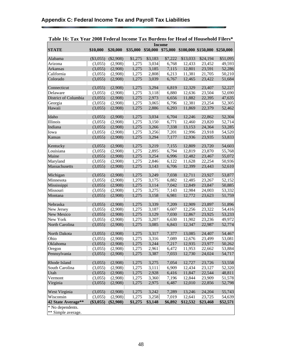|                      |             |             |         |         | <b>Income</b> |                                                          |          |          |
|----------------------|-------------|-------------|---------|---------|---------------|----------------------------------------------------------|----------|----------|
| <b>STATE</b>         | \$10,000    | \$20,000    |         |         |               | \$35,000 \$50,000 \$75,000 \$100,000 \$150,000 \$250,000 |          |          |
| Alabama              | $(\$3,055)$ | (\$2,908)   | \$1,275 | \$3,183 | \$7,222       | \$13,033                                                 | \$24,194 | \$51,095 |
| Arizona              | (3,055)     | (2,908)     | 1,275   | 3,034   | 6,768         | 12,433                                                   | 23,452   | 49,593   |
| <b>Arkansas</b>      | (3,055)     | (2,908)     | 1,275   | 3,185   | 7,115         | 12,801                                                   | 23,591   | 52,286   |
| California           | (3,055)     | (2,908)     | 1,275   | 2,808   | 6,213         | 11,381                                                   | 21,705   | 50,210   |
| Colorado             | (3,055)     | (2,908)     | 1,275   | 3,039   | 6,767         | 12,465                                                   | 23,422   | 51,684   |
| Connecticut          | (3,055)     | (2,908)     | 1,275   | 3,294   | 6,819         | 12,329                                                   | 23,407   | 52,227   |
| Delaware             | (3,055)     | (2,908)     | 1,275   | 3,118   | 6,880         | 12,636                                                   | 23,504   | 52,690   |
| District of Columbia | (3,055)     | (2,908)     | 1,275   | 2,973   | 6,656         | 11,882                                                   | 22,395   | 47,635   |
| Georgia              | (3,055)     | (2,908)     | 1,275   | 3,065   | 6,796         | 12,381                                                   | 23,254   | 52,305   |
| Hawaii               | (3,055)     | (2,908)     | 1,275   | 2,886   | 6,293         | 11,869                                                   | 22,379   | 52,462   |
| Idaho                | (3,055)     | (2,908)     | 1,275   | 3,034   | 6,704         | 12,246                                                   | 22,862   | 52,304   |
| Illinois             | (3,055)     | (2,908)     | 1,275   | 3,150   | 6,771         | 12,460                                                   | 23,820   | 52,714   |
| Indiana              | (3,055)     | (2,908)     | 1,275   | 3,266   | 7,338         | 13,153                                                   | 24,364   | 53,285   |
| Iowa                 | (3,055)     | (2,908)     | 1,275   | 3,256   | 7,201         | 12,996                                                   | 23,918   | 54,520   |
| Kansas               | (3,055)     | (2,908)     | 1,275   | 3,294   | 7,177         | 12,936                                                   | 23,935   | 53,833   |
| Kentucky             | (3,055)     | (2,908)     | 1,275   | 3,219   | 7,155         | 12,809                                                   | 23,720   | 54,603   |
| Louisiana            | (3,055)     | (2,908)     | 1,275   | 2,895   | 6,794         | 12,819                                                   | 23,870   | 55,768   |
| Maine                | (3,055)     | (2,908)     | 1,275   | 3,254   | 6,996         | 12,482                                                   | 23,467   | 55,072   |
| Maryland             | (3,055)     | (2,908)     | 1,275   | 2,846   | 6,122         | 11,628                                                   | 22,254   | 50,936   |
| Massachusetts        | (3,055)     | (2,908)     | 1,275   | 3,143   | 6,706         | 12,399                                                   | 23,443   | 52,610   |
| Michigan             | (3,055)     | (2,908)     | 1,275   | 3,249   | 7,038         | 12,711                                                   | 23,927   | 53,877   |
| Minnesota            | (3,055)     | (2,908)     | 1,275   | 3,175   | 6,882         | 12,485                                                   | 23,267   | 52,152   |
| Mississippi          | (3,055)     | (2,908)     | 1,275   | 3,114   | 7,042         | 12,849                                                   | 23,847   | 50,885   |
| Missouri             | (3,055)     | (2,908)     | 1,275   | 3,275   | 7,143         | 12,984                                                   | 24,003   | 53,332   |
| Montana              | (3,055)     | (2,908)     | 1,275   | 3,158   | 6,981         | 12,772                                                   | 23,623   | 51,759   |
| Nebraska             | (3,055)     | (2,908)     | 1,275   | 3,339   | 7,209         | 12,909                                                   | 23,897   | 51,896   |
| New Jersey           | (3,055)     | (2,908)     | 1,275   | 3,187   | 6,607         | 12,256                                                   | 23,322   | 54,416   |
| New Mexico           | (3,055)     | (2,908)     | 1,275   | 3,129   | 7,030         | 12,867                                                   | 23,925   | 53,233   |
| New York             | (3,055)     | (2,908)     | 1,275   | 3,207   | 6,630         | 11,902                                                   | 23,236   | 49,972   |
| North Carolina       | (3,055)     | (2,908)     | 1,275   | 3,085   | 6,843         | 12,347                                                   | 22,987   | 52,774   |
| North Dakota         | (3,055)     | (2,908)     | 1,275   | 3,317   | 7,377         | 13,085                                                   | 24,407   | 54,467   |
| Ohio                 | (3,055)     | (2,908)     | 1,275   | 3,316   | 7,089         | 12,676                                                   | 23,499   | 53,081   |
| Oklahoma             | (3,055)     | (2,908)     | 1,275   | 3,244   | 7,217         | 12,935                                                   | 23,977   | 50,262   |
| Oregon               | (3,055)     | (2,908)     | 1,275   | 2,961   | 6,472         | 11,953                                                   | 22,662   | 53,884   |
| Pennsylvania         | (3,055)     | (2,908)     | 1,275   | 3,387   | 7,033         | 12,730                                                   | 24,024   | 54,717   |
| Rhode Island         | (3,055)     | (2,908)     | 1,275   | 3,275   | 7,054         | 12,727                                                   | 23,726   | 53,558   |
| South Carolina       | (3,055)     | (2,908)     | 1,275   | 3,111   | 6,909         | 12,434                                                   | 23,127   | 52,320   |
| Utah                 | (3,055)     | (2,908)     | 1,275   | 2,928   | 6,416         | 11,847                                                   | 22,544   | 48,811   |
| Vermont              | (3,055)     | (2,908)     | 1,275   | 3,360   | 7,196         | 12,844                                                   | 23,909   | 51,578   |
| Virginia             | (3,055)     | (2,908)     | 1,275   | 2,975   | 6,487         | 12,010                                                   | 22,856   | 52,798   |
| West Virginia        | (3,055)     | (2,908)     | 1,275   | 3,242   | 7,289         | 13,246                                                   | 24,204   | 55,743   |
| Wisconsin            | (3,055)     | (2,908)     | 1,275   | 3,258   | 7,019         | 12,641                                                   | 23,725   | 54,639   |
| 42 State Average**   | $(\$3,055)$ | $(\$2,908)$ | \$1,275 | \$3,148 | \$6,892       | \$12,532                                                 | \$23,468 | \$52,571 |
| * No dependents.     |             |             |         |         |               |                                                          |          |          |
| ** Simple average.   |             |             |         |         |               |                                                          |          |          |

## **Table 16: Tax Year 2008 Federal Income Tax Burdens for Head of Household Filers\***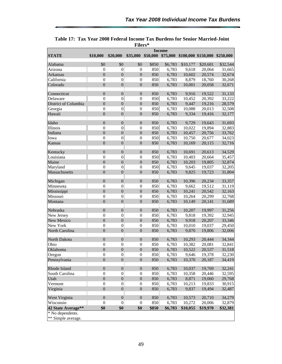|                      |                  |                  |                  |       | <b>Income</b> |          |                                                 |          |
|----------------------|------------------|------------------|------------------|-------|---------------|----------|-------------------------------------------------|----------|
| <b>STATE</b>         | \$10,000         | \$20,000         | \$35,000         |       |               |          | \$50,000 \$75,000 \$100,000 \$150,000 \$250,000 |          |
| Alabama              | \$0              | \$0              | \$0              | \$850 | \$6,783       | \$10,177 | \$20,681                                        | \$32,544 |
| Arizona              | $\mathbf{0}$     | $\boldsymbol{0}$ | $\boldsymbol{0}$ | 850   | 6,783         | 9,618    | 20,064                                          | 31,665   |
| Arkansas             | $\mathbf{0}$     | $\boldsymbol{0}$ | $\overline{0}$   | 850   | 6,783         | 10,602   | 20,574                                          | 32,674   |
| California           | $\boldsymbol{0}$ | $\boldsymbol{0}$ | $\boldsymbol{0}$ | 850   | 6,783         | 8,879    | 18,760                                          | 30,268   |
| Colorado             | $\boldsymbol{0}$ | $\boldsymbol{0}$ | $\overline{0}$   | 850   | 6,783         | 10,001   | 20,058                                          | 32,671   |
| Connecticut          | $\mathbf{0}$     | $\boldsymbol{0}$ | $\mathbf{0}$     | 850   | 6,783         | 9,916    | 19,522                                          | 31,133   |
| Delaware             | $\boldsymbol{0}$ | $\boldsymbol{0}$ | $\boldsymbol{0}$ | 850   | 6,783         | 10,452   | 20,392                                          | 33,222   |
| District of Columbia | $\boldsymbol{0}$ | $\boldsymbol{0}$ | $\mathbf{0}$     | 850   | 6,783         | 9,447    | 19,216                                          | 28,579   |
| Georgia              | $\boldsymbol{0}$ | $\boldsymbol{0}$ | $\boldsymbol{0}$ | 850   | 6,783         | 10,088   | 20,013                                          | 32,508   |
| Hawaii               | $\mathbf{0}$     | $\boldsymbol{0}$ | $\overline{0}$   | 850   | 6,783         | 9,334    | 19,416                                          | 32,177   |
| Idaho                | $\boldsymbol{0}$ | $\boldsymbol{0}$ | $\boldsymbol{0}$ | 850   | 6,783         | 9,729    | 19,643                                          | 31,693   |
| Illinois             | $\boldsymbol{0}$ | $\boldsymbol{0}$ | $\boldsymbol{0}$ | 850   | 6,783         | 10,022   | 19,894                                          | 32,883   |
| Indiana              | $\mathbf{0}$     | $\boldsymbol{0}$ | $\overline{0}$   | 850   | 6,783         | 10,457   | 20,756                                          | 33,762   |
| Iowa                 | $\boldsymbol{0}$ | $\boldsymbol{0}$ | $\boldsymbol{0}$ | 850   | 6,783         | 10,750   | 20,677                                          | 34,023   |
| Kansas               | $\overline{0}$   | $\boldsymbol{0}$ | $\overline{0}$   | 850   | 6,783         | 10,169   | 20,115                                          | 32,716   |
| Kentucky             | $\boldsymbol{0}$ | $\boldsymbol{0}$ | $\boldsymbol{0}$ | 850   | 6,783         | 10,691   | 20,613                                          | 34,529   |
| Louisiana            | $\boldsymbol{0}$ | $\boldsymbol{0}$ | $\boldsymbol{0}$ | 850   | 6,783         | 10,403   | 20,664                                          | 35,457   |
| Maine                | $\boldsymbol{0}$ | $\boldsymbol{0}$ | $\overline{0}$   | 850   | 6,783         | 10,203   | 19,805                                          | 32,874   |
| Maryland             | $\boldsymbol{0}$ | $\boldsymbol{0}$ | $\boldsymbol{0}$ | 850   | 6,783         | 9,645    | 19,037                                          | 32,205   |
| Massachusetts        | $\mathbf{0}$     | $\boldsymbol{0}$ | $\overline{0}$   | 850   | 6,783         | 9,825    | 19,723                                          | 31,804   |
| Michigan             | $\boldsymbol{0}$ | $\boldsymbol{0}$ | $\overline{0}$   | 850   | 6,783         | 10,396   | 20,234                                          | 33,357   |
| Minnesota            | $\boldsymbol{0}$ | $\boldsymbol{0}$ | $\boldsymbol{0}$ | 850   | 6,783         | 9,662    | 19,512                                          | 31,119   |
| Mississippi          | $\mathbf{0}$     | $\boldsymbol{0}$ | $\boldsymbol{0}$ | 850   | 6,783         | 10,241   | 20,542                                          | 32,163   |
| Missouri             | $\boldsymbol{0}$ | $\boldsymbol{0}$ | $\boldsymbol{0}$ | 850   | 6,783         | 10,264   | 20,299                                          | 32,768   |
| Montana              | $\mathbf{0}$     | $\boldsymbol{0}$ | $\overline{0}$   | 850   | 6,783         | 10,149   | 20,141                                          | 31,689   |
| Nebraska             | $\boldsymbol{0}$ | $\boldsymbol{0}$ | $\overline{0}$   | 850   | 6,783         | 10,207   | 19,997                                          | 31,256   |
| New Jersey           | $\boldsymbol{0}$ | $\boldsymbol{0}$ | $\boldsymbol{0}$ | 850   | 6,783         | 9,818    | 19,392                                          | 32,945   |
| New Mexico           | $\mathbf{0}$     | $\boldsymbol{0}$ | $\overline{0}$   | 850   | 6,783         | 9,918    | 20,207                                          | 33,346   |
| New York             | $\boldsymbol{0}$ | $\boldsymbol{0}$ | $\boldsymbol{0}$ | 850   | 6,783         | 10,010   | 19,037                                          | 29,450   |
| North Carolina       | $\boldsymbol{0}$ | $\boldsymbol{0}$ | $\overline{0}$   | 850   | 6,783         | 9,870    | 19,806                                          | 32,006   |
| North Dakota         | $\mathbf{0}$     | $\boldsymbol{0}$ | $\boldsymbol{0}$ | 850   | 6,783         | 10,293   | 20,444                                          | 34,344   |
| Ohio                 | $\boldsymbol{0}$ | $\boldsymbol{0}$ | $\boldsymbol{0}$ | 850   | 6,783         | 10,382   | 20,081                                          | 32,841   |
| Oklahoma             | $\mathbf{0}$     | $\mathbf{0}$     | $\mathbf{0}$     | 850   | 6,783         | 10,522   | 20,537                                          | 31,518   |
| Oregon               | $\theta$         | $\vert 0 \vert$  | $\boldsymbol{0}$ | 850   | 6,783         | 9,646    | 19,378                                          | 32,230   |
| Pennsylvania         | $\overline{0}$   | $\boldsymbol{0}$ | $\overline{0}$   | 850   | 6,783         | 10,370   | 20,187                                          | 34,419   |
| Rhode Island         | $\boldsymbol{0}$ | $\boldsymbol{0}$ | $\boldsymbol{0}$ | 850   | 6,783         | 10,037   | 19,769                                          | 32,241   |
| South Carolina       | $\boldsymbol{0}$ | $\vert 0 \vert$  | $\boldsymbol{0}$ | 850   | 6,783         | 10,358   | 20,446                                          | 32,595   |
| Utah                 | $\boldsymbol{0}$ | $\boldsymbol{0}$ | $\boldsymbol{0}$ | 850   | 6,783         | 8,871    | 19,060                                          | 29,768   |
| Vermont              | $\boldsymbol{0}$ | $\vert 0 \vert$  | $\boldsymbol{0}$ | 850   | 6,783         | 10,213   | 19,833                                          | 30,915   |
| Virginia             | $\boldsymbol{0}$ | $\boldsymbol{0}$ | $\boldsymbol{0}$ | 850   | 6,783         | 9,837    | 19,494                                          | 32,487   |
| West Virginia        | $\boldsymbol{0}$ | $\boldsymbol{0}$ | $\boldsymbol{0}$ | 850   | 6,783         | 10,573   | 20,710                                          | 34,279   |
| Wisconsin            | $\overline{0}$   | $\vert 0 \vert$  | $\boldsymbol{0}$ | 850   | 6,783         | 10,272   | 20,006                                          | 32,879   |
| 42 State Average**   | \$0              | \$0              | \$0              | \$850 | \$6,783       | \$10,055 | \$19,970                                        | \$32,381 |
| * No dependents.     |                  |                  |                  |       |               |          |                                                 |          |
| ** Simple average.   |                  |                  |                  |       |               |          |                                                 |          |

| Table 17: Tax Year 2008 Federal Income Tax Burdens for Senior Married-Joint |  |  |         |  |  |  |  |
|-----------------------------------------------------------------------------|--|--|---------|--|--|--|--|
|                                                                             |  |  | Filers* |  |  |  |  |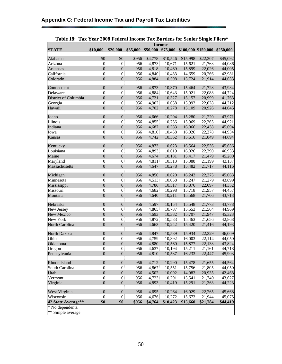| Table 18: Tax Year 2008 Federal Income Tax Burdens for Senior Single Filers* |                  |                  |       |                |               |          |                                                          |          |
|------------------------------------------------------------------------------|------------------|------------------|-------|----------------|---------------|----------|----------------------------------------------------------|----------|
|                                                                              |                  |                  |       |                | <b>Income</b> |          |                                                          |          |
| <b>STATE</b>                                                                 | \$10,000         | \$20,000         |       |                |               |          | \$35,000 \$50,000 \$75,000 \$100,000 \$150,000 \$250,000 |          |
| Alabama                                                                      | \$0              | \$0              | \$956 | \$4,778        | \$10,546      | \$15,998 | \$22,307                                                 | \$45,092 |
| Arizona                                                                      | $\overline{0}$   | $\boldsymbol{0}$ | 956   | 4,873          | 10,671        | 15,621   | 21,763                                                   | 44,086   |
| Arkansas                                                                     | $\overline{0}$   | $\boldsymbol{0}$ | 956   | 4,818          | 10,469        | 15,899   | 22,026                                                   | 44,005   |
| California                                                                   | $\boldsymbol{0}$ | $\boldsymbol{0}$ | 956   | 4,840          | 10,483        | 14,659   | 20,266                                                   | 42,981   |
| Colorado                                                                     | $\overline{0}$   | $\boldsymbol{0}$ | 956   | 4,884          | 10,598        | 15,724   | 21,914                                                   | 44,633   |
| Connecticut                                                                  | $\overline{0}$   | $\boldsymbol{0}$ | 956   | 4,873          | 10,370        | 15,464   | 21,728                                                   | 43,934   |
| Delaware                                                                     | $\boldsymbol{0}$ | $\boldsymbol{0}$ | 956   | 4,884          | 10,643        | 15,921   | 22,088                                                   | 44,724   |
| District of Columbia                                                         | $\boldsymbol{0}$ | $\boldsymbol{0}$ | 956   | 4,721          | 10,327        | 15,157   | 20,999                                                   | 41,763   |
| Georgia                                                                      | $\boldsymbol{0}$ | $\boldsymbol{0}$ | 956   | 4,902          | 10,658        | 15,993   | 22,028                                                   | 44,212   |
| Hawaii                                                                       | $\boldsymbol{0}$ | $\boldsymbol{0}$ | 956   | 4,702          | 10,278        | 15,109   | 20,926                                                   | 44,045   |
| Idaho                                                                        | $\mathbf{0}$     | $\boldsymbol{0}$ | 956   | 4,666          | 10,204        | 15,280   | 21,220                                                   | 43,971   |
| Illinois                                                                     | $\overline{0}$   | $\boldsymbol{0}$ | 956   | 4,855          | 10,736        | 15,969   | 22,265                                                   | 44,921   |
| Indiana                                                                      | $\overline{0}$   | $\boldsymbol{0}$ | 956   | 4,687          | 10,383        | 16,066   | 22,438                                                   | 45,694   |
| Iowa                                                                         | $\overline{0}$   | $\boldsymbol{0}$ | 956   | 4,810          | 10,458        | 16,026   | 22,278                                                   | 44,934   |
| Kansas                                                                       | $\overline{0}$   | $\boldsymbol{0}$ | 956   | 4,742          | 10,362        | 15,616   | 21,849                                                   | 44,694   |
| Kentucky                                                                     | $\mathbf{0}$     | $\boldsymbol{0}$ | 956   | 4,873          | 10,623        | 16,564   | 22,536                                                   | 45,636   |
| Louisiana                                                                    | $\mathbf{0}$     | $\boldsymbol{0}$ | 956   | 4,893          | 10,619        | 16,026   | 22,290                                                   | 46,933   |
| Maine                                                                        | $\boldsymbol{0}$ | $\boldsymbol{0}$ | 956   | 4,674          | 10,181        | 15,417   | 21,479                                                   | 45,280   |
| Maryland                                                                     | $\boldsymbol{0}$ | $\mathbf{0}$     | 956   | 4,811          | 10,513        | 15,388   | 21,199                                                   | 43,137   |
| Massachusetts                                                                | $\mathbf{0}$     | $\boldsymbol{0}$ | 956   | 4,647          | 10,278        | 15,482   | 21,717                                                   | 44,116   |
|                                                                              | $\boldsymbol{0}$ | $\boldsymbol{0}$ | 956   | 4,856          | 10,620        | 16,243   | 22,375                                                   | 45,063   |
| Michigan<br>Minnesota                                                        | $\boldsymbol{0}$ | $\mathbf{0}$     | 956   | 4,513          | 10,058        | 15,247   | 21,279                                                   | 43,899   |
| Mississippi                                                                  | $\overline{0}$   | $\boldsymbol{0}$ | 956   | 4,786          | 10,517        | 15,876   | 22,097                                                   | 44,352   |
| Missouri                                                                     | $\boldsymbol{0}$ | $\boldsymbol{0}$ | 956   |                | 10,298        | 15,718   | 21,957                                                   | 44,457   |
|                                                                              | $\mathbf{0}$     | $\boldsymbol{0}$ | 956   | 4,682<br>4,640 | 10,211        | 15,568   | 21,706                                                   | 43,713   |
| Montana                                                                      |                  |                  |       |                |               |          |                                                          |          |
| Nebraska                                                                     | $\mathbf{0}$     | $\boldsymbol{0}$ | 956   | 4,597          | 10,154        | 15,548   | 21,773                                                   | 43,778   |
| New Jersey                                                                   | $\mathbf{0}$     | $\boldsymbol{0}$ | 956   | 4,865          | 10,787        | 15,553   | 21,504                                                   | 44,969   |
| New Mexico                                                                   | $\overline{0}$   | $\boldsymbol{0}$ | 956   | 4,693          | 10,382        | 15,707   | 21,947                                                   | 45,323   |
| New York                                                                     | $\boldsymbol{0}$ | $\boldsymbol{0}$ | 956   | 4,872          | 10,583        | 15,463   | 21,656                                                   | 42,868   |
| North Carolina                                                               | $\mathbf{0}$     | $\boldsymbol{0}$ | 956   | 4,663          | 10,242        | 15,420   | 21,416                                                   | 44,193   |
| North Dakota                                                                 | $\boldsymbol{0}$ | $\boldsymbol{0}$ | 956   | 4,847          | 10,589        | 15,934   | 22,329                                                   | 46,009   |
| Ohio                                                                         | $\theta$         | $\mathbf{0}$     | 956   | 4,759          | 10,392        | 16,003   | 22,114                                                   | 44,050   |
| Oklahoma                                                                     | $\boldsymbol{0}$ | $\boldsymbol{0}$ | 956   | 4,880          | 10,560        | 15,877   | 22,133                                                   | 43,824   |
| Oregon                                                                       | $\boldsymbol{0}$ | $\boldsymbol{0}$ | 956   | 4,637          | 10,194        | 15,211   | 21,161                                                   | 44,718   |
| Pennsylvania                                                                 | $\boldsymbol{0}$ | $\boldsymbol{0}$ | 956   | 4,810          | 10,587        | 16,233   | 22,447                                                   | 45,903   |
| Rhode Island                                                                 | $\boldsymbol{0}$ | $\boldsymbol{0}$ | 956   | 4,712          | 10,290        | 15,478   | 21,655                                                   | 44,564   |
| South Carolina                                                               | $\boldsymbol{0}$ | $\boldsymbol{0}$ | 956   | 4,867          | 10,551        | 15,756   | 21,805                                                   | 44,050   |
| Utah                                                                         | $\boldsymbol{0}$ | $\boldsymbol{0}$ | 956   | 4,502          | 10,092        | 14,983   | 20,935                                                   | 42,468   |
| Vermont                                                                      | $\boldsymbol{0}$ | $\boldsymbol{0}$ | 956   | 4,723          | 10,291        | 15,541   | 21,740                                                   | 43,627   |
| Virginia                                                                     | $\boldsymbol{0}$ | $\boldsymbol{0}$ | 956   | 4,893          | 10,419        | 15,291   | 21,363                                                   | 44,223   |
| West Virginia                                                                | $\boldsymbol{0}$ | $\boldsymbol{0}$ | 956   | 4,695          | 10,264        | 16,029   | 22,265                                                   | 45,668   |
| Wisconsin                                                                    | $\boldsymbol{0}$ | $\boldsymbol{0}$ | 956   | 4,676          | 10,272        | 15,673   | 21,944                                                   | 45,075   |
| 42 State Average**                                                           | \$0              | \$0              | \$956 | \$4,764        | \$10,423      | \$15,660 | \$21,784                                                 | \$44,419 |
| * No dependents.                                                             |                  |                  |       |                |               |          |                                                          |          |
| ** Simple average.                                                           |                  |                  |       |                |               |          |                                                          |          |

s.

**Comment**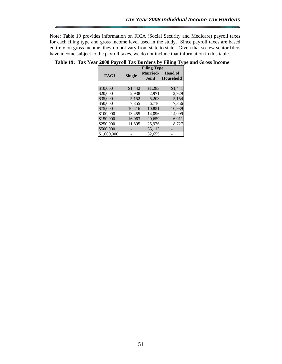Note: Table 19 provides information on FICA (Social Security and Medicare) payroll taxes for each filing type and gross income level used in the study. Since payroll taxes are based entirely on gross income, they do not vary from state to state. Given that so few senior filers have income subject to the payroll taxes, we do not include that information in this table.

| Table 19: Tax Year 2008 Payroll Tax Burdens by Filing Type and Gross Income |  |  |  |  |  |  |  |
|-----------------------------------------------------------------------------|--|--|--|--|--|--|--|
|                                                                             |  |  |  |  |  |  |  |

|             |               | <b>Filing Type</b> |                  |
|-------------|---------------|--------------------|------------------|
| FAGI        | <b>Single</b> | <b>Married-</b>    | <b>Head of</b>   |
|             |               | <b>Joint</b>       | <b>Household</b> |
|             |               |                    |                  |
| \$10,000    | \$1,442       | \$1,283            | \$1,441          |
| \$20,000    | 2,938         | 2,971              | 2,929            |
| \$35,000    | 5.152         | 5,203              | 5,154            |
| \$50,000    | 7.355         | 6,716              | 7,356            |
| \$75,000    | 10.416        | 10,851             | 10,939           |
| \$100,000   | 13,455        | 14,096             | 14,099           |
| \$150,000   | 16,063        | 20,659             | 16,011           |
| \$250,000   | 11,895        | 25,976             | 18,727           |
| \$500,000   |               | 35,113             |                  |
| \$1,000,000 |               | 32.655             |                  |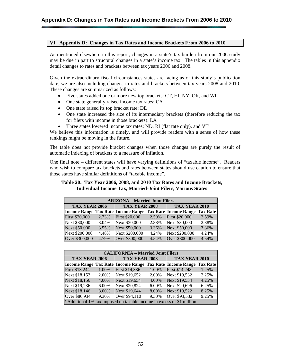## **VI. Appendix D: Changes in Tax Rates and Income Brackets From 2006 to 2010**

As mentioned elsewhere in this report, changes in a state's tax burden from our 2006 study may be due in part to structural changes in a state's income tax. The tables in this appendix detail changes to rates and brackets between tax years 2006 and 2008.

Given the extraordinary fiscal circumstances states are facing as of this study's publication date, we are also including changes in rates and brackets between tax years 2008 and 2010. These changes are summarized as follows:

- Five states added one or more new top brackets: CT, HI, NY, OR, and WI
- One state generally raised income tax rates: CA
- One state raised its top bracket rate: DE
- One state increased the size of its intermediary brackets (therefore reducing the tax for filers with income in those brackets): LA
- Three states lowered income tax rates: ND, RI (flat rate only), and VT

We believe this information is timely, and will provide readers with a sense of how these rankings might be moving in the future.

The table does not provide bracket changes when those changes are purely the result of automatic indexing of brackets to a measure of inflation.

One final note – different states will have varying definitions of "taxable income". Readers who wish to compare tax brackets and rates between states should use caution to ensure that those states have similar definitions of "taxable income".

## **Table 20: Tax Year 2006, 2008, and 2010 Tax Rates and Income Brackets, Individual Income Tax, Married-Joint Filers, Various States**

| <b>ARIZONA - Married Joint Filers</b> |       |                                                                   |       |                |       |  |  |  |  |  |
|---------------------------------------|-------|-------------------------------------------------------------------|-------|----------------|-------|--|--|--|--|--|
| TAX YEAR 2006                         |       | TAX YEAR 2008                                                     |       | TAX YEAR 2010  |       |  |  |  |  |  |
|                                       |       | Income Range Tax Rate Income Range Tax Rate Income Range Tax Rate |       |                |       |  |  |  |  |  |
| <b>First \$20,000</b>                 | 2.73% | First \$20,000                                                    | 2.59% | First \$20,000 | 2.59% |  |  |  |  |  |
| Next \$30,000                         | 3.04% | Next \$30,000                                                     | 2.88% | Next \$30,000  | 2.88% |  |  |  |  |  |
| Next \$50,000                         | 3.55% | Next \$50,000                                                     | 3.36% | Next \$50,000  | 3.36% |  |  |  |  |  |
| Next \$200,000                        | 4.48% | Next \$200,000                                                    | 4.24% | Next \$200,000 | 4.24% |  |  |  |  |  |
| Over \$300,000                        | 4.79% | Over \$300,000                                                    | 4.54% | Over \$300,000 | 4.54% |  |  |  |  |  |

| <b>CALIFORNIA - Married Joint Filers</b> |          |                                                                        |       |                |       |  |  |  |
|------------------------------------------|----------|------------------------------------------------------------------------|-------|----------------|-------|--|--|--|
| TAX YEAR 2006                            |          | <b>TAX YEAR 2008</b>                                                   |       | TAX YEAR 2010  |       |  |  |  |
|                                          |          | Income Range Tax Rate Income Range Tax Rate Income Range Tax Rate      |       |                |       |  |  |  |
| First \$13,244                           | 1.00%    | First \$14,336                                                         | 1.00% | First \$14,248 | 1.25% |  |  |  |
| Next \$18,152                            | 2.00%    | Next \$19,652                                                          | 2.00% | Next \$19,532  | 2.25% |  |  |  |
| Next \$18,156                            | 4.00%    | Next \$19,654                                                          | 4.00% | Next \$19,534  | 4.25% |  |  |  |
| Next \$19,236                            | $6.00\%$ | Next \$20,824                                                          | 6.00% | Next \$20,696  | 6.25% |  |  |  |
| Next \$18,146                            | 8.00%    | Next \$19,644                                                          | 8.00% | Next \$19,522  | 8.25% |  |  |  |
| Over \$86,934                            | 9.30%    | Over \$94,110                                                          | 9.30% | Over \$93,532  | 9.25% |  |  |  |
|                                          |          | *Additional 1% tax imposed on taxable income in excess of \$1 million. |       |                |       |  |  |  |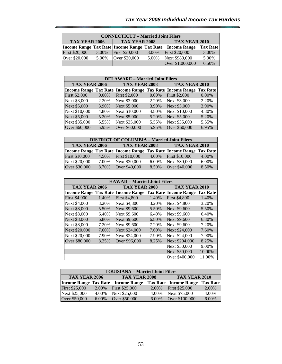| <b>CONNECTICUT - Married Joint Filers</b> |       |                                             |       |                       |                 |  |  |  |
|-------------------------------------------|-------|---------------------------------------------|-------|-----------------------|-----------------|--|--|--|
| TAX YEAR 2006                             |       | TAX YEAR 2008                               |       | TAX YEAR 2010         |                 |  |  |  |
|                                           |       | Income Range Tax Rate Income Range Tax Rate |       | <b>Income Range</b>   | <b>Tax Rate</b> |  |  |  |
| <b>First \$20,000</b>                     | 3.00% | <b>First \$20,000</b>                       | 3.00% | <b>First \$20,000</b> | 3.00%           |  |  |  |
| Over \$20,000                             | 5.00% | Over \$20,000                               | 5.00% | Next \$980,000        | 5.00%           |  |  |  |
|                                           |       |                                             |       | Over \$1,000,000      | 6.50%           |  |  |  |

| <b>DELAWARE - Married Joint Filers</b> |          |                                                                   |          |                      |          |  |  |  |
|----------------------------------------|----------|-------------------------------------------------------------------|----------|----------------------|----------|--|--|--|
| TAX YEAR 2006                          |          | <b>TAX YEAR 2008</b>                                              |          | TAX YEAR 2010        |          |  |  |  |
|                                        |          | Income Range Tax Rate Income Range Tax Rate Income Range Tax Rate |          |                      |          |  |  |  |
| <b>First \$2,000</b>                   | $0.00\%$ | First \$2,000                                                     | $0.00\%$ | <b>First \$2,000</b> | $0.00\%$ |  |  |  |
| Next \$3,000                           | 2.20%    | Next \$3,000                                                      | 2.20%    | Next \$3,000         | 2.20%    |  |  |  |
| Next \$5,000                           | 3.90%    | Next \$5,000                                                      | 3.90%    | Next \$5,000         | 3.90%    |  |  |  |
| Next \$10,000                          | 4.80%    | Next \$10,000                                                     | 4.80%    | Next \$10,000        | 4.80%    |  |  |  |
| Next \$5,000                           | 5.20%    | Next \$5,000                                                      | 5.20%    | Next \$5,000         | 5.20%    |  |  |  |
| Next \$35,000                          | 5.55%    | Next \$35,000                                                     | 5.55%    | Next \$35,000        | 5.55%    |  |  |  |
| Over \$60,000                          | 5.95%    | Over \$60,000                                                     | 5.95%    | Over \$60,000        | 6.95%    |  |  |  |

| <b>DISTRICT OF COLUMBIA - Married Joint Filers</b> |       |                                                                   |       |                       |       |  |  |  |
|----------------------------------------------------|-------|-------------------------------------------------------------------|-------|-----------------------|-------|--|--|--|
| <b>TAX YEAR 2006</b>                               |       | TAX YEAR 2008                                                     |       | TAX YEAR 2010         |       |  |  |  |
|                                                    |       | Income Range Tax Rate Income Range Tax Rate Income Range Tax Rate |       |                       |       |  |  |  |
| <b>First \$10,000</b>                              | 4.50% | <b>First \$10,000</b>                                             | 4.00% | <b>First \$10,000</b> | 4.00% |  |  |  |
| Next \$20,000                                      | 7.00% | Next \$30,000                                                     | 6.00% | Next \$30,000         | 6.00% |  |  |  |
| Over \$30,000                                      | 8.70% | Over \$40,000                                                     | 8.50% | Over \$40,000         | 8.50% |  |  |  |

| <b>HAWAII</b> – Married Joint Filers |       |                      |                 |                      |                 |  |  |  |
|--------------------------------------|-------|----------------------|-----------------|----------------------|-----------------|--|--|--|
| TAX YEAR 2006                        |       | TAX YEAR 2008        |                 | TAX YEAR 2010        |                 |  |  |  |
| <b>Income Range Tax Rate</b>         |       | <b>Income Range</b>  | <b>Tax Rate</b> | <b>Income Range</b>  | <b>Tax Rate</b> |  |  |  |
| <b>First \$4,000</b>                 | 1.40% | <b>First \$4,800</b> | 1.40%           | <b>First \$4,800</b> | 1.40%           |  |  |  |
| <b>Next \$4,000</b>                  | 3.20% | <b>Next \$4,800</b>  | 3.20%           | Next \$4,800         | 3.20%           |  |  |  |
| <b>Next \$8,000</b>                  | 5.50% | <b>Next \$9,600</b>  | 5.50%           | Next \$9,600         | 5.50%           |  |  |  |
| <b>Next \$8,000</b>                  | 6.40% | <b>Next \$9,600</b>  | 6.40%           | Next \$9,600         | 6.40%           |  |  |  |
| <b>Next \$8,000</b>                  | 6.80% | Next \$9,600         | 6.80%           | <b>Next \$9,600</b>  | 6.80%           |  |  |  |
| Next \$8,000                         | 7.20% | Next \$9,600         | 7.20%           | Next \$9,600         | 7.20%           |  |  |  |
| Next \$20,000                        | 7.60% | Next \$24,000        | 7.60%           | Next \$24,000        | 7.60%           |  |  |  |
| Next \$20,000                        | 7.90% | Next \$24,000        | 7.90%           | Next \$24,000        | 7.90%           |  |  |  |
| Over \$80,000                        | 8.25% | Over \$96,000        | 8.25%           | Next \$204,000       | 8.25%           |  |  |  |
|                                      |       |                      |                 | Next \$50,000        | 9.00%           |  |  |  |
|                                      |       |                      |                 | Next \$50,000        | 10.00%          |  |  |  |
|                                      |       |                      |                 | Over \$400,000       | 11.00%          |  |  |  |

| <b>LOUISIANA - Married Joint Filers</b> |       |                       |          |                              |                 |  |  |  |
|-----------------------------------------|-------|-----------------------|----------|------------------------------|-----------------|--|--|--|
| TAX YEAR 2006                           |       | TAX YEAR 2008         |          | TAX YEAR 2010                |                 |  |  |  |
| <b>Income Range Tax Rate</b>            |       | <b>Income Range</b>   |          | <b>Tax Rate</b> Income Range | <b>Tax Rate</b> |  |  |  |
| First \$25,000                          | 2.00% | <b>First \$25,000</b> | 2.00%    | <b>First \$25,000</b>        | 2.00%           |  |  |  |
| Next \$25,000                           | 4.00% | Next \$25,000         | 4.00%    | Next \$75,000                | 4.00%           |  |  |  |
| Over \$50,000                           | 6.00% | Over \$50,000         | $6.00\%$ | Over \$100,000               | 6.00%           |  |  |  |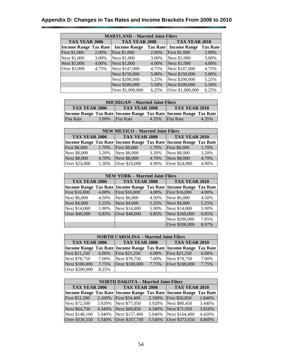# **Appendix D: Changes in Tax Rates and Income Brackets From 2006 to 2010**

and the company of the company of the company of the company of the company of the company of the company of the company of the company of the company of the company of the company of the company of the company of the comp

| <b>MARYLAND – Married Joint Filers</b> |       |                      |                 |                      |                 |  |  |  |  |
|----------------------------------------|-------|----------------------|-----------------|----------------------|-----------------|--|--|--|--|
| TAX YEAR 2006                          |       | TAX YEAR 2008        |                 | TAX YEAR 2010        |                 |  |  |  |  |
| <b>Income Range Tax Rate</b>           |       | <b>Income Range</b>  | <b>Tax Rate</b> | <b>Income Range</b>  | <b>Tax Rate</b> |  |  |  |  |
| First \$1,000                          | 2.00% | <b>First \$1,000</b> | 2.00%           | <b>First \$1,000</b> | 2.00%           |  |  |  |  |
| Next \$1,000                           | 3.00% | Next \$1,000         | 3.00%           | Next \$1,000         | 3.00%           |  |  |  |  |
| Next \$1,000                           | 4.00% | Next \$1,000         | 4.00%           | Next \$1,000         | 4.00%           |  |  |  |  |
| Over \$3,000                           | 4.75% | Next \$147,000       | 4.75%           | Next \$147,000       | 4.75%           |  |  |  |  |
|                                        |       | Next \$150,000       | 5.00%           | Next \$150,000       | 5.00%           |  |  |  |  |
|                                        |       | Next \$200,000       | 5.25%           | Next \$200,000       | 5.25%           |  |  |  |  |
|                                        |       | Next \$500,000       | 5.50%           | Next \$500,000       | 5.50%           |  |  |  |  |
|                                        |       | Over \$1,000,000     | 6.25%           | Over \$1,000,000     | 6.25%           |  |  |  |  |

| <b>MICHIGAN</b> – Married Joint Filers |  |                                                                   |  |                 |       |  |  |  |
|----------------------------------------|--|-------------------------------------------------------------------|--|-----------------|-------|--|--|--|
| <b>TAX YEAR 2006</b>                   |  | <b>TAX YEAR 2008</b>                                              |  | TAX YEAR 2010   |       |  |  |  |
|                                        |  | Income Range Tax Rate Income Range Tax Rate Income Range Tax Rate |  |                 |       |  |  |  |
| <b>Flat Rate</b>                       |  | 3.90% Flat Rate                                                   |  | 4.35% Flat Rate | 4.35% |  |  |  |

| <b>NEW MEXICO - Married Joint Filers</b> |       |                                                                   |       |                      |       |  |  |  |  |
|------------------------------------------|-------|-------------------------------------------------------------------|-------|----------------------|-------|--|--|--|--|
| TAX YEAR 2006                            |       | TAX YEAR 2008                                                     |       | TAX YEAR 2010        |       |  |  |  |  |
|                                          |       | Income Range Tax Rate Income Range Tax Rate Income Range Tax Rate |       |                      |       |  |  |  |  |
| <b>First \$8,000</b>                     | 1.70% | <b>First \$8,000</b>                                              | 1.70% | <b>First \$8,000</b> | 1.70% |  |  |  |  |
| Next \$8,000                             | 3.20% | <b>Next \$8,000</b>                                               | 3.20% | <b>Next \$8,000</b>  | 3.20% |  |  |  |  |
| <b>Next \$8,000</b>                      | 4.70% | <b>Next \$8,000</b>                                               | 4.70% | Next \$8,000         | 4.70% |  |  |  |  |
| Over \$24,000                            | 5.30% | Over \$24,000                                                     | 4.90% | Over \$24,000        | 4.90% |  |  |  |  |

| <b>NEW YORK – Married Joint Filers</b> |       |                     |       |                                             |       |  |  |  |  |
|----------------------------------------|-------|---------------------|-------|---------------------------------------------|-------|--|--|--|--|
| TAX YEAR 2006                          |       | TAX YEAR 2008       |       | TAX YEAR 2010                               |       |  |  |  |  |
| <b>Income Range Tax Rate</b>           |       |                     |       | Income Range Tax Rate Income Range Tax Rate |       |  |  |  |  |
| First \$16,000                         | 4.00% | First \$16,000      | 4.00% | First \$16,000                              | 4.00% |  |  |  |  |
| Next \$6,000                           | 4.50% | Next \$6,000        | 4.50% | Next \$6,000                                | 4.50% |  |  |  |  |
| <b>Next \$4,000</b>                    | 5.25% | <b>Next \$4,000</b> | 5.25% | <b>Next \$4,000</b>                         | 5.25% |  |  |  |  |
| Next \$14,000                          | 5.90% | Next \$14,000       | 5.90% | Next \$14,000                               | 5.90% |  |  |  |  |
| Over \$40,000                          | 6.85% | Over \$40,000       | 6.85% | Next \$260,000                              | 6.85% |  |  |  |  |
|                                        |       |                     |       | Next \$200,000                              | 7.85% |  |  |  |  |
|                                        |       |                     |       | Over \$500,000                              | 8.97% |  |  |  |  |

| <b>NORTH CAROLINA – Married Joint Filers</b> |          |                                                                   |          |                       |       |  |  |  |  |
|----------------------------------------------|----------|-------------------------------------------------------------------|----------|-----------------------|-------|--|--|--|--|
| TAX YEAR 2006                                |          | TAX YEAR 2008                                                     |          | TAX YEAR 2010         |       |  |  |  |  |
|                                              |          | Income Range Tax Rate Income Range Tax Rate Income Range Tax Rate |          |                       |       |  |  |  |  |
| First \$21,250                               | $6.00\%$ | <b>First \$21,250</b>                                             | $6.00\%$ | <b>First \$21,250</b> | 6.00% |  |  |  |  |
| Next \$78,750                                | 7.00%    | Next \$78,750                                                     | 7.00%    | Next \$78,750         | 7.00% |  |  |  |  |
| Next \$100,000                               | 7.75%    | Over \$100,000                                                    | 7.75%    | Over \$100,000        | 7.75% |  |  |  |  |
| Over \$200,000                               | 8.25%    |                                                                   |          |                       |       |  |  |  |  |

| <b>NORTH DAKOTA - Married Joint Filers</b> |        |                                                                   |        |                |        |  |  |  |  |
|--------------------------------------------|--------|-------------------------------------------------------------------|--------|----------------|--------|--|--|--|--|
| TAX YEAR 2006                              |        | TAX YEAR 2008                                                     |        | TAX YEAR 2010  |        |  |  |  |  |
|                                            |        | Income Range Tax Rate Income Range Tax Rate Income Range Tax Rate |        |                |        |  |  |  |  |
| First \$51,200                             | 2.100% | First \$54,400                                                    | 2.100% | First \$56,850 | 1.840% |  |  |  |  |
| Next \$72,500                              | 3.920% | Next \$77,050                                                     | 3.920% | Next \$80,450  | 3.440% |  |  |  |  |
| Next \$64,750                              | 4.340% | Next \$68,850                                                     | 4.340% | Next \$71,950  | 3.810% |  |  |  |  |
| Next \$148,100                             | 5.040% | Next \$157,400                                                    | 5.040% | Next \$164,400 | 4.420% |  |  |  |  |
| Over \$336,550                             | 5.540% | Over \$357,700                                                    | 5.540% | Over \$373,650 | 4.860% |  |  |  |  |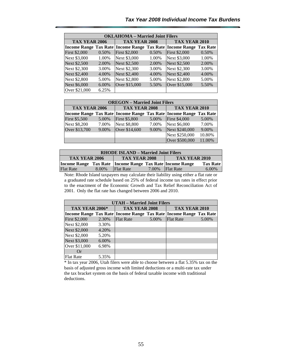| <b>OKLAHOMA - Married Joint Filers</b> |       |                              |       |                              |       |  |
|----------------------------------------|-------|------------------------------|-------|------------------------------|-------|--|
| TAX YEAR 2006                          |       | TAX YEAR 2008                |       | TAX YEAR 2010                |       |  |
| <b>Income Range Tax Rate</b>           |       | <b>Income Range Tax Rate</b> |       | <b>Income Range Tax Rate</b> |       |  |
| <b>First \$2,000</b>                   | 0.50% | <b>First \$2,000</b>         | 0.50% | First \$2,000                | 0.50% |  |
| Next \$3,000                           | 1.00% | Next \$3,000                 | 1.00% | Next \$3,000                 | 1.00% |  |
| <b>Next \$2,500</b>                    | 2.00% | Next \$2,500                 | 2.00% | Next \$2,500                 | 2.00% |  |
| Next \$2,300                           | 3.00% | Next \$2,300                 | 3.00% | Next \$2,300                 | 3.00% |  |
| <b>Next \$2,400</b>                    | 4.00% | <b>Next \$2,400</b>          | 4.00% | <b>Next \$2,400</b>          | 4.00% |  |
| <b>Next \$2,800</b>                    | 5.00% | Next \$2,800                 | 5.00% | Next \$2,800                 | 5.00% |  |
| Next \$6,000                           | 6.00% | Over \$15,000                | 5.50% | Over \$15,000                | 5.50% |  |
| Over \$21,000                          | 6.25% |                              |       |                              |       |  |

| <b>OREGON</b> - Married Joint Filers                              |       |                      |       |                      |        |  |
|-------------------------------------------------------------------|-------|----------------------|-------|----------------------|--------|--|
| TAX YEAR 2006                                                     |       | TAX YEAR 2008        |       | TAX YEAR 2010        |        |  |
| Income Range Tax Rate Income Range Tax Rate Income Range Tax Rate |       |                      |       |                      |        |  |
| <b>First \$5,500</b>                                              | 5.00% | <b>First \$5,800</b> | 5.00% | <b>First \$4,000</b> | 5.00%  |  |
| <b>Next \$8,200</b>                                               | 7.00% | <b>Next \$8,800</b>  | 7.00% | Next \$6,000         | 7.00%  |  |
| Over \$13,700                                                     | 9.00% | Over \$14,600        | 9.00% | Next \$240,000       | 9.00%  |  |
|                                                                   |       |                      |       | Next \$250,000       | 10.80% |  |
|                                                                   |       |                      |       | Over \$500,000       | 11.00% |  |

| <b>RHODE ISLAND – Married Joint Filers</b>                   |       |           |                                       |                  |                 |  |
|--------------------------------------------------------------|-------|-----------|---------------------------------------|------------------|-----------------|--|
| <b>TAX YEAR 2006</b>                                         |       |           | TAX YEAR 2010<br><b>TAX YEAR 2008</b> |                  |                 |  |
| Income Range Tax Rate   Income Range Tax Rate   Income Range |       |           |                                       |                  | <b>Tax Rate</b> |  |
| <b>Flat Rate</b>                                             | 8.00% | Flat Rate | 7.00%                                 | <b>Flat Rate</b> | $6.00\%$        |  |

Note: Rhode Island taxpayers may calculate their liability using either a flat rate or a graduated rate schedule based on 25% of federal income tax rates in effect prior to the enactment of the Economic Growth and Tax Relief Reconciliation Act of 2001. Only the flat rate has changed between 2006 and 2010.

| <b>UTAH – Married Joint Filers</b> |       |                  |       |                                                                   |       |  |
|------------------------------------|-------|------------------|-------|-------------------------------------------------------------------|-------|--|
| <b>TAX YEAR 2006*</b>              |       | TAX YEAR 2008    |       | TAX YEAR 2010                                                     |       |  |
|                                    |       |                  |       | Income Range Tax Rate Income Range Tax Rate Income Range Tax Rate |       |  |
| <b>First \$2,000</b>               | 2.30% | <b>Flat Rate</b> | 5.00% | <b>Flat Rate</b>                                                  | 5.00% |  |
| <b>Next \$2,000</b>                | 3.30% |                  |       |                                                                   |       |  |
| <b>Next \$2,000</b>                | 4.20% |                  |       |                                                                   |       |  |
| Next \$2,000                       | 5.20% |                  |       |                                                                   |       |  |
| Next \$3,000                       | 6.00% |                  |       |                                                                   |       |  |
| Over \$11,000                      | 6.98% |                  |       |                                                                   |       |  |
| Or                                 |       |                  |       |                                                                   |       |  |
| <b>Flat Rate</b>                   | 5.35% |                  |       |                                                                   |       |  |

\* In tax year 2006, Utah filers were able to choose between a flat 5.35% tax on the basis of adjusted gross income with limited deductions or a multi-rate tax under the tax bracket system on the basis of federal taxable income with traditional deductions.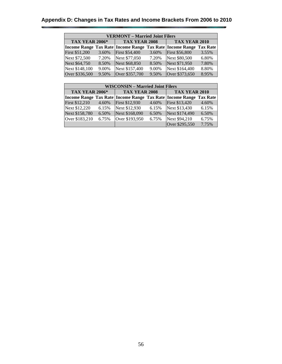# **Appendix D: Changes in Tax Rates and Income Brackets From 2006 to 2010**

and the company of the company of the company of the company of the company of the company of the company of the company of the company of the company of the company of the company of the company of the company of the comp

| <b>VERMONT - Married Joint Filers</b>                             |       |                |       |                       |       |  |  |
|-------------------------------------------------------------------|-------|----------------|-------|-----------------------|-------|--|--|
| <b>TAX YEAR 2006*</b>                                             |       | TAX YEAR 2008  |       | TAX YEAR 2010         |       |  |  |
| Income Range Tax Rate Income Range Tax Rate Income Range Tax Rate |       |                |       |                       |       |  |  |
| First \$51,200                                                    | 3.60% | First \$54,400 | 3.60% | <b>First \$56,800</b> | 3.55% |  |  |
| Next \$72,500                                                     | 7.20% | Next \$77,050  | 7.20% | Next \$80,500         | 6.80% |  |  |
| Next \$64,750                                                     | 8.50% | Next \$68,850  | 8.50% | Next \$71,950         | 7.80% |  |  |
| Next \$148,100                                                    | 9.00% | Next \$157,400 | 9.00% | Next \$164,400        | 8.80% |  |  |
| Over \$336,500                                                    | 9.50% | Over \$357,700 | 9.50% | Over \$373,650        | 8.95% |  |  |

| <b>WISCONSIN – Married Joint Filers</b>                           |       |                |       |                |       |  |  |
|-------------------------------------------------------------------|-------|----------------|-------|----------------|-------|--|--|
| <b>TAX YEAR 2006*</b>                                             |       | TAX YEAR 2008  |       | TAX YEAR 2010  |       |  |  |
| Income Range Tax Rate Income Range Tax Rate Income Range Tax Rate |       |                |       |                |       |  |  |
| First \$12,210                                                    | 4.60% | First \$12,930 | 4.60% | First \$13,420 | 4.60% |  |  |
| Next \$12,220                                                     | 6.15% | Next \$12,930  | 6.15% | Next \$13,430  | 6.15% |  |  |
| Next \$158,780                                                    | 6.50% | Next \$168,090 | 6.50% | Next \$174,490 | 6.50% |  |  |
| Over \$183,210                                                    | 6.75% | Over \$193,950 | 6.75% | Next \$94,210  | 6.75% |  |  |
|                                                                   |       |                |       | Over \$295,550 | 7.75% |  |  |